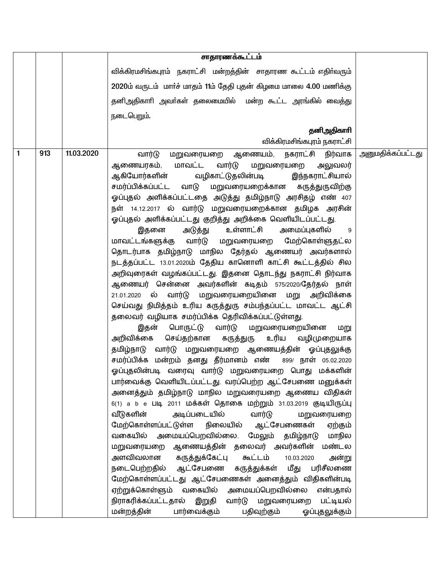|   |     |            | சாதாரணக்கூட்டம்                                                                                                                                                                                                                                                                                                                                                                                                                                                                                                                                                                                                                                                                                                                                                                                                                                                                                                                                                                                                                                                                                                                                                                                                                                                                                                                                                                                                                                                                                                                                                                                                                                                                                                                                                                                                                                |                          |
|---|-----|------------|------------------------------------------------------------------------------------------------------------------------------------------------------------------------------------------------------------------------------------------------------------------------------------------------------------------------------------------------------------------------------------------------------------------------------------------------------------------------------------------------------------------------------------------------------------------------------------------------------------------------------------------------------------------------------------------------------------------------------------------------------------------------------------------------------------------------------------------------------------------------------------------------------------------------------------------------------------------------------------------------------------------------------------------------------------------------------------------------------------------------------------------------------------------------------------------------------------------------------------------------------------------------------------------------------------------------------------------------------------------------------------------------------------------------------------------------------------------------------------------------------------------------------------------------------------------------------------------------------------------------------------------------------------------------------------------------------------------------------------------------------------------------------------------------------------------------------------------------|--------------------------|
|   |     |            | விக்கிரமசிங்கபுரம் நகராட்சி மன்றத்தின் சாதாரண கூட்டம் எதிர்வரும்                                                                                                                                                                                                                                                                                                                                                                                                                                                                                                                                                                                                                                                                                                                                                                                                                                                                                                                                                                                                                                                                                                                                                                                                                                                                                                                                                                                                                                                                                                                                                                                                                                                                                                                                                                               |                          |
|   |     |            | 2020ம் வருடம் மார்ச் மாதம் 11ம் தேதி புதன் கிழமை மாலை 4.00 மணிக்கு                                                                                                                                                                                                                                                                                                                                                                                                                                                                                                                                                                                                                                                                                                                                                                                                                                                                                                                                                                                                                                                                                                                                                                                                                                                                                                                                                                                                                                                                                                                                                                                                                                                                                                                                                                             |                          |
|   |     |            | தனிஅதிகாரி அவர்கள் தலைமையில் மன்ற கூட்ட அரங்கில் வைத்து                                                                                                                                                                                                                                                                                                                                                                                                                                                                                                                                                                                                                                                                                                                                                                                                                                                                                                                                                                                                                                                                                                                                                                                                                                                                                                                                                                                                                                                                                                                                                                                                                                                                                                                                                                                        |                          |
|   |     |            | நடைபெறும்.                                                                                                                                                                                                                                                                                                                                                                                                                                                                                                                                                                                                                                                                                                                                                                                                                                                                                                                                                                                                                                                                                                                                                                                                                                                                                                                                                                                                                                                                                                                                                                                                                                                                                                                                                                                                                                     |                          |
|   |     |            | தனிஅதிகாரி                                                                                                                                                                                                                                                                                                                                                                                                                                                                                                                                                                                                                                                                                                                                                                                                                                                                                                                                                                                                                                                                                                                                                                                                                                                                                                                                                                                                                                                                                                                                                                                                                                                                                                                                                                                                                                     |                          |
|   |     |            | விக்கிரமசிங்கபுரம் நகராட்சி                                                                                                                                                                                                                                                                                                                                                                                                                                                                                                                                                                                                                                                                                                                                                                                                                                                                                                                                                                                                                                                                                                                                                                                                                                                                                                                                                                                                                                                                                                                                                                                                                                                                                                                                                                                                                    |                          |
| 1 | 913 | 11.03.2020 | மறுவரையறை ஆணையம், நகராட்சி<br>வார்டு<br>நிர்வாக<br>மாவட்ட<br>ஆணையரகம்,<br>வார்டு மறுவரையறை அலுவலர்<br>ஆகியோர்களின் வழிகாட்டுதலின்படி<br>இந்நகராட்சியால்<br>மறுவரையறைக்கான கருத்துருவிற்கு<br>சமர்ப்பிக்கப்பட்ட வாடு<br>ஓப்புதல் அளிக்கப்பட்டதை அடுத்து தமிழ்நாடு அரசிதழ் எண் 407<br>நள் 14.12.2017 ல் வார்டு மறுவரையறைக்கான தமிழக அரசின்<br>ஓப்புதல் அளிக்கப்பட்டது குறித்து அறிக்கை வெளியிடப்பட்டது.<br>அடுத்து<br>உள்ளாட்சி<br>அமைப்புகளில்<br>இதனை<br>9<br>மாவட்டங்களுக்கு வார்டு மறுவரையறை மேற்கொள்ளுதட்ல<br>தொடர்பாக தமிழ்நாடு மாநில தேர்தல் ஆணையர் அவர்களால்<br>நடத்தப்பட்ட 13.01.2020ம் தேதிய கானொளி காட்சி கூட்டத்தில் சில<br>அறிவுரைகள் வழங்கப்பட்டது. இதனை தொடந்து நகராட்சி நிர்வாக<br>ஆணையர் சென்னை அவர்களின் கடிதம் 575/2020/தேர்தல் நாள்<br>ல் வார்டு மறுவரையறையினை மறு அறிவிக்கை<br>21.01.2020<br>செய்வது நிமித்தம் உரிய கருத்துரு சம்பந்தப்பட்ட மாவட்ட ஆட்சி<br>தலைவர் வழியாக சமர்ப்பிக்க தெரிவிக்கப்பட்டுள்ளது.<br>இதன் பொருட்டு வார்டு மறுவரையறையினை<br>மறு<br>செய்தற்கான கருத்துரு<br>உரிய வழிமுறையாக<br>அறிவிக்கை<br>தமிழ்நாடு வார்டு மறுவரையறை ஆணையத்தின் ஓப்புதலுக்கு<br>சமர்ப்பிக்க மன்றம் தனது தீர்மானம் எண் 899/ நாள் 05.02.2020<br>ஓப்புதலின்படி வரைவு வார்டு மறுவரையறை பொது மக்களின்<br>பார்வைக்கு வெளியிடப்பட்டது. வரப்பெற்ற ஆட்சேபணை மனுக்கள்<br>அனைத்தும் தமிழ்நாடு மாநில மறுவரையறை ஆணைய விதிகள்<br>6(1) a b e படி 2011 மக்கள் தொகை மற்றும் 31.03.2019 குடியிருப்பு<br>வீடுகளின்<br>அடிப்படையில் வார்டு<br>மறுவரையறை<br>மேற்கொள்ளப்பட்டுள்ள நிலையில் ஆட்சேபணைகள்<br>ஏற்கும்<br>வகையில் அமையப்பெறவில்லை. மேலும் தமிழ்நாடு மாநில<br>மறுவரையறை ஆணையத்தின் தலைவர் அவர்களின்<br>மண்டல<br>அளவிவலான கருத்துக்கேட்பு கூட்டம்<br>10.03.2020<br>அன்று<br>நடைபெற்றதில் ஆட்சேபணை கருத்துக்கள் மீது<br>பரிசீலணை<br>மேற்கொள்ளப்பட்டது ஆட்சேபணைகள் அனைத்தும் விதிகளின்படி<br>ஏற்றுக்கொள்ளும் வகையில் அமையப்பெறவில்லை<br>என்பதால் | <u>அனுமதிக்கப்பட்டது</u> |
|   |     |            | நிராகரிக்கப்பட்டதால் இறுதி<br>வார்டு மறுவரையறை<br>பட்டியல்<br>மன்றத்தின்<br>பார்வைக்கும்<br>பதிவுற்கும்<br>ஓப்புதலுக்கும்                                                                                                                                                                                                                                                                                                                                                                                                                                                                                                                                                                                                                                                                                                                                                                                                                                                                                                                                                                                                                                                                                                                                                                                                                                                                                                                                                                                                                                                                                                                                                                                                                                                                                                                      |                          |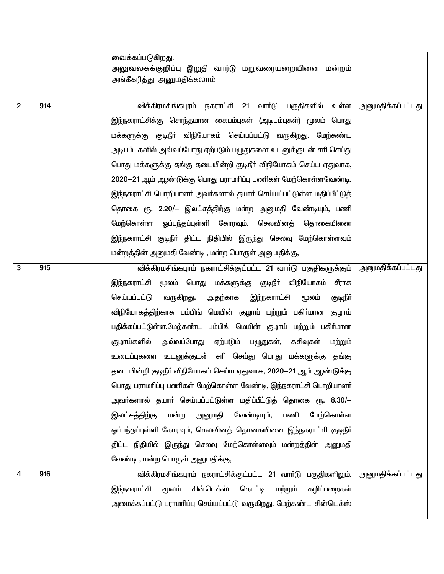| அலுவலகக்குறிப்பு இறுதி வார்டு மறுவரையறையினை மன்றம்<br>அங்கீகரித்து அனுமதிக்கலாம்<br>விக்கிரமசிங்கபுரம் நகராட்சி 21 வார்டு பகுதிகளில் உள்ள<br><u>அனுமதிக்கப்பட்டது</u><br>$\overline{2}$<br>914<br>இந்நகராட்சிக்கு சொந்தமான கைபம்புகள் (அடிபம்புகள்) மூலம் பொது<br>மக்களுக்கு குடிநீா் விநியோகம் செய்யப்பட்டு வருகிறது. மேற்கண்ட<br>அடிபம்புகளில் அவ்வப்போது ஏற்படும் பழுதுகளை உடனுக்குடன் சாி செய்து<br>பொது மக்களுக்கு தங்கு தடையின்றி குடிநீா் விநியோகம் செய்ய ஏதுவாக,<br>2020–21 ஆம் ஆண்டுக்கு பொது பராமாிப்பு பணிகள் மேற்கொள்ளவேண்டி,<br>இந்நகராட்சி பொறியாளர் அவர்களால் தயார் செய்யப்பட்டுள்ள மதிப்பீட்டுத்<br>தொகை ரூ. 2.20/– இலட்சத்திற்கு மன்ற அனுமதி வேண்டியும், பணி |
|-------------------------------------------------------------------------------------------------------------------------------------------------------------------------------------------------------------------------------------------------------------------------------------------------------------------------------------------------------------------------------------------------------------------------------------------------------------------------------------------------------------------------------------------------------------------------------------------------------------------------------------------------------------------------------|
|                                                                                                                                                                                                                                                                                                                                                                                                                                                                                                                                                                                                                                                                               |
|                                                                                                                                                                                                                                                                                                                                                                                                                                                                                                                                                                                                                                                                               |
|                                                                                                                                                                                                                                                                                                                                                                                                                                                                                                                                                                                                                                                                               |
|                                                                                                                                                                                                                                                                                                                                                                                                                                                                                                                                                                                                                                                                               |
|                                                                                                                                                                                                                                                                                                                                                                                                                                                                                                                                                                                                                                                                               |
|                                                                                                                                                                                                                                                                                                                                                                                                                                                                                                                                                                                                                                                                               |
|                                                                                                                                                                                                                                                                                                                                                                                                                                                                                                                                                                                                                                                                               |
|                                                                                                                                                                                                                                                                                                                                                                                                                                                                                                                                                                                                                                                                               |
|                                                                                                                                                                                                                                                                                                                                                                                                                                                                                                                                                                                                                                                                               |
|                                                                                                                                                                                                                                                                                                                                                                                                                                                                                                                                                                                                                                                                               |
|                                                                                                                                                                                                                                                                                                                                                                                                                                                                                                                                                                                                                                                                               |
| மேற்கொள்ள ஓப்பந்தப்புள்ளி கோரவும், செலவினத் தொகையினை                                                                                                                                                                                                                                                                                                                                                                                                                                                                                                                                                                                                                          |
| இந்நகராட்சி குடிநீா் திட்ட நிதியில் இருந்து செலவு மேற்கொள்ளவும்                                                                                                                                                                                                                                                                                                                                                                                                                                                                                                                                                                                                               |
| மன்றத்தின் அனுமதி வேண்டி , மன்ற பொருள் அனுமதிக்கு,                                                                                                                                                                                                                                                                                                                                                                                                                                                                                                                                                                                                                            |
| விக்கிரமசிங்கபுரம் நகராட்சிக்குட்பட்ட 21 வார்டு பகுதிகளுக்கும்<br><u>அனுமதிக்கப்பட்டது</u><br>3<br>915                                                                                                                                                                                                                                                                                                                                                                                                                                                                                                                                                                        |
| இந்நகராட்சி மூலம் பொது மக்களுக்கு குடிநீா் விநியோகம் சீராக                                                                                                                                                                                                                                                                                                                                                                                                                                                                                                                                                                                                                    |
| வருகிறது.<br>செய்யப்பட்டு<br>இந்நகராட்சி<br>அதற்காக<br>குடிநீா்<br>மூலம்                                                                                                                                                                                                                                                                                                                                                                                                                                                                                                                                                                                                      |
| விநியோகத்திற்காக பம்பிங் மெயின் குழாய் மற்றும் பகிா்மான குழாய்                                                                                                                                                                                                                                                                                                                                                                                                                                                                                                                                                                                                                |
| பதிக்கப்பட்டுள்ள.மேற்கண்ட பம்பிங் மெயின் குழாய் மற்றும் பகிர்மான                                                                                                                                                                                                                                                                                                                                                                                                                                                                                                                                                                                                              |
| அவ்வப்போது<br>குழாய்களில்<br>ஏற்படும்<br>பழுதுகள்,<br>கசிவுகள்<br>மற்றும்                                                                                                                                                                                                                                                                                                                                                                                                                                                                                                                                                                                                     |
| உடைப்புகளை உடனுக்குடன் சாி செய்து பொது மக்களுக்கு<br>தங்கு                                                                                                                                                                                                                                                                                                                                                                                                                                                                                                                                                                                                                    |
| தடையின்றி குடிநீர் விநியோகம் செய்ய ஏதுவாக, 2020—21 ஆம் ஆண்டுக்கு                                                                                                                                                                                                                                                                                                                                                                                                                                                                                                                                                                                                              |
| பொது பராமரிப்பு பணிகள் மேற்கொள்ள வேண்டி, இந்நகராட்சி பொறியாளர்                                                                                                                                                                                                                                                                                                                                                                                                                                                                                                                                                                                                                |
| அவா்களால் தயாா் செய்யப்பட்டுள்ள மதிப்பீட்டுத் தொகை ரூ. 8.30/—                                                                                                                                                                                                                                                                                                                                                                                                                                                                                                                                                                                                                 |
| வேண்டியும்,<br>இலட்சத்திற்கு<br>மன்ற<br>அனுமதி<br>பணி<br>மேற்கொள்ள                                                                                                                                                                                                                                                                                                                                                                                                                                                                                                                                                                                                            |
| ஓப்பந்தப்புள்ளி கோரவும், செலவினத் தொகையினை இந்நகராட்சி குடிநீா்                                                                                                                                                                                                                                                                                                                                                                                                                                                                                                                                                                                                               |
| திட்ட நிதியில் இருந்து செலவு மேற்கொள்ளவும் மன்றத்தின் அனுமதி                                                                                                                                                                                                                                                                                                                                                                                                                                                                                                                                                                                                                  |
| வேண்டி , மன்ற பொருள் அனுமதிக்கு,                                                                                                                                                                                                                                                                                                                                                                                                                                                                                                                                                                                                                                              |
| விக்கிரமசிங்கபுரம் நகராட்சிக்குட்பட்ட 21 வார்டு பகுதிகளிலும்,<br>916<br><u>அனுமதிக்கப்பட்டது</u><br>4                                                                                                                                                                                                                                                                                                                                                                                                                                                                                                                                                                         |
| சின்டெக்ஸ்<br>தொட்டி<br>இந்நகராட்சி<br>மூலம்<br>கழிப்பறைகள்<br>மற்றும்                                                                                                                                                                                                                                                                                                                                                                                                                                                                                                                                                                                                        |
| அமைக்கப்பட்டு பராமரிப்பு செய்யப்பட்டு வருகிறது. மேற்கண்ட சின்டெக்ஸ்                                                                                                                                                                                                                                                                                                                                                                                                                                                                                                                                                                                                           |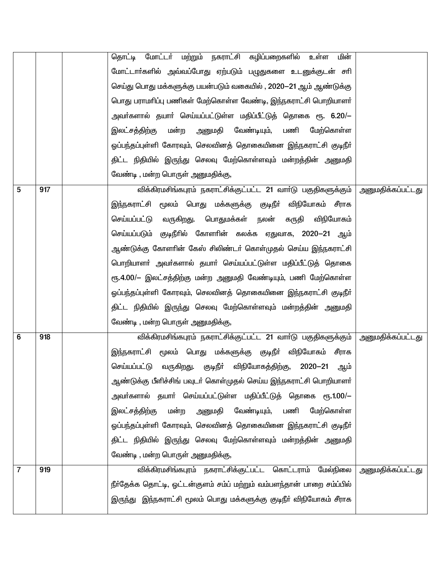|                |     | தொட்டி மோட்டர் மற்றும் நகராட்சி கழிப்பறைகளில் உள்ள<br>மின்                |                          |
|----------------|-----|---------------------------------------------------------------------------|--------------------------|
|                |     | மோட்டாா்களில் அவ்வப்போது ஏற்படும் பழுதுகளை உடனுக்குடன் சாி                |                          |
|                |     | செய்து பொது மக்களுக்கு பயன்படும் வகையில் , 2020—21 ஆம் ஆண்டுக்கு          |                          |
|                |     | பொது பராமாிப்பு பணிகள் மேற்கொள்ள வேண்டி, இந்நகராட்சி பொறியாளா்            |                          |
|                |     | அவா்களால் தயாா் செய்யப்பட்டுள்ள மதிப்பீட்டுத் தொகை ரூ. 6.20/—             |                          |
|                |     | இலட்சத்திற்கு<br>மன்ற<br>வேண்டியும்,<br>பணி<br>அனுமதி<br>மேற்கொள்ள        |                          |
|                |     | ஓப்பந்தப்புள்ளி கோரவும், செலவினத் தொகையினை இந்நகராட்சி குடிநீா்           |                          |
|                |     | திட்ட நிதியில் இருந்து செலவு மேற்கொள்ளவும் மன்றத்தின் அனுமதி              |                          |
|                |     | வேண்டி, மன்ற பொருள் அனுமதிக்கு,                                           |                          |
| 5              | 917 | விக்கிரமசிங்கபுரம் நகராட்சிக்குட்பட்ட 21 வார்டு பகுதிகளுக்கும்            | அனுமதிக்கப்பட்டது        |
|                |     | இந்நகராட்சி மூலம் பொது மக்களுக்கு குடிநீா்<br>விநியோகம் சீராக             |                          |
|                |     | வருகிறது.<br>பொதுமக்கள் நலன் கருதி விநியோகம்<br>செய்யப்பட்டு              |                          |
|                |     | செய்யப்படும் குடிநீரில் கோளரின் கலக்க ஏதுவாக, 2020-21 ஆம்                 |                          |
|                |     | ஆண்டுக்கு கோளாின் கேஸ் சிலிண்டா் கொள்முதல் செய்ய இந்நகராட்சி              |                          |
|                |     | பொறியாளா் அவா்களால் தயாா் செய்யப்பட்டுள்ள மதிப்பீட்டுத் தொகை              |                          |
|                |     | ரூ.4.00/— இலட்சத்திற்கு மன்ற அனுமதி வேண்டியும், பணி மேற்கொள்ள             |                          |
|                |     | ஓப்பந்தப்புள்ளி கோரவும், செலவினத் தொகையினை இந்நகராட்சி குடிநீா்           |                          |
|                |     | திட்ட நிதியில் இருந்து செலவு மேற்கொள்ளவும் மன்றத்தின் அனுமதி              |                          |
|                |     | வேண்டி, மன்ற பொருள் அனுமதிக்கு,                                           |                          |
| 6              | 918 | விக்கிரமசிங்கபுரம் நகராட்சிக்குட்பட்ட 21 வார்டு பகுதிகளுக்கும்            | <u>அனுமதிக்கப்பட்டது</u> |
|                |     | இந்நகராட்சி மூலம் பொது மக்களுக்கு குடிநீா் விநியோகம் சீராக                |                          |
|                |     | செய்யப்பட்டு<br>வருகிறது. குடிநீா் விநியோகத்திற்கு,<br>$2020 - 21$<br>ஆம் |                          |
|                |     | ஆண்டுக்கு பீளிச்சிங் பவுடா் கொள்முதல் செய்ய இந்நகராட்சி பொறியாளா்         |                          |
|                |     | அவா்களால் தயாா் செய்யப்பட்டுள்ள மதிப்பீட்டுத் தொகை ரூ.1.00/-              |                          |
|                |     | வேண்டியும்,<br>இலட்சத்திற்கு<br>மன்ற<br>அனுமதி<br>பணி<br>மேற்கொள்ள        |                          |
|                |     | ஓப்பந்தப்புள்ளி கோரவும், செலவினத் தொகையினை இந்நகராட்சி குடிநீா்           |                          |
|                |     | திட்ட நிதியில் இருந்து செலவு மேற்கொள்ளவும் மன்றத்தின் அனுமதி              |                          |
|                |     | வேண்டி , மன்ற பொருள் அனுமதிக்கு,                                          |                          |
| $\overline{7}$ | 919 | விக்கிரமசிங்கபுரம் நகராட்சிக்குட்பட்ட கொட்டராம் மேல்நிலை                  | அனுமதிக்கப்பட்டது        |
|                |     | நீா்தேக்க தொட்டி, ஓட்டன்குளம் சம்ப் மற்றும் வம்பளந்தான் பாறை சம்ப்பில்    |                          |
|                |     | இருந்து இந்நகராட்சி மூலம் பொது மக்களுக்கு குடிநீா் விநியோகம் சீராக        |                          |
|                |     |                                                                           |                          |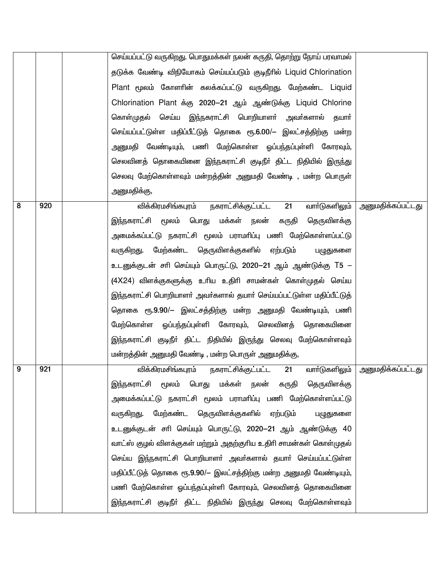|   |     | செய்யப்பட்டு வருகிறது. பொதுமக்கள் நலன் கருதி, தொற்று நோய் பரவாமல்   |                                   |
|---|-----|---------------------------------------------------------------------|-----------------------------------|
|   |     | தடுக்க வேண்டி விநியோகம் செய்யப்படும் குடிநீரில் Liquid Chlorination |                                   |
|   |     | Plant மூலம் கோளரின் கலக்கப்பட்டு வருகிறது. மேற்கண்ட Liquid          |                                   |
|   |     | Chlorination Plant க்கு 2020-21 ஆம் ஆண்டுக்கு Liquid Chlorine       |                                   |
|   |     | கொள்முதல் செய்ய இந்நகராட்சி பொறியாளா் அவா்களால்<br>தயார்            |                                   |
|   |     | செய்யப்பட்டுள்ள மதிப்பீட்டுத் தொகை ரூ.6.00/– இலட்சத்திற்கு மன்ற     |                                   |
|   |     | அனுமதி வேண்டியும், பணி மேற்கொள்ள ஓப்பந்தப்புள்ளி கோரவும்,           |                                   |
|   |     | செலவினத் தொகையினை இந்நகராட்சி குடிநீா் திட்ட நிதியில் இருந்து       |                                   |
|   |     | செலவு மேற்கொள்ளவும் மன்றத்தின் அனுமதி வேண்டி , மன்ற பொருள்          |                                   |
|   |     | அனுமதிக்கு,                                                         |                                   |
| 8 | 920 | விக்கிரமசிங்கபுரம் நகராட்சிக்குட்பட்ட 21<br>வாா்டுகளிலும்           | <u>அனுமதிக்கப்பட்டது</u>          |
|   |     | இந்நகராட்சி மூலம் பொது மக்கள் நலன்<br>கருதி<br>தெருவிளக்கு          |                                   |
|   |     | அமைக்கப்பட்டு நகராட்சி மூலம் பராமாிப்பு பணி மேற்கொள்ளப்பட்டு        |                                   |
|   |     | வருகிறது. மேற்கண்ட தெருவிளக்குகளில் ஏற்படும்<br>பழுதுகளை            |                                   |
|   |     | உடனுக்குடன் சாி செய்யும் பொருட்டு, 2020–21 ஆம் ஆண்டுக்கு T5 –       |                                   |
|   |     | (4X24) விளக்குகளுக்கு உரிய உதிரி சாமன்கள் கொள்முதல் செய்ய           |                                   |
|   |     | இந்நகராட்சி பொறியாளர் அவர்களால் தயார் செய்யப்பட்டுள்ள மதிப்பீட்டுத் |                                   |
|   |     | தொகை ரூ.9.90/– இலட்சத்திற்கு மன்ற அனுமதி வேண்டியும், பணி            |                                   |
|   |     | மேற்கொள்ள ஓப்பந்தப்புள்ளி கோரவும், செலவினத் தொகையினை                |                                   |
|   |     | இந்நகராட்சி குடிநீா் திட்ட நிதியில் இருந்து செலவு மேற்கொள்ளவும்     |                                   |
|   |     | மன்றத்தின் அனுமதி வேண்டி , மன்ற பொருள் அனுமதிக்கு,                  |                                   |
| 9 | 921 | விக்கிரமசிங்கபுரம்<br>நகராட்சிக்குட்பட்ட 21                         | வாா்டுகளிலும்   அனுமதிக்கப்பட்டது |
|   |     | இந்நகராட்சி மூலம் பொது மக்கள் நலன் கருதி தெருவிளக்கு                |                                   |
|   |     | அமைக்கப்பட்டு நகராட்சி மூலம் பராமரிப்பு பணி மேற்கொள்ளப்பட்டு        |                                   |
|   |     | வருகிறது. மேற்கண்ட தெருவிளக்குகளில் ஏற்படும்<br>பழுதுகளை            |                                   |
|   |     | உடனுக்குடன் சாி செய்யும் பொருட்டு, 2020–21 ஆம் ஆண்டுக்கு 40         |                                   |
|   |     | வாட்ஸ் குழல் விளக்குகள் மற்றும் அதற்குரிய உதிரி சாமன்கள் கொள்முதல்  |                                   |
|   |     | செய்ய இந்நகராட்சி பொறியாளா் அவா்களால் தயாா் செய்யப்பட்டுள்ள         |                                   |
|   |     | மதிப்பீட்டுத் தொகை ரூ.9.90/— இலட்சத்திற்கு மன்ற அனுமதி வேண்டியும்,  |                                   |
|   |     | பணி மேற்கொள்ள ஓப்பந்தப்புள்ளி கோரவும், செலவினத் தொகையினை            |                                   |
|   |     | இந்நகராட்சி குடிநீா் திட்ட நிதியில் இருந்து செலவு மேற்கொள்ளவும்     |                                   |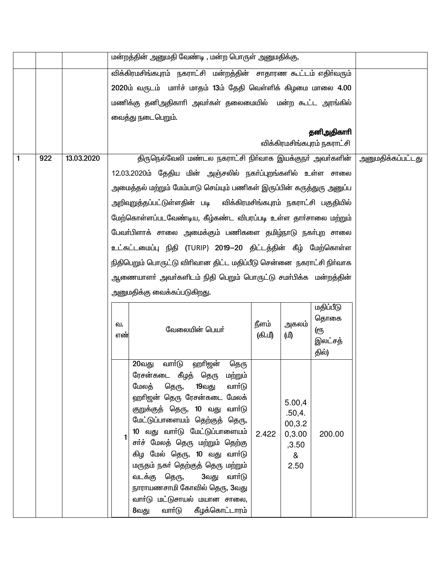|   |     |            |           | மன்றத்தின் அனுமதி வேண்டி , மன்ற பொருள் அனுமதிக்கு,                                                                                                                                                                                                                                                                                                                                                                                                                                        |       |                                                            |                                           |                          |
|---|-----|------------|-----------|-------------------------------------------------------------------------------------------------------------------------------------------------------------------------------------------------------------------------------------------------------------------------------------------------------------------------------------------------------------------------------------------------------------------------------------------------------------------------------------------|-------|------------------------------------------------------------|-------------------------------------------|--------------------------|
|   |     |            |           | விக்கிரமசிங்கபுரம் நகராட்சி மன்றத்தின் சாதாரண கூட்டம் எதிர்வரும்                                                                                                                                                                                                                                                                                                                                                                                                                          |       |                                                            |                                           |                          |
|   |     |            |           | 2020ம் வருடம் மாா்ச் மாதம் 13ம் தேதி வெள்ளிக் கிழமை மாலை 4.00                                                                                                                                                                                                                                                                                                                                                                                                                             |       |                                                            |                                           |                          |
|   |     |            |           | மணிக்கு தனிஅதிகாரி அவா்கள் தலைமையில் மன்ற கூட்ட அரங்கில்                                                                                                                                                                                                                                                                                                                                                                                                                                  |       |                                                            |                                           |                          |
|   |     |            |           | வைத்து நடைபெறும்.                                                                                                                                                                                                                                                                                                                                                                                                                                                                         |       |                                                            |                                           |                          |
|   |     |            |           |                                                                                                                                                                                                                                                                                                                                                                                                                                                                                           |       |                                                            | தனிஅதிகாரி<br>விக்கிரமசிங்கபுரம் நகராட்சி |                          |
| 1 | 922 | 13.03.2020 |           | திருநெல்வேலி மண்டல நகராட்சி நிா்வாக இயக்குநா் அவா்களின்                                                                                                                                                                                                                                                                                                                                                                                                                                   |       |                                                            |                                           | <u>அனுமதிக்கப்பட்டது</u> |
|   |     |            |           | 12.03.2020ம் தேதிய மின் அஞ்சலில் நகா்ப்புறங்களில் உள்ள சாலை                                                                                                                                                                                                                                                                                                                                                                                                                               |       |                                                            |                                           |                          |
|   |     |            |           | அமைத்தல் மற்றும் மேம்பாடு செய்யும் பணிகள் இருப்பின் கருத்துரு அனுப்ப                                                                                                                                                                                                                                                                                                                                                                                                                      |       |                                                            |                                           |                          |
|   |     |            |           | அறிவுறுத்தப்பட்டுள்ளதின் படி விக்கிரமசிங்கபுரம் நகராட்சி பகுதியில்                                                                                                                                                                                                                                                                                                                                                                                                                        |       |                                                            |                                           |                          |
|   |     |            |           | மேற்கொள்ளப்படவேண்டிய, கீழ்கண்ட விபரப்படி உள்ள தாா்சாலை மற்றும்                                                                                                                                                                                                                                                                                                                                                                                                                            |       |                                                            |                                           |                          |
|   |     |            |           | பேவா்பிளாக் சாலை அமைக்கும் பணிகளை தமிழ்நாடு நகா்புற சாலை                                                                                                                                                                                                                                                                                                                                                                                                                                  |       |                                                            |                                           |                          |
|   |     |            |           | உட்கட்டமைப்பு நிதி (TURIP) 2019–20 திட்டத்தின் கீழ் மேற்கொள்ள                                                                                                                                                                                                                                                                                                                                                                                                                             |       |                                                            |                                           |                          |
|   |     |            |           | நிதிபெறும் பொருட்டு விரிவான திட்ட மதிப்பீடு சென்னை நகராட்சி நிர்வாக                                                                                                                                                                                                                                                                                                                                                                                                                       |       |                                                            |                                           |                          |
|   |     |            |           | ஆணையாளா் அவா்களிடம் நிதி பெறும் பொருட்டு சமா்பிக்க  மன்றத்தின்                                                                                                                                                                                                                                                                                                                                                                                                                            |       |                                                            |                                           |                          |
|   |     |            |           | அனுமதிக்கு வைக்கப்படுகிறது.                                                                                                                                                                                                                                                                                                                                                                                                                                                               |       |                                                            |                                           |                          |
|   |     |            | வ.<br>எண் | வேலையின் பெயர்                                                                                                                                                                                                                                                                                                                                                                                                                                                                            |       |                                                            |                                           |                          |
|   |     |            |           | வார்டு<br>ஹாிஜன்<br>20வது<br>தெரு<br>ரேசன்கடை கீழத் தெரு மற்றும்<br>மேலத்<br>தெரு,<br>19வது<br>வார்டு<br>ஹாிஜன் தெரு ரேசன்கடை மேலக்<br>குறுக்குத் தெரு, 10 வது<br>வார்டு<br>மேட்டுப்பாளையம் தெற்குத் தெரு,<br>10 வது வாா்டு மேட்டுப்பாளையம்<br>சா்ச் மேலத் தெரு மற்றும் தெற்கு<br>கிழ மேல் தெரு, 10 வது வாா்டு<br>மருதம் நகா் தெற்குத் தெரு மற்றும்<br>வடக்கு தெரு,<br>3வது<br>வார்டு<br>நாராயணசாமி கோவில் தெரு, 3வது<br>வார்டு மட்டுசாயல் மயான சாலை,<br>கீழக்கொட்டாரம்<br>வார்டு<br>8வது | 2.422 | 5.00,4<br>.50,4.<br>00,3.2<br>0,3.00<br>,3.50<br>&<br>2.50 | 200.00                                    |                          |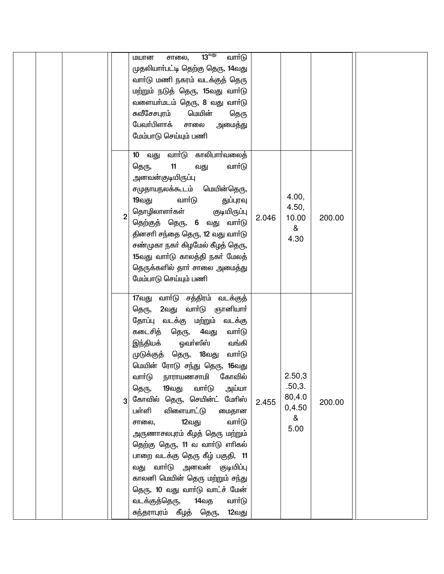| 13 <sup>engi</sup><br>வார்டு<br>சாலை,<br>மயான<br>முதலியாா்பட்டி தெற்கு தெரு, 14வது<br>வாா்டு மணி நகரம் வடக்குத் தெரு<br>மற்றும் நடுத் தெரு, 15வது வாா்டு<br>வளையா்மடம் தெரு, 8 வது வாா்டு<br>௬வீசேசபுரம்<br>மெயின்<br>தெரு<br>பேவா்பிளாக்<br>சாலை<br>அமைத்து<br>மேம்பாடு செய்யும் பணி                                                                                                                                                                                                                                                                                                                                                                                                             |                                                             |
|---------------------------------------------------------------------------------------------------------------------------------------------------------------------------------------------------------------------------------------------------------------------------------------------------------------------------------------------------------------------------------------------------------------------------------------------------------------------------------------------------------------------------------------------------------------------------------------------------------------------------------------------------------------------------------------------------|-------------------------------------------------------------|
| வார்டு காலிபார்வலைத்<br>10 வது<br>11<br>வார்டு<br>தெரு,<br>வது<br>அனவன்குடியிருப்பு<br>சமுதாயநலக்கூடம் மெயின்தெரு,<br>வார்டு<br>19வது<br>துப்புரவு<br>தொழிலாளர்கள்<br>குடியிருப்பு<br>$\overline{2}$<br>2.046<br>தெற்குத் தெரு, 6 வது வார்டு<br>தினசரி சந்தை தெரு, 12 வது வார்டு<br>சண்முகா நகா் கிழமேல் கீழத் தெரு,<br>15வது வாா்டு காலத்தி நகா் மேலத்<br>தெருக்களில் தாா் சாலை அமைத்து<br>மேம்பாடு செய்யும் பணி                                                                                                                                                                                                                                                                                 | 4.00,<br>4.50,<br>10.00<br>200.00<br>&<br>4.30              |
| 17வது வாா்டு சத்திரம் வடக்குத்<br>தெரு, 2வது வார்டு ஞானியார்<br>தோப்பு வடக்கு மற்றும்<br>வடக்கு<br>கடைசித் தெரு,<br>4வது<br>வாா்டு<br>இந்தியக் ஓவா்ஸீஸ்<br>வங்கி<br>முடுக்குத் தெரு, 18வது<br>வார்டு<br>மெயின் ரோடு சந்து தெரு, 16வது<br>நாராயணசாமி கோவில்<br>வாா்டு<br>19வது<br>வாா்டு<br>அய்யா<br>தெரு,<br>கோவில் தெரு, செயின்ட் மேரிஸ்<br>2.455<br>பள்ளி<br>விளையாட்டு<br>மைதான<br>வார்டு<br>12வது<br>சாலை,<br>அருணாசலபுரம் கீழத் தெரு மற்றும்<br>தெற்கு தெரு, 11 வ வார்டு எரிகல்<br>பாறை வடக்கு தெரு கீழ் பகுதி, 11<br>வது வாா்டு அனவன் குடியிப்பு<br>காலனி மெயின் தெரு மற்றும் சந்து<br>தெரு, 10 வது வார்டு வாட்ச் மேன்<br>வடக்குத்தெரு, 14வத<br>வார்டு<br>சுந்தராபுரம் கீழத் தெரு,<br>12வது | 2.50,3<br>.50,3.<br>80,4.0<br>200.00<br>0,4.50<br>&<br>5.00 |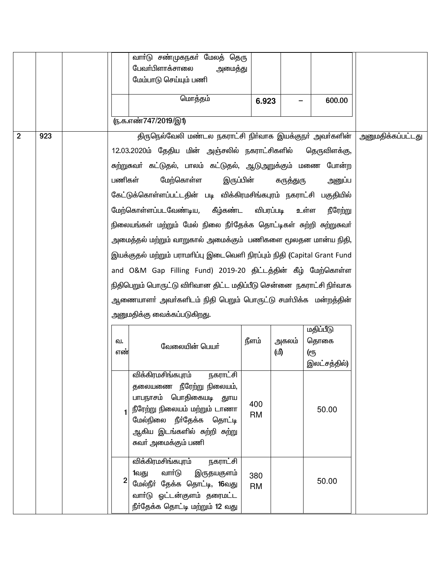|                |     |        | வாா்டு சண்முகநகா் மேலத் தெரு                                            |              |           |              |                          |
|----------------|-----|--------|-------------------------------------------------------------------------|--------------|-----------|--------------|--------------------------|
|                |     |        | பேவா்பிளாக்சாலை<br>அமைத்து                                              |              |           |              |                          |
|                |     |        | மேம்பாடு செய்யும் பணி                                                   |              |           |              |                          |
|                |     |        | மொத்தம்                                                                 | 6.923        |           | 600.00       |                          |
|                |     |        | ரு.க.எண்747/2019/இ1)                                                    |              |           |              |                          |
| $\overline{2}$ | 923 |        | திருநெல்வேலி மண்டல நகராட்சி நிர்வாக இயக்குநா் அவா்களின்                 |              |           |              | <u>அனுமதிக்கப்பட்டது</u> |
|                |     |        | 12.03.2020ம் தேதிய மின் அஞ்சலில் நகராட்சிகளில்                          | தெருவிளக்கு, |           |              |                          |
|                |     |        |                                                                         |              |           |              |                          |
|                |     |        | சுற்றுகவர் கட்டுதல், பாலம் கட்டுதல், ஆடுஅறுக்கும் மணை போன்ற             |              |           |              |                          |
|                |     | பணிகள் | மேற்கொள்ள<br>இருப்பின்                                                  |              | கருத்துரு | அனுப்ப       |                          |
|                |     |        | கேட்டுக்கொள்ளப்பட்டதின் படி விக்கிரமசிங்கபுரம் நகராட்சி பகுதியில்       |              |           |              |                          |
|                |     |        | மேற்கொள்ளப்படவேண்டிய, கீழ்கண்ட விபரப்படி உள்ள                           |              |           | நீரேற்று     |                          |
|                |     |        | நிலையங்கள் மற்றும் மேல் நிலை நீா்தேக்க தொட்டிகள் சுற்றி சுற்றுகவா்      |              |           |              |                          |
|                |     |        | அமைத்தல் மற்றும் வாறுகால் அமைக்கும் பணிகளை மூலதன மான்ய நிதி,            |              |           |              |                          |
|                |     |        | இயக்குதல் மற்றும் பராமரிப்பு இடைவெளி நிரப்பும் நிதி (Capital Grant Fund |              |           |              |                          |
|                |     |        | and O&M Gap Filling Fund) 2019-20 திட்டத்தின் கீழ் மேற்கொள்ள            |              |           |              |                          |
|                |     |        | நிதிபெறும் பொருட்டு விரிவான திட்ட மதிப்பீடு சென்னை நகராட்சி நிர்வாக     |              |           |              |                          |
|                |     |        | ஆணையாளா் அவா்களிடம் நிதி பெறும் பொருட்டு சமா்பிக்க மன்றத்தின்           |              |           |              |                          |
|                |     |        | அனுமதிக்கு வைக்கப்படுகிறது.                                             |              |           |              |                          |
|                |     |        |                                                                         |              |           | மதிப்பீடு    |                          |
|                |     | வ.     |                                                                         | நீளம்        | அகலம்     | தொகை         |                          |
|                |     | எண்    | வேலையின் பெயர்                                                          |              | (மி       | <u>(</u> еҧ  |                          |
|                |     |        |                                                                         |              |           | இலட்சத்தில்) |                          |
|                |     |        | விக்கிரமசிங்கபுரம் நகராட்சி                                             |              |           |              |                          |
|                |     |        | தலையணை நீரேற்று நிலையம்,<br>பாபநாசம் பொதிகையடி துாய                     |              |           |              |                          |
|                |     |        | நீரேற்று நிலையம் மற்றும் டாணா                                           | 400          |           | 50.00        |                          |
|                |     |        | மேல்நிலை நீா்தேக்க தொட்டி                                               | <b>RM</b>    |           |              |                          |
|                |     |        | ஆகிய இடங்களில் சுற்றி சுற்று                                            |              |           |              |                          |
|                |     |        | சுவா் அமைக்கும் பணி                                                     |              |           |              |                          |
|                |     |        | விக்கிரமசிங்கபுரம்<br>நகராட்சி                                          |              |           |              |                          |
|                |     | 2      | வார்டு<br>இருதயகுளம்<br>1வது                                            | 380          |           |              |                          |
|                |     |        | மேல்நீா் தேக்க தொட்டி, 16வது                                            | <b>RM</b>    |           | 50.00        |                          |
|                |     |        | வாா்டு ஓட்டன்குளம் தரைமட்ட<br>நீர்தேக்க தொட்டி மற்றும் 12 வது           |              |           |              |                          |
|                |     |        |                                                                         |              |           |              |                          |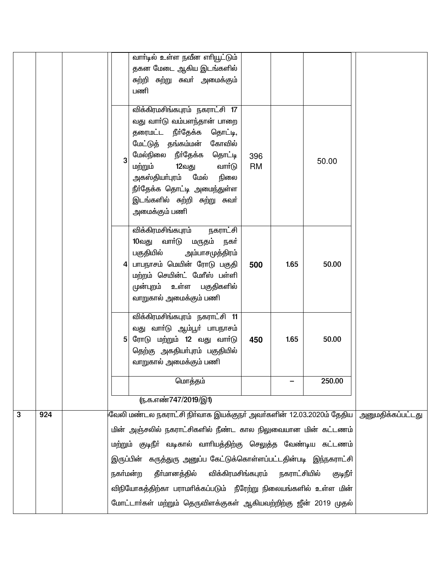|   |     |          | வாா்டில் உள்ள நவீன எாியூட்டும்                                                                                                                                                                                                                                                                        |                  |              |          |                   |
|---|-----|----------|-------------------------------------------------------------------------------------------------------------------------------------------------------------------------------------------------------------------------------------------------------------------------------------------------------|------------------|--------------|----------|-------------------|
|   |     |          | தகன மேடை ஆகிய இடங்களில்<br>சுற்றி சுற்று சுவா் அமைக்கும்                                                                                                                                                                                                                                              |                  |              |          |                   |
|   |     |          | பணி                                                                                                                                                                                                                                                                                                   |                  |              |          |                   |
|   |     | 3        | விக்கிரமசிங்கபுரம் நகராட்சி 17<br>வது வாா்டு வம்பளந்தான் பாறை<br>தரைமட்ட நீா்தேக்க<br>தொட்டி,<br>மேட்டுத் தங்கம்மன் கோவில்<br>மேல்நிலை நீா்தேக்க<br>தொட்டி<br>மற்றும்<br>12வது<br>வாா்டு<br>அகஸ்தியா்புரம் மேல் நிலை<br>நீா்தேக்க தொட்டி அமைந்துள்ள<br>இடங்களில் சுற்றி சுற்று சுவர்<br>அமைக்கும் பணி | 396<br><b>RM</b> |              | 50.00    |                   |
|   |     |          | விக்கிரமசிங்கபுரம்<br>நகராட்சி<br>10வது வார்டு மருதம் நகர்<br>பகுதியில் அம்பாசமுத்திரம்<br>பாபநாசம் மெயின் ரோடு பகுதி<br>மற்றம் செயின்ட் மேரீஸ் பள்ளி<br>முன்புறம் உள்ள பகுதிகளில்<br>வாறுகால் அமைக்கும் பணி                                                                                          | 500              | 1.65         | 50.00    |                   |
|   |     | 5        | விக்கிரமசிங்கபுரம் நகராட்சி 11<br>வது வாா்டு ஆம்பூா் பாபநாசம்<br>ரோடு மற்றும் 12 வது வார்டு<br>தெற்கு அகதியா்புரம் பகுதியில்<br>வாறுகால் அமைக்கும் பணி                                                                                                                                                | 450              | 1.65         | 50.00    |                   |
|   |     |          | மொத்தம்                                                                                                                                                                                                                                                                                               |                  |              | 250.00   |                   |
|   |     |          | ரு.க.எண்747/2019/இ1)                                                                                                                                                                                                                                                                                  |                  |              |          |                   |
| 3 | 924 |          | வேலி மண்டல நகராட்சி நிா்வாக இயக்குநா் அவா்களின் 12.03.2020ம் தேதிய                                                                                                                                                                                                                                    |                  |              |          | அனுமதிக்கப்பட்டது |
|   |     |          | மின் அஞ்சலில் நகராட்சிகளில் நீண்ட கால நிலுவையான மின் கட்டணம்                                                                                                                                                                                                                                          |                  |              |          |                   |
|   |     |          | மற்றும் குடிநீா் வடிகால் வாாியத்திற்கு செலுத்த வேண்டிய கட்டணம்                                                                                                                                                                                                                                        |                  |              |          |                   |
|   |     |          | இருப்பின் கருத்துரு அனுப்ப கேட்டுக்கொள்ளப்பட்டதின்படி இந்நகராட்சி                                                                                                                                                                                                                                     |                  |              |          |                   |
|   |     | நகர்மன்ற | விக்கிரமசிங்கபுரம்<br>தீா்மானத்தில்                                                                                                                                                                                                                                                                   |                  | நகராட்சியில் | குடிநீர் |                   |
|   |     |          | விநியோகத்திற்கா பராமாிக்கப்படும்  நீரேற்று நிலையங்களில் உள்ள மின்                                                                                                                                                                                                                                     |                  |              |          |                   |
|   |     |          | மோட்டாா்கள் மற்றும் தெருவிளக்குகள் ஆகியவற்றிற்கு ஜீன் 2019 முதல்                                                                                                                                                                                                                                      |                  |              |          |                   |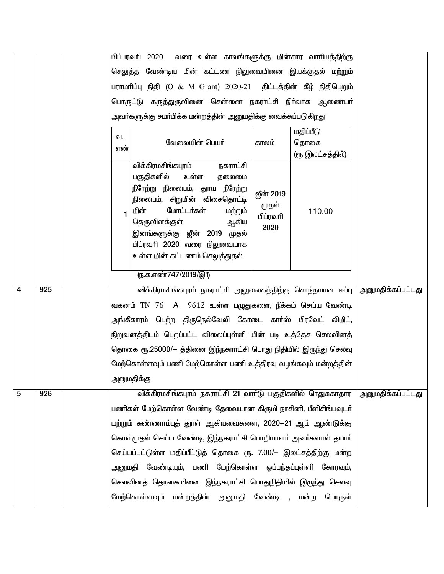|                         |     |              | பிப்பரவரி 2020 வரை உள்ள காலங்களுக்கு மின்சார வாரியத்திற்கு        |                  |                  |                          |
|-------------------------|-----|--------------|-------------------------------------------------------------------|------------------|------------------|--------------------------|
|                         |     |              | செலுத்த வேண்டிய மின் கட்டண நிலுவையினை இயக்குதல் மற்றும்           |                  |                  |                          |
|                         |     |              | பராமரிப்பு நிதி (O & M Grant) 2020-21 திட்டத்தின் கீழ் நிதிபெறும் |                  |                  |                          |
|                         |     |              | பொருட்டு கருத்துருவினை சென்னை நகராட்சி நிர்வாக ஆணையர்             |                  |                  |                          |
|                         |     |              | அவா்களுக்கு சமா்பிக்க மன்றத்தின் அனுமதிக்கு வைக்கப்படுகிறது       |                  |                  |                          |
|                         |     | ഖ.           |                                                                   |                  | மதிப்பீடு        |                          |
|                         |     | எண்          | வேலையின் பெயர்                                                    | காலம்            | தொகை             |                          |
|                         |     |              | விக்கிரமசிங்கபுரம்<br>நகராட்சி                                    |                  | (ரூ இலட்சத்தில்) |                          |
|                         |     |              | பகுதிகளில்<br>உள்ள<br>தலைமை                                       |                  |                  |                          |
|                         |     |              | நீரேற்று நிலையம், துாய நீரேற்று<br>நிலையம், சிறுமின் விசைதொட்டி   | <b>ஜீன் 2019</b> |                  |                          |
|                         |     | $\mathbf{1}$ | மின்<br>மோட்டர்கள்<br>மற்றும்                                     | முதல்            | 110.00           |                          |
|                         |     |              | தெருவிளக்குள்<br>ஆகிய                                             | பிப்ரவரி<br>2020 |                  |                          |
|                         |     |              | இனங்களுக்கு ஜீன் 2019 முதல்<br>பிப்ரவரி 2020 வரை நிலுவையாக        |                  |                  |                          |
|                         |     |              | உள்ள மின் கட்டணம் செலுத்துதல்                                     |                  |                  |                          |
|                         |     |              | (ந.க.எண்747/2019/இ1)                                              |                  |                  |                          |
| $\overline{\mathbf{4}}$ | 925 |              | விக்கிரமசிங்கபுரம் நகராட்சி அலுவலகத்திற்கு சொந்தமான ஈப்பு         |                  |                  | <u>அனுமதிக்கப்பட்டது</u> |
|                         |     |              | வகனம் TN 76 A 9612 உள்ள பழுதுகளை, நீக்கம் செய்ய வேண்டி            |                  |                  |                          |
|                         |     |              | அங்கீகாரம் பெற்ற திருநெல்வேலி கோடை காா்ஸ் பிரவேட் லிமிட்,         |                  |                  |                          |
|                         |     |              | நிறுவனத்திடம் பெறப்பட்ட விலைப்புள்ளி யின் படி உத்தேச செலவினத்     |                  |                  |                          |
|                         |     |              | தொகை ரூ.25000/– த்தினை இந்நகராட்சி பொது நிதியில் இருந்து செலவு    |                  |                  |                          |
|                         |     |              | மேற்கொள்ளவும் பணி மேற்கொள்ள பணி உத்திரவு வழங்கவும் மன்றத்தின்     |                  |                  |                          |
|                         |     |              | அனுமதிக்கு                                                        |                  |                  |                          |
| 5                       | 926 |              | விக்கிரமசிங்கபுரம் நகராட்சி 21 வார்டு பகுதிகளில் ரெதுசுகாதார      |                  |                  | அனுமதிக்கப்பட்டது        |
|                         |     |              | பணிகள் மேற்கொள்ள வேண்டி தேவையான கிருமி நாசினி, பீளிசிங்பவுடர்     |                  |                  |                          |
|                         |     |              | மற்றும் சுண்ணாம்புத் துாள் ஆகியவைகளை, 2020—21 ஆம் ஆண்டுக்கு       |                  |                  |                          |
|                         |     |              | கொள்முதல் செய்ய வேண்டி, இந்நகராட்சி பொறியாளர் அவர்களால் தயார்     |                  |                  |                          |
|                         |     |              | செய்யப்பட்டுள்ள மதிப்பீட்டுத் தொகை ரூ. 7.00/– இலட்சத்திற்கு மன்ற  |                  |                  |                          |
|                         |     |              | அனுமதி வேண்டியும், பணி மேற்கொள்ள ஓப்பந்தப்புள்ளி கோரவும்,         |                  |                  |                          |
|                         |     |              | செலவினத் தொகையினை இந்நகராட்சி பொதுநிதியில் இருந்து செலவு          |                  |                  |                          |
|                         |     |              | மேற்கொள்ளவும் மன்றத்தின் அனுமதி வேண்டி ,                          |                  | மன்ற<br>பொருள்   |                          |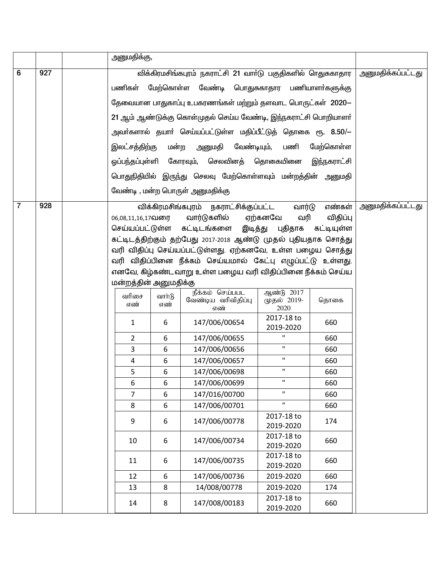|                |     | அனுமதிக்கு,                                                 |        |                                                                |                           |             |                            |
|----------------|-----|-------------------------------------------------------------|--------|----------------------------------------------------------------|---------------------------|-------------|----------------------------|
| 6              | 927 |                                                             |        | விக்கிரமசிங்கபுரம் நகராட்சி 21 வாா்டு பகுதிகளில் ாெதுசுகாதார   |                           |             | <u>  அனுமதிக்கப்பட்டது</u> |
|                |     | மேற்கொள்ள வேண்டி பொதுசுகாதார<br>பணிகள்                      |        |                                                                |                           |             |                            |
|                |     | தேவையான பாதுகாப்பு உபகரணங்கள் மற்றும் தளவாட பொருட்கள் 2020- |        |                                                                |                           |             |                            |
|                |     |                                                             |        |                                                                |                           |             |                            |
|                |     |                                                             |        | 21 ஆம் ஆண்டுக்கு கொள்முதல் செய்ய வேண்டி, இந்நகராட்சி பொறியாளர் |                           |             |                            |
|                |     |                                                             |        | அவா்களால் தயாா் செய்யப்பட்டுள்ள மதிப்பீட்டுத் தொகை ரூ. 8.50/—  |                           |             |                            |
|                |     | இலட்சத்திற்கு                                               | மன்ற   | அனுமதி வேண்டியும்,                                             | பணி                       | மேற்கொள்ள   |                            |
|                |     |                                                             |        | ஓப்பந்தப்புள்ளி கோரவும், செலவினத் தொகையினை                     |                           | இந்நகராட்சி |                            |
|                |     |                                                             |        | பொதுநிதியில் இருந்து செலவு மேற்கொள்ளவும் மன்றத்தின் அனுமதி     |                           |             |                            |
|                |     |                                                             |        | வேண்டி , மன்ற பொருள் அனுமதிக்கு                                |                           |             |                            |
| $\overline{7}$ | 928 |                                                             |        | விக்கிரமசிங்கபுரம் நகராட்சிக்குப்பட்ட                          | வார்டு                    | எண்கள்      | அனுமதிக்கப்பட்டது          |
|                |     | 06,08,11,16,17வரை                                           |        | வார்டுகளில்                                                    | ஏற்கனவே<br>வரி            | விதிப்பு    |                            |
|                |     |                                                             |        | செய்யப்பட்டுள்ள கட்டிடங்களை இடித்து புதிதாக கட்டியுள்ள         |                           |             |                            |
|                |     |                                                             |        | கட்டிடத்திற்கும் தற்பேது 2017-2018 ஆண்டு முதல் புதியதாக சொத்து |                           |             |                            |
|                |     |                                                             |        | வரி விதிப்பு செய்யப்பட்டுள்ளது. ஏற்கனவே, உள்ள பழைய சொத்து      |                           |             |                            |
|                |     |                                                             |        | வரி விதிப்பினை நீக்கம் செய்யமால் கேட்பு எழுப்பட்டு உள்ளது.     |                           |             |                            |
|                |     |                                                             |        | எனவே, கிழ்கண்டவாறு உள்ள பழைய வரி விதிப்பினை நீக்கம் செய்ய      |                           |             |                            |
|                |     | மன்றத்தின் அனுமதிக்கு                                       |        |                                                                |                           |             |                            |
|                |     | வரிசை                                                       | வார்டு | நீக்கம் செய்பபட<br>வேண்டிய வரிவிதிப்பு                         | ஆண்டு 2017<br>முதல் 2019- | தொகை        |                            |
|                |     | எண்                                                         | எண்    | எண்                                                            | 2020                      |             |                            |
|                |     | 1                                                           | 6      | 147/006/00654                                                  | 2017-18 to<br>2019-2020   | 660         |                            |
|                |     | $\overline{2}$                                              | 6      | 147/006/00655                                                  | П.                        | 660         |                            |
|                |     | 3                                                           | 6      | 147/006/00656                                                  | $\mathbf{H}$              | 660         |                            |
|                |     | 4                                                           | 6      | 147/006/00657                                                  | $\mathbf{H}$              | 660         |                            |
|                |     | 5                                                           | 6      | 147/006/00698                                                  | П.                        | 660         |                            |
|                |     | 6                                                           | 6      | 147/006/00699                                                  | $\mathbf H$               | 660         |                            |
|                |     | 7                                                           | 6      | 147/016/00700                                                  | П.                        | 660         |                            |
|                |     | 8                                                           | 6      | 147/006/00701                                                  | $\mathbf H$               | 660         |                            |
|                |     | 9                                                           | 6      | 147/006/00778                                                  | 2017-18 to<br>2019-2020   | 174         |                            |
|                |     | 10                                                          | 6      | 147/006/00734                                                  | 2017-18 to<br>2019-2020   | 660         |                            |
|                |     | 11                                                          | 6      | 147/006/00735                                                  | 2017-18 to<br>2019-2020   | 660         |                            |
|                |     | 12                                                          | 6      | 147/006/00736                                                  | 2019-2020                 | 660         |                            |
|                |     | 13                                                          | 8      | 14/008/00778                                                   | 2019-2020                 | 174         |                            |
|                |     | 14                                                          | 8      | 147/008/00183                                                  | 2017-18 to<br>2019-2020   | 660         |                            |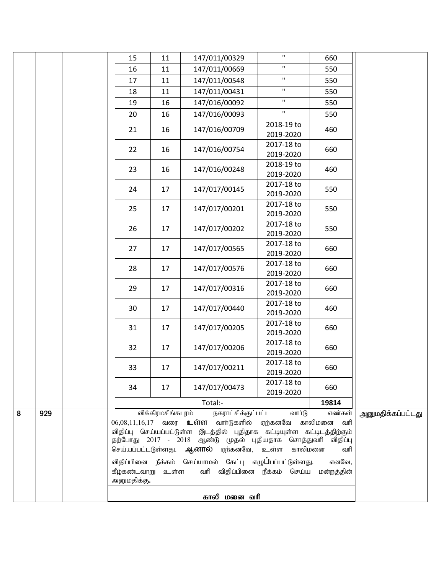|   |     | 15                                                                                                                                                                                                                                                           | 11                 | 147/011/00329                                                                                               | $\mathbf{H}$            | 660             |  |
|---|-----|--------------------------------------------------------------------------------------------------------------------------------------------------------------------------------------------------------------------------------------------------------------|--------------------|-------------------------------------------------------------------------------------------------------------|-------------------------|-----------------|--|
|   |     | 16                                                                                                                                                                                                                                                           | 11                 | 147/011/00669                                                                                               | $\mathbf H$             | 550             |  |
|   |     | 17                                                                                                                                                                                                                                                           | 11                 | 147/011/00548                                                                                               | $\mathbf{H}$            | 550             |  |
|   |     | 18                                                                                                                                                                                                                                                           | 11                 | 147/011/00431                                                                                               | $\mathbf{H}$            | 550             |  |
|   |     | 19                                                                                                                                                                                                                                                           | 16                 | 147/016/00092                                                                                               | $\mathbf{H}$            | 550             |  |
|   |     | 20                                                                                                                                                                                                                                                           | 16                 | 147/016/00093                                                                                               | $\mathbf{H}$            | 550             |  |
|   |     | 21                                                                                                                                                                                                                                                           | 16                 | 147/016/00709                                                                                               | 2018-19 to<br>2019-2020 | 460             |  |
|   |     | 22                                                                                                                                                                                                                                                           | 16                 | 147/016/00754                                                                                               | 2017-18 to<br>2019-2020 | 660             |  |
|   |     | 23                                                                                                                                                                                                                                                           | 16                 | 147/016/00248                                                                                               | 2018-19 to<br>2019-2020 | 460             |  |
|   |     | 24                                                                                                                                                                                                                                                           | 17                 | 147/017/00145                                                                                               | 2017-18 to<br>2019-2020 | 550             |  |
|   |     | 25                                                                                                                                                                                                                                                           | 17                 | 147/017/00201                                                                                               | 2017-18 to<br>2019-2020 | 550             |  |
|   |     | 26                                                                                                                                                                                                                                                           | 17                 | 147/017/00202                                                                                               | 2017-18 to<br>2019-2020 | 550             |  |
|   |     | 27                                                                                                                                                                                                                                                           | 17                 | 147/017/00565                                                                                               | 2017-18 to<br>2019-2020 | 660             |  |
|   |     | 28                                                                                                                                                                                                                                                           | 17                 | 147/017/00576                                                                                               | 2017-18 to<br>2019-2020 | 660             |  |
|   |     | 29                                                                                                                                                                                                                                                           | 17                 | 147/017/00316                                                                                               | 2017-18 to<br>2019-2020 | 660             |  |
|   |     | 30                                                                                                                                                                                                                                                           | 17                 | 147/017/00440                                                                                               | 2017-18 to<br>2019-2020 | 460             |  |
|   |     | 31                                                                                                                                                                                                                                                           | 17                 | 147/017/00205                                                                                               | 2017-18 to<br>2019-2020 | 660             |  |
|   |     | 32                                                                                                                                                                                                                                                           | 17                 | 147/017/00206                                                                                               | 2017-18 to<br>2019-2020 | 660             |  |
|   |     | 33                                                                                                                                                                                                                                                           | 17                 | 147/017/00211                                                                                               | 2017-18 to<br>2019-2020 | 660             |  |
|   |     | 34                                                                                                                                                                                                                                                           | 17                 | 147/017/00473                                                                                               | 2017-18 to<br>2019-2020 | 660             |  |
|   |     |                                                                                                                                                                                                                                                              | விக்கிரமசிங்கபுரம் | Total:-<br>நகராட்சிக்குட்பட்ட                                                                               | வார்டு                  | 19814<br>எண்கள் |  |
| 8 | 929 | $06,08,11,16,17$ வரை உள்ள வார்டுகளில் ஏற்கனவே காலிமனை வரி<br>விதிப்பு செய்யப்பட்டுள்ள இடத்தில் புதிதாக கட்டியுள்ள கட்டிடத்திற்கும்<br>தற்போது 2017 - 2018 ஆண்டு முதல் புதியதாக சொத்துவரி விதிப்பு<br>செய்யப்பட்டடுள்ளது. ஆ <b>னால்</b> ஏற்கனவே, உள்ள காலிமனை | அனுமதிக்கப்பட்டது  |                                                                                                             |                         |                 |  |
|   |     | கீழ்கண்டவாறு உள்ள<br>அனுமதிக்கு.                                                                                                                                                                                                                             |                    | விதிப்பினை நீக்கம் செய்யாமல் கேட்பு எழு <b>ப்</b> பப்பட்டுள்ளது.<br>வரி விதிப்பினை நீக்கம் செய்ய மன்றத்தின் |                         | வரி<br>எனவே,    |  |
|   |     |                                                                                                                                                                                                                                                              |                    | காலி மனை வரி                                                                                                |                         |                 |  |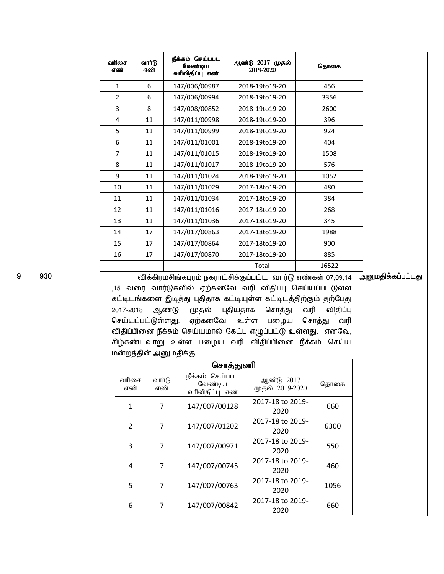|  | வரிசை<br>எண்   | வாா்டு<br>எண்                               | நீக்கம் செய்பபட<br>வேண்டிய<br>வரிவிதிப்பு எண் | ஆண்டு 2017 முதல்<br>2019-2020                                                                                                                                                                                                                                                 | தொகை                             |                          |
|--|----------------|---------------------------------------------|-----------------------------------------------|-------------------------------------------------------------------------------------------------------------------------------------------------------------------------------------------------------------------------------------------------------------------------------|----------------------------------|--------------------------|
|  | $\mathbf{1}$   | 6                                           | 147/006/00987                                 | 2018-19to19-20                                                                                                                                                                                                                                                                | 456                              |                          |
|  | 2              | 6                                           | 147/006/00994                                 | 2018-19to19-20                                                                                                                                                                                                                                                                | 3356                             |                          |
|  | 3              | 8                                           | 147/008/00852                                 | 2018-19to19-20                                                                                                                                                                                                                                                                | 2600                             |                          |
|  | 4              | 11                                          | 147/011/00998                                 | 2018-19to19-20                                                                                                                                                                                                                                                                | 396                              |                          |
|  | 5              | 11                                          | 147/011/00999                                 | 2018-19to19-20                                                                                                                                                                                                                                                                | 924                              |                          |
|  | 6              | 11                                          | 147/011/01001                                 | 2018-19to19-20                                                                                                                                                                                                                                                                | 404                              |                          |
|  | $\overline{7}$ | 11                                          | 147/011/01015                                 | 2018-19to19-20                                                                                                                                                                                                                                                                | 1508                             |                          |
|  | 8              | 11                                          | 147/011/01017                                 | 2018-19to19-20                                                                                                                                                                                                                                                                | 576                              |                          |
|  | 9              | 11                                          | 147/011/01024                                 | 2018-19to19-20                                                                                                                                                                                                                                                                | 1052                             |                          |
|  | 10             | 11                                          | 147/011/01029                                 | 2017-18to19-20                                                                                                                                                                                                                                                                | 480                              |                          |
|  | 11             | 11                                          | 147/011/01034                                 | 2017-18to19-20                                                                                                                                                                                                                                                                | 384                              |                          |
|  | 12             | 11                                          | 147/011/01016                                 | 2017-18to19-20                                                                                                                                                                                                                                                                | 268                              |                          |
|  | 13             | 11                                          | 147/011/01036                                 | 2017-18to19-20                                                                                                                                                                                                                                                                | 345                              |                          |
|  | 14             | 17                                          | 147/017/00863                                 | 2017-18to19-20                                                                                                                                                                                                                                                                | 1988                             |                          |
|  | 15             | 17                                          | 147/017/00864                                 | 2017-18to19-20                                                                                                                                                                                                                                                                | 900                              |                          |
|  | 16             | 17                                          | 147/017/00870                                 | 2017-18to19-20                                                                                                                                                                                                                                                                | 885                              |                          |
|  |                |                                             |                                               | Total                                                                                                                                                                                                                                                                         | 16522                            | <u>அனுமதிக்கப்பட்டது</u> |
|  | 2017-2018      | செய்யப்பட்டுள்ளது.<br>மன்றத்தின் அனுமதிக்கு | ஆண்டு<br>முதல்<br>ஏற்கனவே, உள்ள               | ,15 வரை வார்டுகளில் ஏற்கனவே வரி விதிப்பு செய்யப்பட்டுள்ள<br>கட்டிடங்களை இடித்து புதிதாக கட்டியுள்ள கட்டிடத்திற்கும் தற்பேது<br>புதியதாக சொத்து<br>பழைய<br>விதிப்பினை நீக்கம் செய்யமால் கேட்பு எழுப்பட்டு உள்ளது. எனவே,<br>கிழ்கண்டவாறு உள்ள பழைய வரி விதிப்பினை நீக்கம் செய்ய | வரி<br>விதிப்பு<br>சொத்து<br>வரி |                          |
|  |                |                                             |                                               | சொத்துவரி                                                                                                                                                                                                                                                                     |                                  |                          |
|  |                |                                             | நீக்கம் செய்பபட                               |                                                                                                                                                                                                                                                                               |                                  |                          |
|  | வரிசை<br>எண்   | வார்டு<br>எண்                               | வேண்டிய<br>வரிவிதிப்பு எண்                    | ஆண்டு 2017<br>முதல் 2019-2020                                                                                                                                                                                                                                                 | தொகை                             |                          |
|  | $\mathbf{1}$   | 7                                           | 147/007/00128                                 | 2017-18 to 2019-<br>2020                                                                                                                                                                                                                                                      | 660                              |                          |
|  | $\overline{2}$ | $\overline{7}$                              | 147/007/01202                                 | 2017-18 to 2019-<br>2020                                                                                                                                                                                                                                                      | 6300                             |                          |
|  | 3              | 7                                           | 147/007/00971                                 | 2017-18 to 2019-<br>2020                                                                                                                                                                                                                                                      | 550                              |                          |
|  | $\overline{a}$ | $\overline{7}$                              | 147/007/00745                                 | 2017-18 to 2019-<br>2020                                                                                                                                                                                                                                                      | 460                              |                          |
|  | 5              | $\overline{7}$                              | 147/007/00763                                 | 2017-18 to 2019-<br>2020                                                                                                                                                                                                                                                      | 1056                             |                          |
|  | 6              | $\overline{7}$                              | 147/007/00842                                 | 2017-18 to 2019-<br>2020                                                                                                                                                                                                                                                      | 660                              |                          |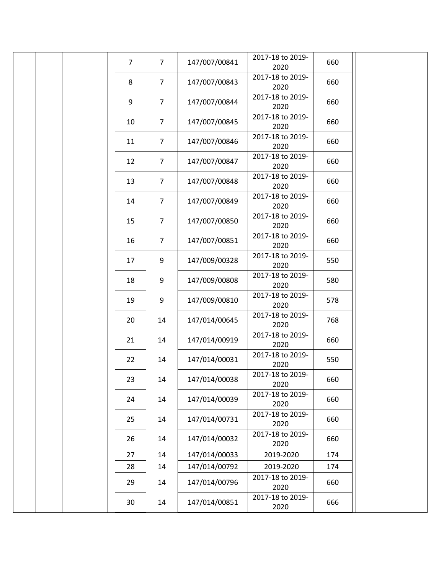|  | $\overline{7}$ | $\overline{7}$   | 147/007/00841                  | 2017-18 to 2019-<br>2020 | 660        |  |
|--|----------------|------------------|--------------------------------|--------------------------|------------|--|
|  | 8              | $\overline{7}$   | 147/007/00843                  | 2017-18 to 2019-<br>2020 | 660        |  |
|  | 9              | $\overline{7}$   | 147/007/00844                  | 2017-18 to 2019-<br>2020 | 660        |  |
|  | 10             | $\overline{7}$   | 147/007/00845                  | 2017-18 to 2019-<br>2020 | 660        |  |
|  | 11             | $\overline{7}$   | 147/007/00846                  | 2017-18 to 2019-<br>2020 | 660        |  |
|  | 12             | $\overline{7}$   | 147/007/00847                  | 2017-18 to 2019-<br>2020 | 660        |  |
|  | 13             | $\overline{7}$   | 147/007/00848                  | 2017-18 to 2019-<br>2020 | 660        |  |
|  | 14             | $\overline{7}$   | 147/007/00849                  | 2017-18 to 2019-<br>2020 | 660        |  |
|  | 15             | $\overline{7}$   | 147/007/00850                  | 2017-18 to 2019-<br>2020 | 660        |  |
|  | 16             | $\overline{7}$   | 147/007/00851                  | 2017-18 to 2019-         | 660        |  |
|  | 17             | 9                | 147/009/00328                  | 2020<br>2017-18 to 2019- | 550        |  |
|  | 18             | 9                | 147/009/00808                  | 2020<br>2017-18 to 2019- | 580        |  |
|  | 19             | $\boldsymbol{9}$ | 147/009/00810                  | 2020<br>2017-18 to 2019- | 578        |  |
|  | 20             | 14               | 147/014/00645                  | 2020<br>2017-18 to 2019- | 768        |  |
|  |                |                  | 147/014/00919                  | 2020<br>2017-18 to 2019- |            |  |
|  | 21             | 14               |                                | 2020<br>2017-18 to 2019- | 660        |  |
|  | 22             | 14               | 147/014/00031                  | 2020<br>2017-18 to 2019- | 550        |  |
|  | 23             | 14               | 147/014/00038                  | 2020<br>2017-18 to 2019- | 660        |  |
|  | 24             | 14               | 147/014/00039                  | 2020<br>2017-18 to 2019- | 660        |  |
|  | 25             | 14               | 147/014/00731                  | 2020                     | 660        |  |
|  | 26             | 14               | 147/014/00032                  | 2017-18 to 2019-<br>2020 | 660        |  |
|  | 27<br>28       | 14<br>14         | 147/014/00033<br>147/014/00792 | 2019-2020<br>2019-2020   | 174<br>174 |  |
|  | 29             | 14               | 147/014/00796                  | 2017-18 to 2019-<br>2020 | 660        |  |
|  | 30             | 14               | 147/014/00851                  | 2017-18 to 2019-<br>2020 | 666        |  |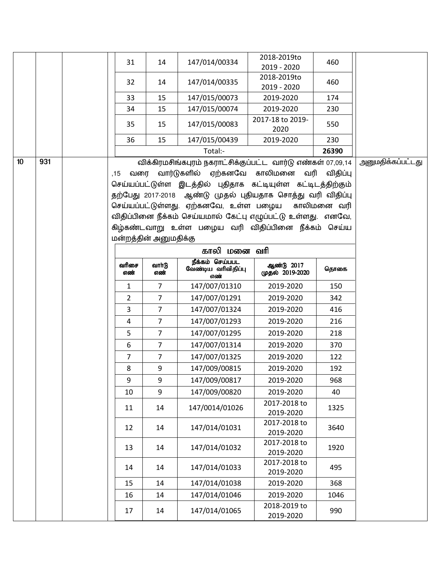|                 |     | 31                    | 14               | 147/014/00334                                                | 2018-2019to<br>2019 - 2020    | 460      |                          |
|-----------------|-----|-----------------------|------------------|--------------------------------------------------------------|-------------------------------|----------|--------------------------|
|                 |     | 32                    | 14               | 147/014/00335                                                | 2018-2019to<br>2019 - 2020    | 460      |                          |
|                 |     | 33                    | 15               | 147/015/00073                                                | 2019-2020                     | 174      |                          |
|                 |     | 34                    | 15               | 147/015/00074                                                | 2019-2020                     | 230      |                          |
|                 |     | 35                    | 15               | 147/015/00083                                                | 2017-18 to 2019-<br>2020      | 550      |                          |
|                 |     | 36                    | 15               | 147/015/00439                                                | 2019-2020                     | 230      |                          |
|                 |     |                       |                  | Total:-                                                      |                               | 26390    |                          |
| 10 <sup>°</sup> | 931 |                       |                  | விக்கிரமசிங்கபுரம் நகராட்சிக்குப்பட்ட வார்டு எண்கள் 07,09,14 |                               |          | <u>அனுமதிக்கப்பட்டது</u> |
|                 |     | வரை<br>.15            |                  | வார்டுகளில் ஏற்கனவே காலிமனை                                  | வரி                           | விதிப்பு |                          |
|                 |     |                       |                  | செய்யப்பட்டுள்ள இடத்தில் புதிதாக கட்டியுள்ள கட்டிடத்திற்கும் |                               |          |                          |
|                 |     |                       |                  | தற்பேது 2017-2018 ஆண்டு முதல் புதியதாக சொத்து வரி விதிப்பு   |                               |          |                          |
|                 |     |                       |                  | செய்யப்பட்டுள்ளது. ஏற்கனவே, உள்ள பழைய காலிமனை வரி            |                               |          |                          |
|                 |     |                       |                  | விதிப்பினை நீக்கம் செய்யமால் கேட்பு எழுப்பட்டு உள்ளது. எனவே, |                               |          |                          |
|                 |     |                       |                  | கிழ்கண்டவாறு உள்ள பழைய வரி விதிப்பினை நீக்கம் செய்ய          |                               |          |                          |
|                 |     | மன்றத்தின் அனுமதிக்கு |                  |                                                              |                               |          |                          |
|                 |     |                       |                  | காலி மனை வரி                                                 |                               |          |                          |
|                 |     | வரிசை<br>எண்          | வாா்டு<br>எண்    | நீக்கம் செய்பபட<br>வேண்டிய வரிவிதிப்பு<br>எண்                | ஆண்டு 2017<br>முதல் 2019-2020 | தொகை     |                          |
|                 |     | $\mathbf{1}$          | 7                | 147/007/01310                                                | 2019-2020                     | 150      |                          |
|                 |     | $\overline{2}$        | $\overline{7}$   | 147/007/01291                                                | 2019-2020                     | 342      |                          |
|                 |     | 3                     | 7                | 147/007/01324                                                | 2019-2020                     | 416      |                          |
|                 |     | $\overline{4}$        | 7                | 147/007/01293                                                | 2019-2020                     | 216      |                          |
|                 |     | 5                     | 7                | 147/007/01295                                                | 2019-2020                     | 218      |                          |
|                 |     | 6                     | 7                | 147/007/01314                                                | 2019-2020                     | 370      |                          |
|                 |     | $\overline{7}$        | 7                | 147/007/01325                                                | 2019-2020                     | 122      |                          |
|                 |     | 8                     | 9                | 147/009/00815                                                | 2019-2020                     | 192      |                          |
|                 |     | 9                     | $\boldsymbol{9}$ | 147/009/00817                                                | 2019-2020                     | 968      |                          |
|                 |     | 10                    | 9                | 147/009/00820                                                | 2019-2020                     | 40       |                          |
|                 |     | 11                    | 14               | 147/0014/01026                                               | 2017-2018 to<br>2019-2020     | 1325     |                          |
|                 |     | 12                    | 14               | 147/014/01031                                                | 2017-2018 to<br>2019-2020     | 3640     |                          |
|                 |     | 13                    | 14               | 147/014/01032                                                | 2017-2018 to<br>2019-2020     | 1920     |                          |
|                 |     | 14                    | 14               | 147/014/01033                                                | 2017-2018 to<br>2019-2020     | 495      |                          |
|                 |     | 15                    | 14               | 147/014/01038                                                | 2019-2020                     | 368      |                          |
|                 |     | 16                    | 14               | 147/014/01046                                                | 2019-2020                     | 1046     |                          |
|                 |     | 17                    | 14               | 147/014/01065                                                | 2018-2019 to<br>2019-2020     | 990      |                          |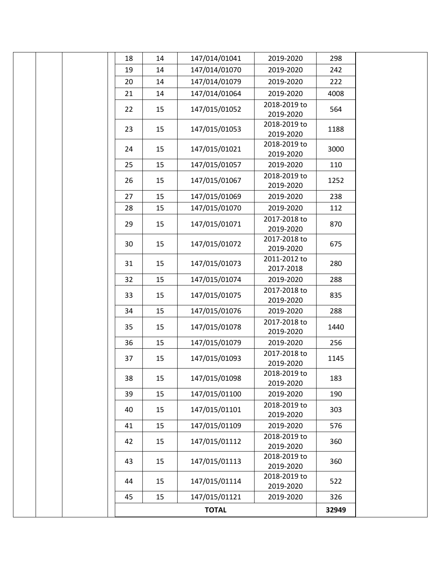|  |    |    | <b>TOTAL</b>  |                           | 32949 |
|--|----|----|---------------|---------------------------|-------|
|  | 45 | 15 | 147/015/01121 | 2019-2020                 | 326   |
|  | 44 | 15 | 147/015/01114 | 2018-2019 to<br>2019-2020 | 522   |
|  | 43 | 15 | 147/015/01113 | 2018-2019 to<br>2019-2020 | 360   |
|  | 42 | 15 | 147/015/01112 | 2018-2019 to<br>2019-2020 | 360   |
|  | 41 | 15 | 147/015/01109 | 2019-2020                 | 576   |
|  | 40 | 15 | 147/015/01101 | 2018-2019 to<br>2019-2020 | 303   |
|  | 39 | 15 | 147/015/01100 | 2019-2020                 | 190   |
|  | 38 | 15 | 147/015/01098 | 2018-2019 to<br>2019-2020 | 183   |
|  | 37 | 15 | 147/015/01093 | 2017-2018 to<br>2019-2020 | 1145  |
|  | 36 | 15 | 147/015/01079 | 2019-2020                 | 256   |
|  | 35 | 15 | 147/015/01078 | 2017-2018 to<br>2019-2020 | 1440  |
|  | 34 | 15 | 147/015/01076 | 2019-2020                 | 288   |
|  | 33 | 15 | 147/015/01075 | 2017-2018 to<br>2019-2020 | 835   |
|  | 32 | 15 | 147/015/01074 | 2019-2020                 | 288   |
|  | 31 | 15 | 147/015/01073 | 2011-2012 to<br>2017-2018 | 280   |
|  | 30 | 15 | 147/015/01072 | 2017-2018 to<br>2019-2020 | 675   |
|  | 29 | 15 | 147/015/01071 | 2017-2018 to<br>2019-2020 | 870   |
|  | 28 | 15 | 147/015/01070 | 2019-2020                 | 112   |
|  | 27 | 15 | 147/015/01069 | 2019-2020                 | 238   |
|  | 26 | 15 | 147/015/01067 | 2018-2019 to<br>2019-2020 | 1252  |
|  | 25 | 15 | 147/015/01057 | 2019-2020                 | 110   |
|  | 24 | 15 | 147/015/01021 | 2018-2019 to<br>2019-2020 | 3000  |
|  | 23 | 15 | 147/015/01053 | 2018-2019 to<br>2019-2020 | 1188  |
|  | 22 | 15 | 147/015/01052 | 2018-2019 to<br>2019-2020 | 564   |
|  | 21 | 14 | 147/014/01064 | 2019-2020                 | 4008  |
|  | 20 | 14 | 147/014/01079 | 2019-2020                 | 222   |
|  | 19 | 14 | 147/014/01070 | 2019-2020                 | 242   |
|  | 18 | 14 | 147/014/01041 | 2019-2020                 | 298   |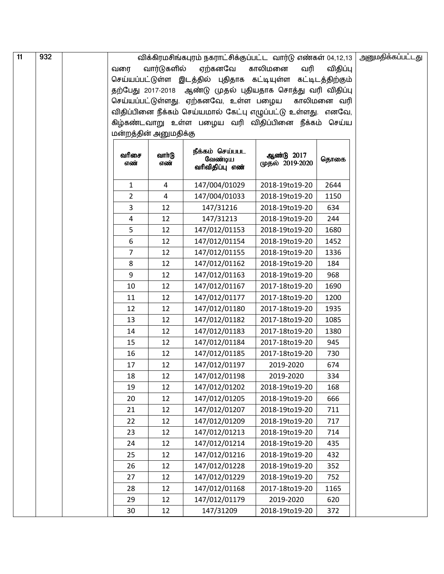| 11 | 932 |     |                |                       | விக்கிரமசிங்கபுரம் நகராட்சிக்குப்பட்ட வார்டு எண்கள் 04,12,13 |                               |             | அனுமதிக்கப்பட்டது |
|----|-----|-----|----------------|-----------------------|--------------------------------------------------------------|-------------------------------|-------------|-------------------|
|    |     | வரை |                | வார்டுகளில்           | விதிப்பு                                                     |                               |             |                   |
|    |     |     |                |                       | செய்யப்பட்டுள்ள இடத்தில் புதிதாக கட்டியுள்ள கட்டிடத்திற்கும் |                               |             |                   |
|    |     |     |                |                       | தற்பேது 2017-2018 ஆண்டு முதல் புதியதாக சொத்து வரி விதிப்பு   |                               |             |                   |
|    |     |     |                |                       | செய்யப்பட்டுள்ளது. ஏற்கனவே, உள்ள பழைய                        |                               | காலிமனை வரி |                   |
|    |     |     |                |                       | விதிப்பினை நீக்கம் செய்யமால் கேட்பு எழுப்பட்டு உள்ளது. எனவே, |                               |             |                   |
|    |     |     |                |                       | கிழ்கண்டவாறு உள்ள பழைய வரி விதிப்பினை நீக்கம் செய்ய          |                               |             |                   |
|    |     |     |                | மன்றத்தின் அனுமதிக்கு |                                                              |                               |             |                   |
|    |     |     | வரிசை<br>எண்   | வார்டு<br>எண்         | நீக்கம் செய்பபட<br>வேண்டிய<br>வரிவிதிப்பு எண்                | ஆண்டு 2017<br>முதல் 2019-2020 | தொகை        |                   |
|    |     |     | $\mathbf{1}$   | 4                     | 147/004/01029                                                | 2018-19to19-20                | 2644        |                   |
|    |     |     | $\overline{2}$ | 4                     | 147/004/01033                                                | 2018-19to19-20                | 1150        |                   |
|    |     |     | 3              | 12                    | 147/31216                                                    | 2018-19to19-20                | 634         |                   |
|    |     |     | 4              | 12                    | 147/31213                                                    | 2018-19to19-20                | 244         |                   |
|    |     |     | 5              | 12                    | 147/012/01153                                                | 2018-19to19-20                | 1680        |                   |
|    |     |     | 6              | 12                    | 147/012/01154                                                | 2018-19to19-20                | 1452        |                   |
|    |     |     | 7              | 12                    | 147/012/01155                                                | 2018-19to19-20                | 1336        |                   |
|    |     |     | 8              | 12                    | 147/012/01162                                                | 2018-19to19-20                | 184         |                   |
|    |     |     | 9              | 12                    | 147/012/01163                                                | 2018-19to19-20                | 968         |                   |
|    |     |     | 10             | 12                    | 147/012/01167                                                | 2017-18to19-20                | 1690        |                   |
|    |     |     | 11             | 12                    | 147/012/01177                                                | 2017-18to19-20                | 1200        |                   |
|    |     |     | 12             | 12                    | 147/012/01180                                                | 2017-18to19-20                | 1935        |                   |
|    |     |     | 13             | 12                    | 147/012/01182                                                | 2017-18to19-20                | 1085        |                   |
|    |     |     | 14             | 12                    | 147/012/01183                                                | 2017-18to19-20                | 1380        |                   |
|    |     |     | 15             | 12                    | 147/012/01184                                                | 2017-18to19-20                | 945         |                   |
|    |     |     | 16             | 12                    | 147/012/01185                                                | 2017-18to19-20                | 730         |                   |
|    |     |     | 17             | 12                    | 147/012/01197                                                | 2019-2020                     | 674         |                   |
|    |     |     | 18             | 12                    | 147/012/01198                                                | 2019-2020                     | 334         |                   |
|    |     |     | 19             | 12                    | 147/012/01202                                                | 2018-19to19-20                | 168         |                   |
|    |     |     | 20             | 12                    | 147/012/01205                                                | 2018-19to19-20                | 666         |                   |
|    |     |     | 21             | 12                    | 147/012/01207                                                | 2018-19to19-20                | 711         |                   |
|    |     |     | 22             | 12                    | 147/012/01209                                                | 2018-19to19-20                | 717         |                   |
|    |     |     | 23             | 12                    | 147/012/01213                                                | 2018-19to19-20                | 714         |                   |
|    |     |     | 24             | 12                    | 147/012/01214                                                | 2018-19to19-20                | 435         |                   |
|    |     |     | 25             | 12                    | 147/012/01216                                                | 2018-19to19-20                | 432         |                   |
|    |     |     | 26             | 12                    | 147/012/01228                                                | 2018-19to19-20                | 352         |                   |
|    |     |     | 27             | 12                    | 147/012/01229                                                | 2018-19to19-20                | 752         |                   |
|    |     |     | 28             | 12                    | 147/012/01168                                                | 2017-18to19-20                | 1165        |                   |
|    |     |     | 29             | 12                    | 147/012/01179                                                | 2019-2020                     | 620         |                   |
|    |     |     | 30             | 12                    | 147/31209                                                    | 2018-19to19-20                | 372         |                   |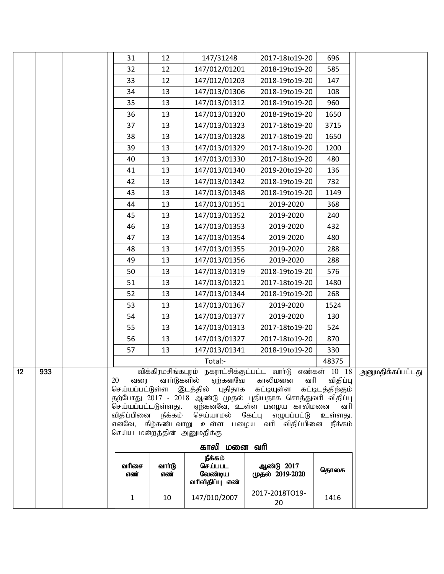|    |     | 31                                                                         | 12                 | 147/31248                                   |                                                             | 696                          |                   |
|----|-----|----------------------------------------------------------------------------|--------------------|---------------------------------------------|-------------------------------------------------------------|------------------------------|-------------------|
|    |     | 32                                                                         |                    | 147/012/01201                               | 2017-18to19-20<br>2018-19to19-20                            |                              |                   |
|    |     |                                                                            | 12<br>12           | 147/012/01203                               | 2018-19to19-20                                              | 585<br>147                   |                   |
|    |     | 33                                                                         |                    |                                             |                                                             |                              |                   |
|    |     | 34                                                                         | 13                 | 147/013/01306                               | 2018-19to19-20                                              | 108                          |                   |
|    |     | 35                                                                         | 13                 | 147/013/01312                               | 2018-19to19-20                                              | 960                          |                   |
|    |     | 36                                                                         | 13                 | 147/013/01320                               | 2018-19to19-20                                              | 1650                         |                   |
|    |     | 37                                                                         | 13                 | 147/013/01323                               | 2017-18to19-20                                              | 3715                         |                   |
|    |     | 38                                                                         | 13                 | 147/013/01328                               | 2017-18to19-20                                              | 1650                         |                   |
|    |     | 39                                                                         | 13                 | 147/013/01329                               | 2017-18to19-20                                              | 1200                         |                   |
|    |     | 40                                                                         | 13                 | 147/013/01330                               | 2017-18to19-20                                              | 480                          |                   |
|    |     | 41                                                                         | 13                 | 147/013/01340                               | 2019-20to19-20                                              | 136                          |                   |
|    |     | 42                                                                         | 13                 | 147/013/01342                               | 2018-19to19-20                                              | 732                          |                   |
|    |     | 43                                                                         | 13                 | 147/013/01348                               | 2018-19to19-20                                              | 1149                         |                   |
|    |     | 44                                                                         | 13                 | 147/013/01351                               | 2019-2020                                                   | 368                          |                   |
|    |     | 45                                                                         | 13                 | 147/013/01352                               | 2019-2020                                                   | 240                          |                   |
|    |     | 46                                                                         | 13                 | 147/013/01353                               | 2019-2020                                                   | 432                          |                   |
|    |     | 47                                                                         | 13                 | 147/013/01354                               | 2019-2020                                                   | 480                          |                   |
|    |     | 48                                                                         | 13                 | 147/013/01355                               | 2019-2020                                                   | 288                          |                   |
|    |     | 49                                                                         | 13                 | 147/013/01356                               | 2019-2020                                                   | 288                          |                   |
|    |     | 50                                                                         | 13                 | 147/013/01319                               | 2018-19to19-20                                              | 576                          |                   |
|    |     | 51                                                                         | 13                 | 147/013/01321                               | 2017-18to19-20                                              | 1480                         |                   |
|    |     | 52                                                                         | 13                 | 147/013/01344                               | 2018-19to19-20                                              | 268                          |                   |
|    |     | 53                                                                         | 13                 | 147/013/01367                               | 2019-2020                                                   | 1524                         |                   |
|    |     | 54                                                                         | 13                 | 147/013/01377                               | 2019-2020                                                   | 130                          |                   |
|    |     | 55                                                                         | 13                 | 147/013/01313                               | 2017-18to19-20                                              | 524                          |                   |
|    |     | 56                                                                         | 13                 | 147/013/01327                               | 2017-18to19-20                                              | 870                          |                   |
|    |     | 57                                                                         | 13                 | 147/013/01341                               | 2018-19to19-20                                              | 330                          |                   |
|    |     |                                                                            |                    | Total:-                                     |                                                             | 48375                        |                   |
| 12 | 933 |                                                                            | விக்கிரமசிங்கபுரம் | நகராட்சிக்குட்பட்ட                          | வாா்டு                                                      | எண்கள் 10 18                 | அனுமதிக்கப்பட்டது |
|    |     | 20<br>வரை                                                                  | வார்டுகளில்        | ஏற்கனவே<br>செய்யப்பட்டுள்ள இடத்தில் புதிதாக | காலிமனை<br>வரி<br>கட்டியுள்ள                                | விதிப்பு<br>கட்டிடத்திற்கும் |                   |
|    |     |                                                                            |                    |                                             | தற்போது 2017 - 2018 ஆண்டு முதல் புதியதாக சொத்துவரி விதிப்பு |                              |                   |
|    |     | செய்யப்பட்டடுள்ளது.                                                        |                    | செய்யாமல் கேட்பு                            | ஏற்கனவே, உள்ள பழைய காலிமனை<br>எழுபப்பட்டு                   | வரி                          |                   |
|    |     | விதிப்பினை                                                                 | உள்ளது.            |                                             |                                                             |                              |                   |
|    |     | எனவே, கீழ்கண்டவாறு உள்ள பழைய வரி விதிப்பினை<br>செய்ய மன்றத்தின் அனுமதிக்கு | நீக்கம்            |                                             |                                                             |                              |                   |
|    |     |                                                                            |                    |                                             |                                                             |                              |                   |
|    |     | காலி மனை வரி                                                               |                    |                                             |                                                             |                              |                   |
|    |     | வரிசை                                                                      | வாா்டு             | நீக்கம்<br>செய்பபட                          | ஆண்டு 2017                                                  |                              |                   |
|    |     | எண்                                                                        | எண்                | வேண்டிய                                     | முதல் 2019-2020                                             | தொகை                         |                   |
|    |     |                                                                            |                    | வரிவிதிப்பு எண்                             |                                                             |                              |                   |
|    |     | $\mathbf{1}$                                                               | 10                 | 147/010/2007                                | 2017-2018TO19-<br>20                                        | 1416                         |                   |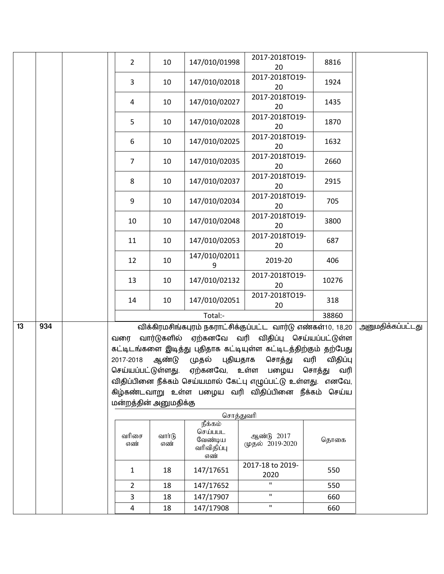|    |     | $\overline{2}$          | 10                   | 147/010/01998                                       | 2017-2018TO19-<br>20                                                                                                                                                              | 8816            |                          |
|----|-----|-------------------------|----------------------|-----------------------------------------------------|-----------------------------------------------------------------------------------------------------------------------------------------------------------------------------------|-----------------|--------------------------|
|    |     | 3                       | 10                   | 147/010/02018                                       | 2017-2018TO19-<br>20                                                                                                                                                              | 1924            |                          |
|    |     | $\overline{a}$          | 10                   | 147/010/02027                                       | 2017-2018TO19-<br>20                                                                                                                                                              | 1435            |                          |
|    |     | 5                       | 10                   | 147/010/02028                                       | 2017-2018TO19-<br>20                                                                                                                                                              | 1870            |                          |
|    |     | 6                       | 10                   | 147/010/02025                                       | 2017-2018TO19-<br>20                                                                                                                                                              | 1632            |                          |
|    |     | $\overline{7}$          | 10                   | 147/010/02035                                       | 2017-2018TO19-<br>20                                                                                                                                                              | 2660            |                          |
|    |     | 8                       | 10                   | 147/010/02037                                       | 2017-2018TO19-<br>20                                                                                                                                                              | 2915            |                          |
|    |     | 9                       | 10                   | 147/010/02034                                       | 2017-2018TO19-<br>20                                                                                                                                                              | 705             |                          |
|    |     | 10                      | 10                   | 147/010/02048                                       | 2017-2018TO19-<br>20                                                                                                                                                              | 3800            |                          |
|    |     | 11                      | 10                   | 147/010/02053                                       | 2017-2018TO19-<br>20                                                                                                                                                              | 687             |                          |
|    |     | 12                      | 10                   | 147/010/02011<br>9                                  | 2019-20                                                                                                                                                                           | 406             |                          |
|    |     | 13                      | 10                   | 147/010/02132                                       | 2017-2018TO19-<br>20                                                                                                                                                              | 10276           |                          |
|    |     | 14                      | 10                   | 147/010/02051                                       | 2017-2018TO19-<br>20                                                                                                                                                              | 318             |                          |
|    |     |                         |                      | Total:-                                             |                                                                                                                                                                                   | 38860           |                          |
| 13 | 934 | வரை<br>2017-2018        | வார்டுகளில்<br>ஆண்டு | முதல்<br>புதியதாக                                   | விக்கிரமசிங்கபுரம் நகராட்சிக்குப்பட்ட வார்டு எண்கள்10, 18,20<br>ஏற்கனவே வரி விதிப்பு செய்யப்பட்டுள்ள<br>கட்டிடங்களை இடித்து புதிதாக கட்டியுள்ள கட்டிடத்திற்கும் தற்பேது<br>சொத்து | வரி<br>விதிப்பு | <u>அனுமதிக்கப்பட்டது</u> |
|    |     | செய்யப்பட்டுள்ளது.      |                      | ஏற்கனவே, உள்ள                                       | பழைய                                                                                                                                                                              | வரி<br>சொத்து   |                          |
|    |     |                         |                      |                                                     | விதிப்பினை நீக்கம் செய்யமால் கேட்பு எழுப்பட்டு உள்ளது. எனவே,                                                                                                                      |                 |                          |
|    |     |                         |                      |                                                     | கிழ்கண்டவாறு உள்ள பழைய வரி விதிப்பினை நீக்கம் செய்ய                                                                                                                               |                 |                          |
|    |     | மன்றத்தின் அனுமதிக்கு   |                      |                                                     |                                                                                                                                                                                   |                 |                          |
|    |     |                         |                      | சொத்துவரி                                           |                                                                                                                                                                                   |                 |                          |
|    |     | வரிசை<br>எண்            | வார்டு<br>எண்        | நீக்கம்<br>செய்பபட<br>வேண்டிய<br>வரிவிதிப்பு<br>எண் | ஆண்டு 2017<br>முதல் 2019-2020                                                                                                                                                     | தொகை            |                          |
|    |     | $\mathbf{1}$            | 18                   | 147/17651                                           | 2017-18 to 2019-<br>2020                                                                                                                                                          | 550             |                          |
|    |     | $\overline{2}$          | 18                   | 147/17652                                           | П                                                                                                                                                                                 | 550             |                          |
|    |     | 3                       | 18                   | 147/17907                                           | $\mathbf H$                                                                                                                                                                       | 660             |                          |
|    |     | $\overline{\mathbf{4}}$ | 18                   | 147/17908                                           | $\mathbf H$                                                                                                                                                                       | 660             |                          |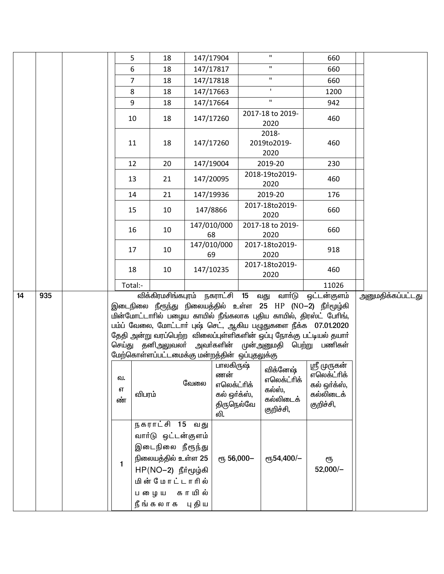|    |     | 5                  | 18                                                                                                                  |        | 147/17904                                                                          | $\mathbf H$                                                               | 660                                                                                                                                                                                                                                                                                                                                           |                          |
|----|-----|--------------------|---------------------------------------------------------------------------------------------------------------------|--------|------------------------------------------------------------------------------------|---------------------------------------------------------------------------|-----------------------------------------------------------------------------------------------------------------------------------------------------------------------------------------------------------------------------------------------------------------------------------------------------------------------------------------------|--------------------------|
|    |     | 6                  | 18                                                                                                                  |        | 147/17817                                                                          | $\mathbf H$                                                               | 660                                                                                                                                                                                                                                                                                                                                           |                          |
|    |     | 7                  | 18                                                                                                                  |        | 147/17818                                                                          | $\mathbf{H}$                                                              | 660                                                                                                                                                                                                                                                                                                                                           |                          |
|    |     | 8                  | 18                                                                                                                  |        | 147/17663                                                                          | $\mathbf I$                                                               | 1200                                                                                                                                                                                                                                                                                                                                          |                          |
|    |     | 9                  | 18                                                                                                                  |        | 147/17664                                                                          | $\mathbf{H}$                                                              | 942                                                                                                                                                                                                                                                                                                                                           |                          |
|    |     | 10                 | 18                                                                                                                  |        | 147/17260                                                                          | 2017-18 to 2019-<br>2020                                                  | 460                                                                                                                                                                                                                                                                                                                                           |                          |
|    |     | 11                 | 18                                                                                                                  |        | 147/17260                                                                          | 2018-<br>2019to2019-<br>2020                                              | 460                                                                                                                                                                                                                                                                                                                                           |                          |
|    |     | 12                 | 20                                                                                                                  |        | 147/19004                                                                          | 2019-20                                                                   | 230                                                                                                                                                                                                                                                                                                                                           |                          |
|    |     | 13                 | 21                                                                                                                  |        | 147/20095                                                                          | 2018-19to2019-<br>2020                                                    | 460                                                                                                                                                                                                                                                                                                                                           |                          |
|    |     | 14                 | 21                                                                                                                  |        | 147/19936                                                                          | 2019-20                                                                   | 176                                                                                                                                                                                                                                                                                                                                           |                          |
|    |     | 15                 | 10                                                                                                                  |        | 147/8866                                                                           | 2017-18to2019-<br>2020                                                    | 660                                                                                                                                                                                                                                                                                                                                           |                          |
|    |     | 16                 | 10                                                                                                                  |        | 147/010/000<br>68                                                                  | 2017-18 to 2019-<br>2020                                                  | 660                                                                                                                                                                                                                                                                                                                                           |                          |
|    |     | 17                 | 10                                                                                                                  |        | 147/010/000<br>69                                                                  | 2017-18to2019-<br>2020                                                    | 918                                                                                                                                                                                                                                                                                                                                           |                          |
|    |     | 18                 | 10                                                                                                                  |        | 147/10235                                                                          | 2017-18to2019-<br>2020                                                    | 460                                                                                                                                                                                                                                                                                                                                           |                          |
|    |     | Total:-            |                                                                                                                     |        |                                                                                    |                                                                           | 11026                                                                                                                                                                                                                                                                                                                                         |                          |
| 14 | 935 |                    | விக்கிரமசிங்கபுரம் நகராட்சி 15 வது<br>மேற்கொள்ளப்பட்டமைக்கு மன்றத்தின் ஒப்புதலுக்கு                                 |        |                                                                                    | வாா்டு                                                                    | ஒட்டன்குளம்<br>இடைநிலை நீரூந்து நிலையத்தில் உள்ள 25 HP (NO-2) நீர்மூழ்கி<br>மின்மோட்டாரில் பழைய காயில் நீங்கலாக புதிய காயில், திரஸ்ட் பேரிங்,<br>பம்ப் வேலை, மோட்டாா் புஷ் செட், ஆகிய பழுதுகளை நீக்க 07.01.2020<br>தேதி அன்று வரப்பெற்ற விலைப்புள்ளிகளின் ஒப்பு நோக்கு பட்டியல் தயார்<br>செய்து தனிஅலுவலா் அவா்களின் முன்அனுமதி பெற்று பணிகள் | <u>அனுமதிக்கப்பட்டது</u> |
|    |     | வ.<br>எ<br>ண்<br>1 | விபரம்<br>நகராட்சி 15 வது<br>வார்டு ஒட்டன்குளம்<br>இடைநிலை நீரூந்து<br>நிலையத்தில் உள்ள 25<br>$HP(NO-2)$ நீர்மூழ்கி | வேலை   | பாலகிருஷ்<br>ணன்<br>எலெக்ட்ரிக்<br>கல் ஒர்க்ஸ்,<br>திருநெல்வே<br>லி.<br>ரு 56,000- | விக்னேஷ்<br>எலெக்ட்ரிக்<br>கல்ஸ்,<br>கல்லிடைக்<br>குறிச்சி,<br>еҧ54,400/- | ஸ்ரீ முருகன்<br>எலெக்ட்ரிக்<br>கல் ஒர்க்ஸ்,<br>கல்லிடைக்<br>குறிச்சி,<br>ரூ<br>$52,000/-$                                                                                                                                                                                                                                                     |                          |
|    |     |                    | மின் மோட்டாரில்<br>ப றைய<br>நீங்கலாக புதிய                                                                          | காயில் |                                                                                    |                                                                           |                                                                                                                                                                                                                                                                                                                                               |                          |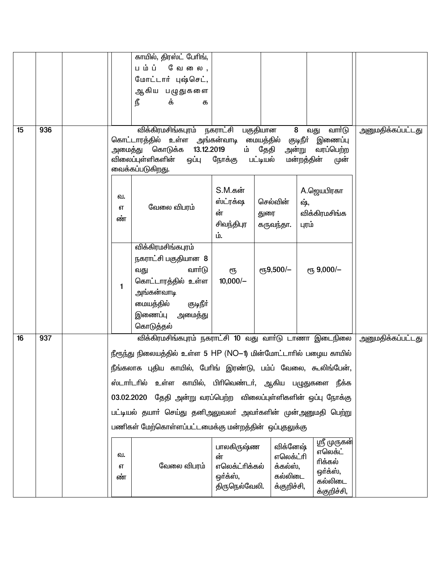|    |     |    | காயில், திரஸ்ட் பேரிங்,                                                                                                 |                |                                           |                                                                     |                   |
|----|-----|----|-------------------------------------------------------------------------------------------------------------------------|----------------|-------------------------------------------|---------------------------------------------------------------------|-------------------|
|    |     |    | பம்ப்<br><b>மே லை,</b>                                                                                                  |                |                                           |                                                                     |                   |
|    |     |    | மோட்டார் புஷ்செட்,                                                                                                      |                |                                           |                                                                     |                   |
|    |     |    | ஆகிய பழுதுகளை                                                                                                           |                |                                           |                                                                     |                   |
|    |     |    | நீ<br>க்<br>க                                                                                                           |                |                                           |                                                                     |                   |
|    |     |    |                                                                                                                         |                |                                           |                                                                     |                   |
| 15 | 936 |    | விக்கிரமசிங்கபுரம் நகராட்சி                                                                                             |                |                                           | 8<br>வார்டு                                                         |                   |
|    |     |    | கொட்டாரத்தில் உள்ள அங்கன்வாடி மையத்தில்<br>அமைத்து கொடுக்க 13.12.2019<br>விலைப்புள்ளிகளின்<br>ஒப்பு<br>வைக்கப்படுகிறது. | நோக்கு         | பகுதியான<br>ம் தேதி<br>பட்டியல்           | வது<br>குடிநீா் இணைப்பு<br>அன்று<br>வரப்பெற்ற<br>மன்றத்தின்<br>முன் | அனுமதிக்கப்பட்டது |
|    |     |    |                                                                                                                         | S.M.கன்        |                                           |                                                                     |                   |
|    |     | வ. |                                                                                                                         | ஸ்ட்ரக்ஷ       | செல்வின்                                  | A.ஜெயபிரகா<br>ஷ்,                                                   |                   |
|    |     | எ  | வேலை விபரம்                                                                                                             | ன்             | துரை                                      | விக்கிரமசிங்க                                                       |                   |
|    |     | ண் |                                                                                                                         | சிவந்திபுர     | கருவந்தா.                                 | புரம்                                                               |                   |
|    |     |    |                                                                                                                         | ம்.            |                                           |                                                                     |                   |
|    |     |    | விக்கிரமசிங்கபுரம்                                                                                                      |                |                                           |                                                                     |                   |
|    |     |    | நகராட்சி பகுதியான 8                                                                                                     |                |                                           |                                                                     |                   |
|    |     |    | வார்டு<br>வது                                                                                                           | ரூ             | $\rm e$ <sup>15</sup> <sub>9</sub> ,500/- | ет, 9,000/-                                                         |                   |
|    |     |    | கொட்டாரத்தில் உள்ள                                                                                                      | $10,000/-$     |                                           |                                                                     |                   |
|    |     | 1  | அங்கன்வாடி                                                                                                              |                |                                           |                                                                     |                   |
|    |     |    | மையத்தில்<br>குடிநீா்                                                                                                   |                |                                           |                                                                     |                   |
|    |     |    | இணைப்பு<br>அமைத்து                                                                                                      |                |                                           |                                                                     |                   |
|    |     |    | கொடுத்தல்                                                                                                               |                |                                           |                                                                     |                   |
| 16 | 937 |    | விக்கிரமசிங்கபுரம் நகராட்சி 10 வது வாா்டு டாணா இடைநிலை                                                                  |                |                                           |                                                                     | அனுமதிக்கப்பட்டது |
|    |     |    | நீரூந்து நிலையத்தில் உள்ள 5 HP (NO–1) மின்மோட்டாரில் பழைய காயில்                                                        |                |                                           |                                                                     |                   |
|    |     |    | நீங்கலாக புதிய காயில், பேரிங் இரண்டு, பம்ப் வேலை, கூலிங்பேன்,                                                           |                |                                           |                                                                     |                   |
|    |     |    | உள்ள காயில், பிரிவெண்டர், ஆகிய பழுதுகளை நீக்க<br>ஸ்டாா்டரில்                                                            |                |                                           |                                                                     |                   |
|    |     |    | 03.02.2020 தேதி அன்று வரப்பெற்ற விலைப்புள்ளிகளின் ஒப்பு நோக்கு                                                          |                |                                           |                                                                     |                   |
|    |     |    | பட்டியல் தயாா் செய்து தனிஅலுவலா் அவா்களின் முன்அனுமதி பெற்று                                                            |                |                                           |                                                                     |                   |
|    |     |    |                                                                                                                         |                |                                           |                                                                     |                   |
|    |     |    | பணிகள் மேற்கொள்ளப்பட்டமைக்கு மன்றத்தின் ஒப்புதலுக்கு                                                                    |                |                                           |                                                                     |                   |
|    |     |    |                                                                                                                         | பாலகிருஷ்ண     | விக்னேஷ்                                  | ஸ்ரீ முருகன்                                                        |                   |
|    |     | வ. |                                                                                                                         | ன்             | எலெக்ட்ரி                                 | எலெக்ட்<br>ரிக்கல்                                                  |                   |
|    |     | எ  | வேலை விபரம்                                                                                                             | எலெக்ட்ரிக்கல் | க்கல்ஸ்,                                  | ஒர்க்ஸ்,                                                            |                   |
|    |     | ண் |                                                                                                                         | ஒர்க்ஸ்,       | கல்லிடை                                   | கல்லிடை                                                             |                   |
|    |     |    |                                                                                                                         | திருநெல்வேலி.  | க்குறிச்சி,                               | க்குறிச்சி,                                                         |                   |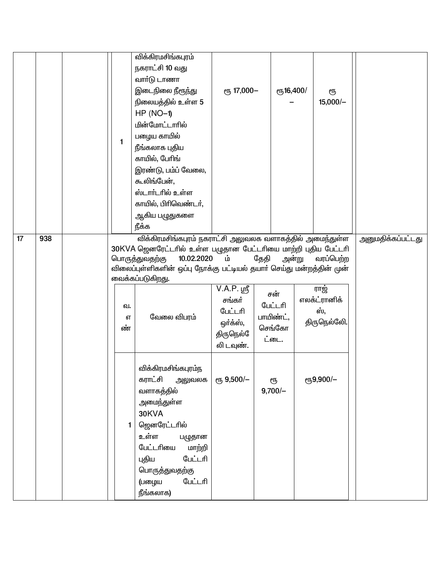|    |     | $\mathbf{1}$  | விக்கிரமசிங்கபுரம்<br>நகராட்சி 10 வது<br>வார்டு டாணா<br>இடைநிலை நீரூந்து<br>நிலையத்தில் உள்ள 5<br>$HP (NO-1)$<br>மின்மோட்டாரில்<br>பழைய காயில்                                                                                                                       | ரு 17,000-                                                                    |                                                        | ரூ16,400/ | ரூ<br>$15,000/-$                                         |                          |
|----|-----|---------------|----------------------------------------------------------------------------------------------------------------------------------------------------------------------------------------------------------------------------------------------------------------------|-------------------------------------------------------------------------------|--------------------------------------------------------|-----------|----------------------------------------------------------|--------------------------|
|    |     |               | நீங்கலாக புதிய<br>காயில், பேரிங்<br>இரண்டு, பம்ப் வேலை,<br>கூலிங்பேன்,<br>ஸ்டார்டரில் உள்ள<br>காயில், பிரிவெண்டர்,<br>ஆகிய பழுதுகளை<br>நீக்க                                                                                                                         |                                                                               |                                                        |           |                                                          |                          |
| 17 | 938 | வ.<br>எ<br>ண் | விக்கிரமசிங்கபுரம் நகராட்சி அலுவலக வளாகத்தில் அமைந்துள்ள<br>30KVA ஜெனரேட்டரில் உள்ள பழுதான பேட்டரியை மாற்றி புதிய பேட்டரி<br>10.02.2020<br>பொருத்துவதற்கு<br>விலைப்புள்ளிகளின் ஒப்பு நோக்கு பட்டியல் தயாா் செய்து மன்றத்தின் முன்<br>வைக்கப்படுகிறது.<br>வேலை விபரம் | ம்<br>$V.A.P.$ ஸ்ரீ<br>சங்கர்<br>பேட்டரி<br>ஒர்க்ஸ்,<br>திருநெல்<br>லி டவுண். | தேதி<br>சன்<br>பேட்டரி<br>பாயிண்ட்,<br>செங்கோ<br>ட்டை. | அன்று     | வரப்பெற்ற<br>ராஜ்<br>எலக்ட்ரானிக்<br>ஸ்.<br>திருநெல்லேி. | <u>அனுமதிக்கப்பட்டது</u> |
|    |     |               | விக்கிரமசிங்கபுரம்ந<br>கராட்சி<br>அலுவலக<br>வளாகத்தில்<br>அமைந்துள்ள<br>30KVA<br>ஜெனரேட்டரில்<br>உள்ள<br>பழுதான<br>பேட்டரியை<br>மாற்றி<br>பேட்டரி<br>புதிய<br>பொருத்துவதற்கு<br>பேட்டரி<br>(பழைய<br>நீங்கலாக)                                                        | ரூ 9,500/-                                                                    | ரூ<br>$9,700/-$                                        |           | ரூ9,900/-                                                |                          |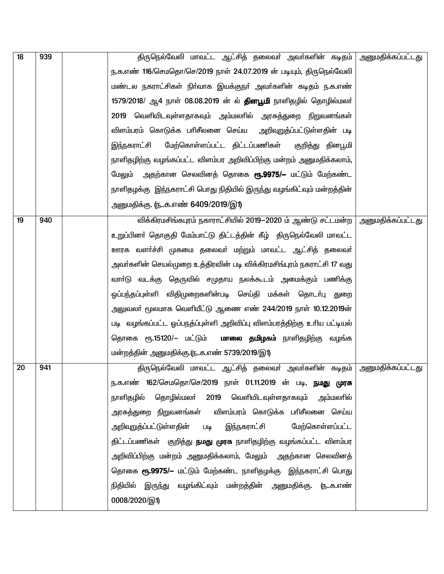| 18 | 939 | திருநெல்வேலி மாவட்ட ஆட்சித் தலைவா் அவா்களின் கடிதம் அனுமதிக்கப்பட்டது    |                          |
|----|-----|--------------------------------------------------------------------------|--------------------------|
|    |     | ந.க.எண் 116/செமதொ/செ/2019 நாள் 24.07.2019 ன் படியும், திருநெல்வேலி       |                          |
|    |     | மண்டல நகராட்சிகள் நிா்வாக இயக்குநா் அவா்களின் கடிதம் ந.க.எண்             |                          |
|    |     | 1579/2018/ ஆ4 நாள் 08.08.2019 ன் ல் <b>தினபூமி</b> நாளிதழில் தொழில்மலா்  |                          |
|    |     | 2019 வெளியிடவுள்ளதாகவும் அம்மலாில் அரசுத்துறை நிறுவனங்கள்                |                          |
|    |     | விளம்பரம் கொடுக்க பாிசீலனை செய்ய<br>அறிவுறுத்ப்பட்டுள்ளதின் படி          |                          |
|    |     | மேற்கொள்ளப்பட்ட திட்டப்பணிகள்<br>இந்நகராட்சி<br>குறித்து தினபூமி         |                          |
|    |     | நாளிதழிற்கு வழங்கப்பட்ட விளம்பர அறிவிப்பிற்கு மன்றம் அனுமதிக்கலாம்,      |                          |
|    |     | அதற்கான செலவினத் தொகை <b>ரூ.9975/–</b> மட்டும் மேற்கண்ட<br>மேலும்        |                          |
|    |     | நாளிதழக்கு  இந்நகராட்சி பொது நிதியில் இருந்து வழங்கிட்வும் மன்றத்தின்    |                          |
|    |     | அனுமதிக்கு. (நக.எண் 6409/2019/இ1)                                        |                          |
| 19 | 940 | விக்கிரமசிங்கபுரம் நகாராட்சியில் 2019-2020 ம் ஆண்டு சட்டமன்ற             | <u>அனுமதிக்கப்பட்டது</u> |
|    |     | உறுப்பினா் தொகுதி மேம்பாட்டு திட்டத்தின் கீழ் திருநெல்வேலி மாவட்ட        |                          |
|    |     | ஊரக வளா்ச்சி முகமை தலைவா் மற்றும் மாவட்ட ஆட்சித் தலைவா்                  |                          |
|    |     | அவா்களின் செயல்முறை உத்திரவின் படி விக்கிரமசிங்புரம் நகராட்சி 17 வது     |                          |
|    |     | வாா்டு வடக்கு தெருவில் சமுதாய நலக்கூடம் அமைக்கும் பணிக்கு                |                          |
|    |     | ஓப்பந்தப்புள்ளி விதிமுறைகளின்படி செய்தி மக்கள் தொடா்பு துறை              |                          |
|    |     | அலுவலா் மூலமாக வெளியீட்டு ஆணை எண் 244/2019 நாள் 10.12.2019ன்             |                          |
|    |     | படி வழங்கப்பட்ட ஓப்பநத்ப்புள்ளி அறிவிப்பு விளம்பரத்திற்கு உரிய பட்டியல்  |                          |
|    |     | தொகை ரூ.15120/– மட்டும் <b>மாலை தமிழகம்</b> நாளிதழிற்கு வழங்க            |                          |
|    |     | மன்றத்தின் அனுமதிக்கு.ருக.எண் 5739/2019/இ1)                              |                          |
| 20 | 941 | திருநெல்வேலி மாவட்ட ஆட்சித் தலைவா் அவா்களின் கடிதம் அனுமதிக்கப்பட்டது    |                          |
|    |     | ந.க.எண் 162/செமதொ/செ/2019 நாள் 01.11.2019 ன் படி, <b>நமது முரசு</b>      |                          |
|    |     | தொழில்மலா் 2019 வெளியிடவுள்ளதாகவும் அம்மலாில்<br>நாளிதழில்               |                          |
|    |     | அரசுத்துறை நிறுவனங்கள் விளம்பரம் கொடுக்க பாிசீலனை செய்ய                  |                          |
|    |     | இந்நகராட்சி<br>மேற்கொள்ளப்பட்ட<br>அறிவுறுத்ப்பட்டுள்ளதின் படி            |                          |
|    |     | திட்டப்பணிகள் குறித்து <b>நமது முரசு</b> நாளிதழிற்கு வழங்கப்பட்ட விளம்பர |                          |
|    |     | அறிவிப்பிற்கு மன்றம் அனுமதிக்கலாம், மேலும் அதற்கான செலவினத்              |                          |
|    |     | தொகை ரூ.9975/– மட்டும் மேற்கண்ட நாளிதழக்கு இந்நகராட்சி பொது              |                          |
|    |     | நிதியில் இருந்து வழங்கிட்வும் மன்றத்தின் அனுமதிக்கு. (நக.எண்             |                          |
|    |     | 0008/2020/இ1)                                                            |                          |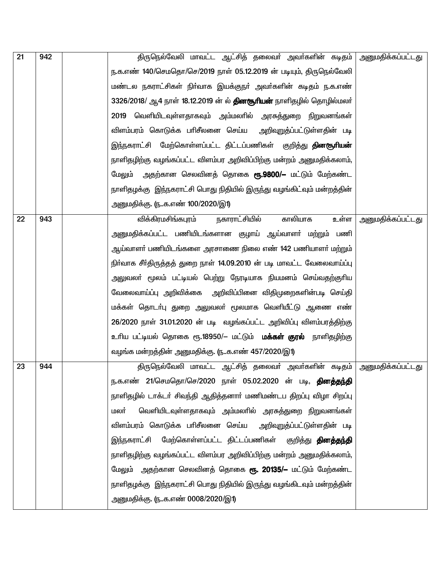| 21 | 942 | திருநெல்வேலி மாவட்ட ஆட்சித் தலைவா் அவா்களின் கடிதம் அனுமதிக்கப்பட்டது      |                          |
|----|-----|----------------------------------------------------------------------------|--------------------------|
|    |     | ந.க.எண் 140/செமதொ/செ/2019 நாள் 05.12.2019 ன் படியும், திருநெல்வேலி         |                          |
|    |     | மண்டல நகராட்சிகள் நிா்வாக இயக்குநா் அவா்களின் கடிதம் ந.க.எண்               |                          |
|    |     | 3326/2018/ ஆ4 நாள் 18.12.2019 ன் ல் <b>தினசூரியன்</b> நாளிதழில் தொழில்மலர் |                          |
|    |     | 2019 வெளியிடவுள்ளதாகவும் அம்மலாில் அரசுத்துறை நிறுவனங்கள்                  |                          |
|    |     | விளம்பரம் கொடுக்க பரிசீலனை செய்ய<br>அறிவுறுத்ப்பட்டுள்ளதின் படி            |                          |
|    |     | இந்நகராட்சி மேற்கொள்ளப்பட்ட திட்டப்பணிகள் குறித்து <b>தினசூரியன்</b>       |                          |
|    |     | நாளிதழிற்கு வழங்கப்பட்ட விளம்பர அறிவிப்பிற்கு மன்றம் அனுமதிக்கலாம்,        |                          |
|    |     | அதற்கான செலவினத் தொகை <b>ரூ.9800/–</b> மட்டும் மேற்கண்ட<br>மேலும்          |                          |
|    |     | நாளிதழக்கு   இந்நகராட்சி பொது நிதியில் இருந்து வழங்கிட்வும் மன்றத்தின்     |                          |
|    |     | அனுமதிக்கு. (நக.எண் 100/2020/இ1)                                           |                          |
| 22 | 943 | நகாராட்சியில்<br>காலியாக<br>விக்கிரமசிங்கபுரம்<br>உள்ள                     | <u>அனுமதிக்கப்பட்டது</u> |
|    |     | அனுமதிக்கப்பட்ட பணியிடங்களான குழாய் ஆய்வாளா் மற்றும் பணி                   |                          |
|    |     | ஆய்வாளா் பணியிடங்களை அரசாணை நிலை எண் 142 பணியாளா் மற்றும்                  |                          |
|    |     | நிர்வாக சீர்திருத்தத் துறை நாள் 14.09.2010 ன் படி மாவட்ட வேலைவாய்ப்பு      |                          |
|    |     | அலுவலா் மூலம் பட்டியல் பெற்று நேரடியாக நியமனம் செய்வதற்குாிய               |                          |
|    |     | வேலைவாய்ப்பு அறிவிக்கை அறிவிப்பினை விதிமுறைகளின்படி செய்தி                 |                          |
|    |     | மக்கள் தொடா்பு துறை அலுவலா் மூலமாக வெளியீட்டு ஆணை எண்                      |                          |
|    |     | 26/2020 நாள் 31.01.2020 ன் படி வழங்கப்பட்ட அறிவிப்பு விளம்பரத்திற்கு       |                          |
|    |     | உரிய பட்டியல் தொகை ரூ.18950/– மட்டும் <b>மக்கள் குரல்</b> நாளிதழிற்கு      |                          |
|    |     | வழங்க மன்றத்தின் அனுமதிக்கு. (நக.எண் 457/2020/இ1)                          |                          |
| 23 | 944 | திருநெல்வேலி மாவட்ட ஆட்சித் தலைவா் அவா்களின் கடிதம் அனுமதிக்கப்பட்டது      |                          |
|    |     | ந.க.எண் 21/செமதொ/செ/2020 நாள் 05.02.2020 ன் படி, <b>தினத்தந்தி</b>         |                          |
|    |     | நாளிதழில் டாக்டர் சிவந்தி ஆதித்தனார் மணிமண்டப திறப்பு விழா சிறப்பு         |                          |
|    |     | வெளியிடவுள்ளதாகவும் அம்மலாில் அரசுத்துறை நிறுவனங்கள்<br>மலா்               |                          |
|    |     | விளம்பரம் கொடுக்க பரிசீலனை செய்ய<br>அறிவுறுத்ப்பட்டுள்ளதின் படி            |                          |
|    |     | இந்நகராட்சி மேற்கொள்ளப்பட்ட திட்டப்பணிகள் குறித்து <b>தினத்தந்தி</b>       |                          |
|    |     | நாளிதழிற்கு வழங்கப்பட்ட விளம்பர அறிவிப்பிற்கு மன்றம் அனுமதிக்கலாம்,        |                          |
|    |     | மேலும் அதற்கான செலவினத் தொகை <b>ரூ. 20135/–</b> மட்டும் மேற்கண்ட           |                          |
|    |     | நாளிதழக்கு இந்நகராட்சி பொது நிதியில் இருந்து வழங்கிடவும் மன்றத்தின்        |                          |
|    |     | அனுமதிக்கு. (நக.எண் 0008/2020/இ1)                                          |                          |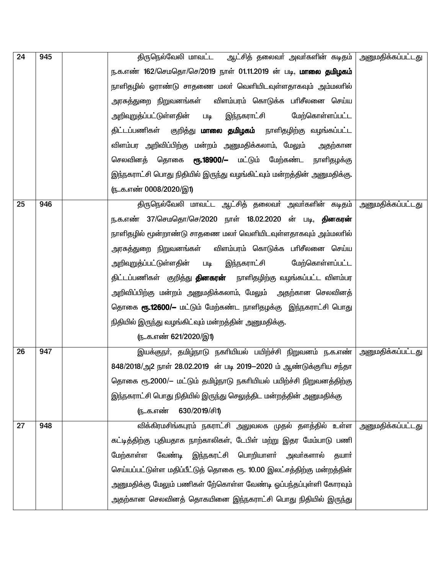| 24 | 945 | திருநெல்வேலி மாவட்ட   ஆட்சித் தலைவா் அவா்களின் கடிதம்   அனுமதிக்கப்பட்டது |                          |
|----|-----|---------------------------------------------------------------------------|--------------------------|
|    |     | ந.க.எண் 162/செமதொ/செ/2019 நாள் 01.11.2019 ன் படி, <b>மாலை தமிழகம்</b>     |                          |
|    |     | நாளிதழில் ஓராண்டு சாதணை மலா் வெளியிடவுள்ளதாகவும் அம்மலாில்                |                          |
|    |     | அரசுத்துறை நிறுவனங்கள்<br>விளம்பரம் கொடுக்க பாிசீலனை செய்ய                |                          |
|    |     | இந்நகராட்சி<br>மேற்கொள்ளப்பட்ட<br><u>அறிவுறுத்ப்பட்டுள்ளதின்</u><br>படி   |                          |
|    |     | குறித்து <b>மாலை தமிழகம்</b> நாளிதழிற்கு வழங்கப்பட்ட<br>திட்டப்பணிகள்     |                          |
|    |     | விளம்பர அறிவிப்பிற்கு மன்றம் அனுமதிக்கலாம், மேலும்<br>அதற்கான             |                          |
|    |     | செலவினத் தொகை<br><b>ரூ.18900/—</b> மட்டும் மேற்கண்ட<br>நாளிதழக்கு         |                          |
|    |     | இந்நகராட்சி பொது நிதியில் இருந்து வழங்கிட்வும் மன்றத்தின் அனுமதிக்கு.     |                          |
|    |     | <u>ரு. க.எண் 0008/2020/இ1)</u>                                            |                          |
| 25 | 946 | திருநெல்வேலி மாவட்ட ஆட்சித் தலைவர் அவர்களின் கடிதம்                       | <u>அனுமதிக்கப்பட்டது</u> |
|    |     | ந.க.எண் 37/செமதொ/செ/2020 நாள் 18.02.2020 ன் படி, <b>தினகரன்</b>           |                          |
|    |     | நாளிதழில் மூன்றாண்டு சாதணை மலர் வெளியிடவுள்ளதாகவும் அம்மலரில்             |                          |
|    |     | அரசுத்துறை நிறுவனங்கள்<br>விளம்பரம் கொடுக்க பாிசீலனை செய்ய                |                          |
|    |     | இந்நகராட்சி<br>மேற்கொள்ளப்பட்ட<br>அறிவுறுத்ப்பட்டுள்ளதின்<br><b>Lilg</b>  |                          |
|    |     | திட்டப்பணிகள் குறித்து <b>தினகரன்</b> நாளிதழிற்கு வழங்கப்பட்ட விளம்பர     |                          |
|    |     | அறிவிப்பிற்கு மன்றம் அனுமதிக்கலாம், மேலும்  அதற்கான செலவினத்              |                          |
|    |     | தொகை <b>ரூ.12600/–</b> மட்டும் மேற்கண்ட நாளிதழக்கு இந்நகராட்சி பொது       |                          |
|    |     | நிதியில் இருந்து வழங்கிட்வும் மன்றத்தின் அனுமதிக்கு.                      |                          |
|    |     | <u>ருக.எண் 621/2020/இ1)</u>                                               |                          |
| 26 | 947 | இயக்குநா், தமிழ்நாடு நகாியியல் பயிற்ச்சி நிறுவனம் ந.க.எண்                 | <u>அனுமதிக்கப்பட்டது</u> |
|    |     | 848/2018/அ2 நாள் 28.02.2019 ன் படி 2019-2020 ம் ஆண்டுக்குரிய சந்தா        |                          |
|    |     | தொகை ரூ.2000/— மட்டும் தமிழ்நாடு நகரியியல் பயிற்ச்சி நிறுவனத்திற்கு       |                          |
|    |     | இந்நகராட்சி பொது நிதியில் இருந்து செலுத்திட மன்றத்தின் அனுமதிக்கு         |                          |
|    |     | 630/2019/சி1)<br>(நக.எண்                                                  |                          |
| 27 | 948 | விக்கிரமசிங்கபுரம் நகராட்சி அலுவலக முதல் தளத்தில் உள்ள                    | அனுமதிக்கப்பட்டது        |
|    |     | கட்டித்திற்கு புதியதாக நாற்காலிகள், டேபிள் மற்று இதர மேம்பாடு பணி         |                          |
|    |     | வேண்டி இந்நகரட்சி பொறியாளா் அவா்களால்<br>மேற்காள்ள<br>தயார்               |                          |
|    |     | செய்யப்பட்டுள்ள மதிப்பீட்டுத் தொகை ரூ. 10.00 இலட்சத்திற்கு மன்றத்தின்     |                          |
|    |     | அனுமதிக்கு மேலும் பணிகள் றே்கொள்ள வேண்டி ஒப்பந்தப்புள்ளி கோரவும்          |                          |
|    |     | அதற்கான செலவினத் தொகயினை இந்நகராட்சி பொது நிதியில் இருந்து                |                          |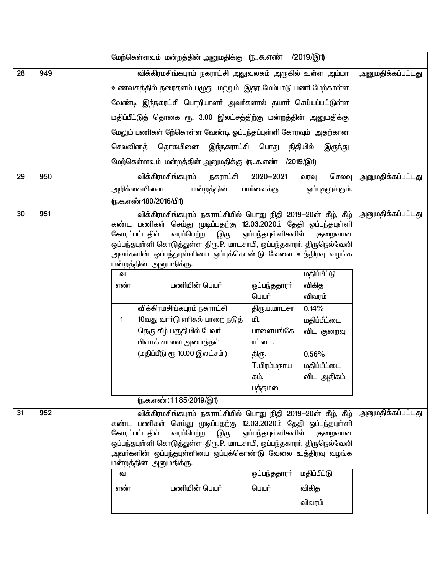|    |     | மேற்கெள்ளவும் மன்றத்தின் அனுமதிக்கு (நக.எண் /2019/இ1)           |                                                                                                                                      |                    |                         |                          |
|----|-----|-----------------------------------------------------------------|--------------------------------------------------------------------------------------------------------------------------------------|--------------------|-------------------------|--------------------------|
| 28 | 949 |                                                                 | <u>அனுமதிக்கப்பட்டது</u>                                                                                                             |                    |                         |                          |
|    |     |                                                                 | உணவகத்தில் தரைதளம் பழுது  மற்றும்  இதர மேம்பாடு பணி மேற்காள்ள                                                                        |                    |                         |                          |
|    |     |                                                                 | வேண்டி இந்நகரட்சி பொறியாளா் அவா்களால் தயாா் செய்யப்பட்டுள்ள                                                                          |                    |                         |                          |
|    |     |                                                                 | மதிப்பீட்டுத் தொகை ரூ. 3.00 இலட்சத்திற்கு மன்றத்தின் அனுமதிக்கு                                                                      |                    |                         |                          |
|    |     |                                                                 | மேலும் பணிகள் நே்கொள்ள வேண்டி ஓப்பந்தப்புள்ளி கோரவும் அதற்கான                                                                        |                    |                         |                          |
|    |     | செலவினத்                                                        | தொகயினை இந்நகராட்சி பொது                                                                                                             |                    | நிதியில்<br>இருந்து     |                          |
|    |     |                                                                 | மேற்கெள்ளவும் மன்றத்தின் அனுமதிக்கு ருக.எண் /2019/இ1)                                                                                |                    |                         |                          |
| 29 | 950 |                                                                 | விக்கிரமசிங்கபுரம்<br>நகராட்சி                                                                                                       | 2020-2021          | செலவு                   | <u>அனுமதிக்கப்பட்டது</u> |
|    |     |                                                                 | மன்றத்தின்<br>அறிக்கையினை                                                                                                            | பாா்வைக்கு         | வரவு<br>ஒப்புதலுக்கும். |                          |
|    |     |                                                                 | (ந.க.எண்480/2016/பி1)                                                                                                                |                    |                         |                          |
| 30 | 951 |                                                                 | விக்கிரமசிங்கபுரம் நகராட்சியில் பொது நிதி 2019—20ன் கீழ், கீழ்                                                                       |                    |                         | <u>அனுமதிக்கப்பட்டது</u> |
|    |     |                                                                 | கண்ட பணிகள் செய்து முடிப்பதற்கு 12.03.2020ம் தேதி ஒப்பந்தபுள்ளி                                                                      |                    |                         |                          |
|    |     |                                                                 | கோரப்பட்டதில்<br>வரப்பெற்ற<br>இரு                                                                                                    | ஒப்பந்தபுள்ளிகளில் | குறைவான                 |                          |
|    |     |                                                                 | ஒப்பந்தபுள்ளி கொடுத்துள்ள திரு.P. மாடசாமி, ஒப்பந்தகாரா், திருநெல்வேலி<br>அவா்களின் ஒப்பந்தபுள்ளியை ஒப்புக்கொண்டு வேலை உத்திரவு வழங்க |                    |                         |                          |
|    |     |                                                                 | மன்றத்தின் அனுமதிக்கு.                                                                                                               |                    |                         |                          |
|    |     | வ                                                               |                                                                                                                                      |                    | மதிப்பீட்டு             |                          |
|    |     | எண்                                                             | பணியின் பெயர்                                                                                                                        | ஒப்பந்ததாரா்       | விகித                   |                          |
|    |     |                                                                 |                                                                                                                                      | பெயர்              | விவரம்                  |                          |
|    |     |                                                                 | விக்கிரமசிங்கபுரம் நகராட்சி                                                                                                          | திரு.ப.மாடசா       | 0.14%                   |                          |
|    |     | $\mathbf{1}$                                                    | 10வது வாா்டு எாிகல் பாறை நடுத்                                                                                                       | மி,                | மதிப்பீட்டை             |                          |
|    |     |                                                                 | தெரு கீழ் பகுதியில் பேவர்                                                                                                            | பாளையங்கே          | விட குறைவு              |                          |
|    |     |                                                                 | பிளாக் சாலை அமைத்தல்                                                                                                                 | ாட்டை.             |                         |                          |
|    |     |                                                                 | (மதிப்பீடு ரூ 10.00 இலட்சம்)                                                                                                         | திரு.              | $0.56\%$                |                          |
|    |     |                                                                 |                                                                                                                                      | T.பிரம்மநாய        | மதிப்பீட்டை             |                          |
|    |     |                                                                 |                                                                                                                                      | கம்,<br>பத்தமடை    | விட அதிகம்              |                          |
|    |     |                                                                 | (ந.க.எண்:1185/2019/இ1)                                                                                                               |                    |                         |                          |
| 31 | 952 |                                                                 | விக்கிரமசிங்கபுரம் நகராட்சியில் பொது நிதி 2019—20ன் கீழ், கீழ்                                                                       |                    |                         | <u>அனுமதிக்கப்பட்டது</u> |
|    |     | கண்ட பணிகள் செய்து முடிப்பதற்கு 12.03.2020ம் தேதி ஒப்பந்தபுள்ளி |                                                                                                                                      |                    |                         |                          |
|    |     |                                                                 | கோரப்பட்டதில் வரப்பெற்ற இரு ஒப்பந்தபுள்ளிகளில் குறைவான                                                                               |                    |                         |                          |
|    |     |                                                                 | ஒப்பந்தபுள்ளி கொடுத்துள்ள திரு.P. மாடசாமி, ஒப்பந்தகாரா், திருநெல்வேலி                                                                |                    |                         |                          |
|    |     |                                                                 | அவா்களின் ஒப்பந்தபுள்ளியை ஒப்புக்கொண்டு வேலை உத்திரவு வழங்க<br>மன்றத்தின் அனுமதிக்கு.                                                |                    |                         |                          |
|    |     | வ                                                               |                                                                                                                                      | ஒப்பந்ததாரா்       | மதிப்பீட்டு             |                          |
|    |     | எண்                                                             | பணியின் பெயர்                                                                                                                        | பெயர்              | விகித                   |                          |
|    |     |                                                                 |                                                                                                                                      |                    | விவரம்                  |                          |
|    |     |                                                                 |                                                                                                                                      |                    |                         |                          |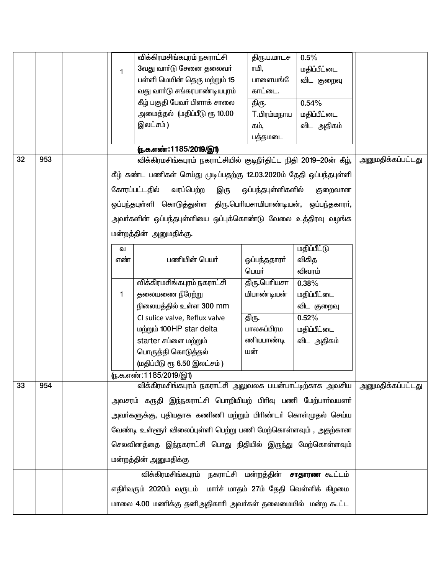|    |     |              | விக்கிரமசிங்கபுரம் நகராட்சி                                          | திரு.ப.மாடச        | 0.5%                  |                          |
|----|-----|--------------|----------------------------------------------------------------------|--------------------|-----------------------|--------------------------|
|    |     | $\mathbf{1}$ | 3வது வார்டு சேனை தலைவர்                                              | ாமி,               | மதிப்பீட்டை           |                          |
|    |     |              | பள்ளி மெயின் தெரு மற்றும் 15                                         | பாளையங்            | விட குறைவு            |                          |
|    |     |              | வது வாா்டு சங்கரபாண்டியபுரம்                                         | காட்டை.            |                       |                          |
|    |     |              | கீழ் பகுதி பேவா் பிளாக் சாலை                                         | திரு.              | 0.54%                 |                          |
|    |     |              | அமைத்தல்  (மதிப்பீடு ரூ 10.00                                        | T.பிரம்மநாய        | மதிப்பீட்டை           |                          |
|    |     |              | இலட்சம்)                                                             | கம்.               | விட அதிகம்            |                          |
|    |     |              |                                                                      | பத்தமடை            |                       |                          |
|    |     |              | <u>(ந.க.எண்:1185/2019/இ1)</u>                                        |                    |                       |                          |
| 32 | 953 |              | விக்கிரமசிங்கபுரம் நகராட்சியில் குடிநீா்திட்ட நிதி 2019—20ன் கீழ்,   |                    |                       | <u>அனுமதிக்கப்பட்டது</u> |
|    |     |              | கீழ் கண்ட பணிகள் செய்து முடிப்பதற்கு 12.03.2020ம் தேதி ஒப்பந்தபுள்ளி |                    |                       |                          |
|    |     |              | வரப்பெற்ற<br>கோரப்பட்டதில்<br>இரு                                    | ஒப்பந்தபுள்ளிகளில் | குறைவான               |                          |
|    |     |              | ஒப்பந்தபுள்ளி கொடுத்துள்ள திரு.பெரியசாமிபாண்டியன், ஒப்பந்தகாரா்,     |                    |                       |                          |
|    |     |              |                                                                      |                    |                       |                          |
|    |     |              | அவா்களின் ஒப்பந்தபுள்ளியை ஒப்புக்கொண்டு வேலை உத்திரவு வழங்க          |                    |                       |                          |
|    |     |              | மன்றத்தின் அனுமதிக்கு.                                               |                    |                       |                          |
|    |     | வ            |                                                                      |                    | <u>மதிப்பீட்டு</u>    |                          |
|    |     | எண்          | பணியின் பெயர்                                                        | ஒப்பந்ததாரா்       | விகித                 |                          |
|    |     |              |                                                                      | பெயர்              | விவரம்                |                          |
|    |     |              | விக்கிரமசிங்கபுரம் நகராட்சி                                          | திரு.பெரியசா       | 0.38%                 |                          |
|    |     | 1            | தலையணை நீரேற்று                                                      | மிபாண்டியன்        | மதிப்பீட்டை           |                          |
|    |     |              | நிலையத்தில் உள்ள 300 mm                                              |                    | விட குறைவு            |                          |
|    |     |              | CI sulice valve, Reflux valve                                        | திரு.              | 0.52%                 |                          |
|    |     |              | மற்றும் 100HP star delta                                             | பாலசுப்பிரம        | மதிப்பீட்டை           |                          |
|    |     |              | starter சப்ளை மற்றும்                                                | ணியபாண்டி          | விட அதிகம்            |                          |
|    |     |              | பொருத்தி கொடுத்தல்                                                   | யன்                |                       |                          |
|    |     |              | (மதிப்பீடு ரூ 6.50 இலட்சம்)                                          |                    |                       |                          |
|    |     |              | (ந.க.எண்:1185/2019/இ1)                                               |                    |                       |                          |
| 33 | 954 |              | விக்கிரமசிங்கபுரம் நகராட்சி அலுவலக பயன்பாட்டிற்காக அவசிய             |                    |                       | அனுமதிக்கப்பட்டது        |
|    |     |              | அவசரம் கருதி இந்நகராட்சி பொறியியற் பிரிவு பணி மேற்பாா்வயளா்          |                    |                       |                          |
|    |     |              | அவா்களுக்கு, புதியதாக கணிணி மற்றும் பிாிண்டா் கொள்முதல் செய்ய        |                    |                       |                          |
|    |     |              | வேண்டி உள்ளூர் விலைப்புள்ளி பெற்று பணி மேற்கொள்ளவும் , அதற்கான       |                    |                       |                          |
|    |     |              | செலவினத்தை இந்நகராட்சி பொது நிதியில் இருந்து மேற்கொள்ளவும்           |                    |                       |                          |
|    |     |              | மன்றத்தின் அனுமதிக்கு                                                |                    |                       |                          |
|    |     |              | விக்கிரமசிங்கபுரம் நகராட்சி மன்றத்தின்                               |                    | <b>சாதாரண</b> கூட்டம் |                          |
|    |     |              | எதிர்வரும் 2020ம் வருடம் மார்ச் மாதம் 27ம் தேதி வெள்ளிக் கிழமை       |                    |                       |                          |
|    |     |              | மாலை 4.00 மணிக்கு தனிஅதிகாரி அவர்கள் தலைமையில் மன்ற கூட்ட            |                    |                       |                          |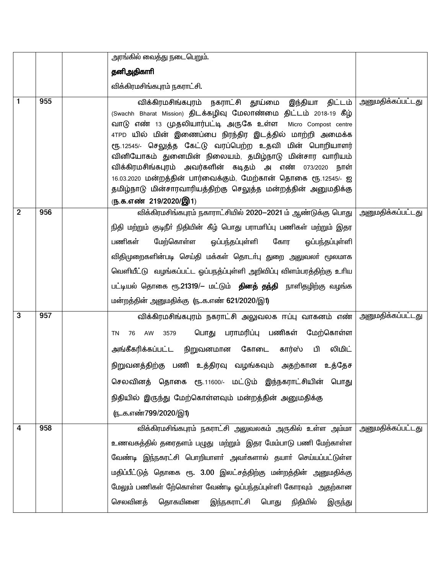|                |     |            | அரங்கில் வைத்து நடைபெறும்.                                                                                                                                                                                                                                                                                                                                                                                                                                                                                                                                                                     |                          |
|----------------|-----|------------|------------------------------------------------------------------------------------------------------------------------------------------------------------------------------------------------------------------------------------------------------------------------------------------------------------------------------------------------------------------------------------------------------------------------------------------------------------------------------------------------------------------------------------------------------------------------------------------------|--------------------------|
|                |     | தனிஅதிகாரி |                                                                                                                                                                                                                                                                                                                                                                                                                                                                                                                                                                                                |                          |
|                |     |            | விக்கிரமசிங்கபுரம் நகராட்சி.                                                                                                                                                                                                                                                                                                                                                                                                                                                                                                                                                                   |                          |
| 1              | 955 |            | இந்தியா திட்டம்<br>விக்கிரமசிங்கபுரம் நகராட்சி தூய்மை<br>(Swachh Bharat Mission) திடக்கழிவு மேலாண்மை திட்டம் 2018-19 கீழ்<br>வாடு எண் 13 முதலியார்பட்டி அருகே உள்ள<br>Micro Compost centre<br>4TPD யில் மின் இணைப்பை நிரந்திர இடத்தில் மாற்றி அமைக்க<br>ரூ.12545/- செலுத்த கேட்டு வரப்பெற்ற உதவி மின் பொறியாளர்<br>வினியோகம் துனைமின் நிலையம், தமிழ்நாடு மின்சார வாரியம்<br>விக்கிரமசிங்கபுரம் அவர்களின் கடிதம் அ எண் 073/2020 நாள்<br>16.03.2020 மன்றத்தின் பார்வைக்கும், மேற்கான் தொகை ரூ.12545/- ஐ<br>தமிழ்நாடு மின்சாரவாரியத்திற்கு செலுத்த மன்றத்தின் அனுமதிக்கு<br>ரு.க.எண் 219/2020/இ1) | <u>அனுமதிக்கப்பட்டது</u> |
| $\overline{2}$ | 956 | பணிகள்     | விக்கிரமசிங்கபுரம் நகாராட்சியில் 2020-2021 ம் ஆண்டுக்கு பொது   அனுமதிக்கப்பட்டது<br>நிதி மற்றும் குடிநீா் நிதியின் கீழ் பொது பராமாிப்பு பணிகள் மற்றும் இதர<br>மேற்கொள்ள<br>கோர<br>ஒப்பந்தப்புள்ளி<br>ஓப்பந்தப்புள்ளி<br>விதிமுறைகளின்படி செய்தி மக்கள் தொடா்பு துறை அலுவலா் மூலமாக<br>வெளியீட்டு வழங்கப்பட்ட ஓப்பநத்ப்புள்ளி அறிவிப்பு விளம்பரத்திற்கு உரிய<br>பட்டியல் தொகை ரூ.21319/– மட்டும் <b>தினத் தந்தி</b> நாளிதழிற்கு வழங்க<br>மன்றத்தின் அனுமதிக்கு (நக.எண் 621/2020/இ1)                                                                                                             |                          |
| 3              | 957 | 76<br>ΤN   | விக்கிரமசிங்கபுரம் நகராட்சி அலுவலக ஈப்பு வாகனம் எண் <br>பொது பராமரிப்பு பணிகள் மேற்கொள்ள<br>AW<br>3579<br>அங்கீகரிக்கப்பட்ட நிறுவனமான கோடை<br>லிமிட்<br>கார்ஸ் பி<br>நிறுவனத்திற்கு பணி உத்திரவு வழங்கவும் அதற்கான உத்தேச<br>செலவினத் தொகை ரூ.11600/- மட்டும் இந்நகராட்சியின் பொது<br>நிதியில் இருந்து மேற்கொள்ளவும் மன்றத்தின் அனுமதிக்கு<br><u>(நக.எண்799/2020/இ1)</u>                                                                                                                                                                                                                       | <u>அனுமதிக்கப்பட்டது</u> |
| 4              | 958 | செலவினத்   | விக்கிரமசிங்கபுரம் நகராட்சி அலுவலகம் அருகில் உள்ள அம்மா   அனுமதிக்கப்பட்டது<br>உணவகத்தில் தரைதளம் பழுது மற்றும் இதர மேம்பாடு பணி மேற்காள்ள<br>வேண்டி இந்நகரட்சி பொறியாளா் அவா்களால் தயாா் செய்யப்பட்டுள்ள<br>மதிப்பீட்டுத் தொகை ரூ. 3.00 இலட்சத்திற்கு மன்றத்தின் அனுமதிக்கு<br>மேலும் பணிகள் நே்கொள்ள வேண்டி ஓப்பந்தப்புள்ளி கோரவும் அதற்கான<br>தொகயினை<br>இந்நகராட்சி பொது<br>நிதியில்<br>இருந்து                                                                                                                                                                                            |                          |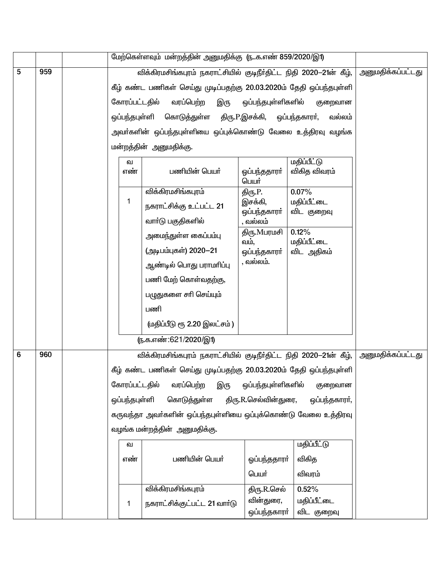|   |     | மேற்கெள்ளவும் மன்றத்தின் அனுமதிக்கு (நக.எண் 859/2020/இ1)       |                                                                      |                               |                           |                          |
|---|-----|----------------------------------------------------------------|----------------------------------------------------------------------|-------------------------------|---------------------------|--------------------------|
| 5 | 959 |                                                                | விக்கிரமசிங்கபுரம் நகராட்சியில் குடிநீர்திட்ட நிதி 2020-21ன் கீழ்,   | அனுமதிக்கப்பட்டது             |                           |                          |
|   |     |                                                                | கீழ் கண்ட பணிகள் செய்து முடிப்பதற்கு 20.03.2020ம் தேதி ஒப்பந்தபுள்ளி |                               |                           |                          |
|   |     | கோரப்பட்டதில்                                                  | வரப்பெற்ற<br>இரு                                                     | ஒப்பந்தபுள்ளிகளில்<br>குறைவான |                           |                          |
|   |     |                                                                | ஒப்பந்தபுள்ளி கொடுத்துள்ள                                            | திரு.P.இசக்கி, ஒப்பந்தகாரா்,  | வல்லம்                    |                          |
|   |     |                                                                | அவா்களின் ஒப்பந்தபுள்ளியை ஒப்புக்கொண்டு வேலை உத்திரவு வழங்க          |                               |                           |                          |
|   |     |                                                                | மன்றத்தின் அனுமதிக்கு.                                               |                               |                           |                          |
|   |     | வ                                                              |                                                                      |                               | <u>மதிப்பீட்டு</u>        |                          |
|   |     | எண்                                                            | பணியின் பெயர்                                                        | ஒப்பந்ததாரா்<br>பெயர்         | விகித விவரம்              |                          |
|   |     |                                                                | விக்கிரமசிங்கபுரம்                                                   | திரு.P.                       | 0.07%                     |                          |
|   |     | 1                                                              | நகராட்சிக்கு உட்பட்ட 21                                              | இசக்கி,<br>ஒப்பந்தகாரா்       | மதிப்பீட்டை<br>விட குறைவு |                          |
|   |     |                                                                | வாா்டு பகுதிகளில்                                                    | , வல்லம்                      |                           |                          |
|   |     |                                                                | அமைந்துள்ள கைப்பம்பு                                                 | திரு.Mபரமசி<br>வம்,           | 0.12%<br>மதிப்பீட்டை      |                          |
|   |     |                                                                | (அடிபம்புகள்) 2020-21                                                | ஒப்பந்தகாரா்                  | விட அதிகம்                |                          |
|   |     |                                                                | ஆண்டில் பொது பராமாிப்பு                                              | , வல்லம்.                     |                           |                          |
|   |     |                                                                | பணி மேற் கொள்வதற்கு,                                                 |                               |                           |                          |
|   |     |                                                                | பழுதுகளை சாி செய்யும்                                                |                               |                           |                          |
|   |     |                                                                | பணி                                                                  |                               |                           |                          |
|   |     |                                                                | (மதிப்பீடு ரூ 2.20 இலட்சம்)                                          |                               |                           |                          |
|   |     |                                                                | ரு.க.எண்:621/2020/இ1)                                                |                               |                           |                          |
| 6 | 960 |                                                                | விக்கிரமசிங்கபுரம் நகராட்சியில் குடிநீர்திட்ட நிதி 2020-21ன் கீழ்,   |                               |                           | <u>அனுமதிக்கப்பட்டது</u> |
|   |     |                                                                | கீழ் கண்ட பணிகள் செய்து முடிப்பதற்கு 20.03.2020ம் தேதி ஒப்பந்தபுள்ளி |                               |                           |                          |
|   |     | கோரப்பட்டதில்                                                  | வரப்பெற்ற<br>இரு                                                     | ஒப்பந்தபுள்ளிகளில்            | குறைவான                   |                          |
|   |     | ஒப்பந்தபுள்ளி                                                  | கொடுத்துள்ள                                                          | திரு.R.செல்வின்துரை,          | ஒப்பந்தகாரா்,             |                          |
|   |     | கருவந்தா அவர்களின் ஒப்பந்தபுள்ளியை ஒப்புக்கொண்டு வேலை உத்திரவு |                                                                      |                               |                           |                          |
|   |     | வழங்க மன்றத்தின் அனுமதிக்கு.                                   |                                                                      |                               |                           |                          |
|   |     | வ                                                              |                                                                      |                               |                           |                          |
|   |     | எண்                                                            | பணியின் பெயர்                                                        | ஓப்பந்ததாரா்                  | விகித                     |                          |
|   |     |                                                                |                                                                      |                               |                           |                          |
|   |     |                                                                | விக்கிரமசிங்கபுரம்                                                   |                               |                           |                          |
|   |     | 1                                                              | நகராட்சிக்குட்பட்ட 21 வார்டு                                         | திரு.R.செல்<br>வின்துரை,      | மதிப்பீட்டை               |                          |
|   |     |                                                                |                                                                      | ஒப்பந்தகாரா்                  | விட குறைவு                |                          |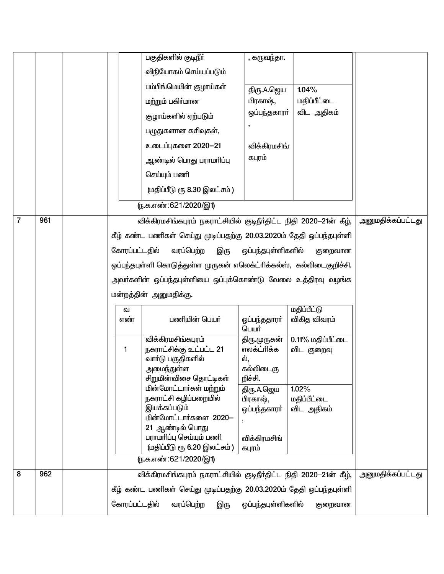|                |     |               | பகுதிகளில் குடிநீா்                                                  | , கருவந்தா.            |                   |                          |
|----------------|-----|---------------|----------------------------------------------------------------------|------------------------|-------------------|--------------------------|
|                |     |               | விநியோகம் செய்யப்படும்                                               |                        |                   |                          |
|                |     |               | பம்பிங்மெயின் குழாய்கள்                                              | திரு.A.ஜெய             | 1.04%             |                          |
|                |     |               | மற்றும் பகிர்மான                                                     | பிரகாஷ்,               | மதிப்பீட்டை       |                          |
|                |     |               | குழாய்களில் ஏற்படும்                                                 | ஒப்பந்தகாரா்           | விட அதிகம்        |                          |
|                |     |               | பழுதுகளான கசிவுகள்,                                                  |                        |                   |                          |
|                |     |               | உடைப்புகளை 2020-21                                                   | விக்கிரமசிங்           |                   |                          |
|                |     |               | ஆண்டில் பொது பராமாிப்பு                                              | கபுரம்                 |                   |                          |
|                |     |               | செய்யும் பணி                                                         |                        |                   |                          |
|                |     |               | (மதிப்பீடு ரூ 8.30 இலட்சம்)                                          |                        |                   |                          |
|                |     |               | <u>(ந</u> .க.எண்:621/2020/இ1)                                        |                        |                   |                          |
| $\overline{7}$ | 961 |               | விக்கிரமசிங்கபுரம் நகராட்சியில் குடிநீர்திட்ட நிதி 2020—21ன் கீழ்,   |                        |                   | <u>அனுமதிக்கப்பட்டது</u> |
|                |     |               | கீழ் கண்ட பணிகள் செய்து முடிப்பதற்கு 20.03.2020ம் தேதி ஒப்பந்தபுள்ளி |                        |                   |                          |
|                |     | கோரப்பட்டதில் | வரப்பெற்ற<br>இரு                                                     | ஒப்பந்தபுள்ளிகளில்     | குறைவான           |                          |
|                |     |               | ஒப்பந்தபுள்ளி கொடுத்துள்ள முருகன் எலெக்ட்ரிக்கல்ஸ், கல்லிடைகுறிச்சி. |                        |                   |                          |
|                |     |               | அவா்களின் ஒப்பந்தபுள்ளியை ஒப்புக்கொண்டு வேலை உத்திரவு வழங்க          |                        |                   |                          |
|                |     |               | மன்றத்தின் அனுமதிக்கு.                                               |                        |                   |                          |
|                |     | ഖ             |                                                                      |                        | மதிப்பீட்டு       |                          |
|                |     | எண்           | பணியின் பெயர்                                                        | ஓப்பந்ததாரா்<br>பெயர்  | விகித விவரம்      |                          |
|                |     |               | விக்கிரமசிங்கபுரம்                                                   | திரு.முருகன்           | 0.11% மதிப்பீட்டை |                          |
|                |     | 1             | நகராட்சிக்கு உட்பட்ட 21<br>வாா்டு பகுதிகளில்                         | எலக்ட்ரிக்க<br>ல்,     | விட குறைவு        |                          |
|                |     |               | அமைந்துள்ள                                                           | கல்லிடைகு              |                   |                          |
|                |     |               | சிறுமின்விசை தொட்டிகள்<br>மின்மோட்டார்கள் மற்றும்                    | றிச்சி.<br>திரு.A.ஜெய  | 1.02%             |                          |
|                |     |               | நகராட்சி கழிப்பறையில்                                                | பிரகாஷ்,               | மதிப்பீட்டை       |                          |
|                |     |               | இயக்கப்படும்<br>மின்மோட்டார்களை 2020-                                | ஒப்பந்தகாரா்           | விட அதிகம்        |                          |
|                |     |               | 21 ஆண்டில் பொது                                                      |                        |                   |                          |
|                |     |               | பராமரிப்பு செய்யும் பணி<br>(மதிப்பீடு ரூ 6.20 இலட்சம்)               | விக்கிரமசிங்<br>கபுரம் |                   |                          |
|                |     |               | <u>ரு.க.எண்:621/2020/இ1)</u>                                         |                        |                   |                          |
| 8              | 962 |               | விக்கிரமசிங்கபுரம் நகராட்சியில் குடிநீர்திட்ட நிதி 2020-21ன் கீழ்,   |                        |                   | அனுமதிக்கப்பட்டது        |
|                |     |               | கீழ் கண்ட பணிகள் செய்து முடிப்பதற்கு 20.03.2020ம் தேதி ஒப்பந்தபுள்ளி |                        |                   |                          |
|                |     | கோரப்பட்டதில் | வரப்பெற்ற<br>இரு                                                     | ஒப்பந்தபுள்ளிகளில்     | குறைவான           |                          |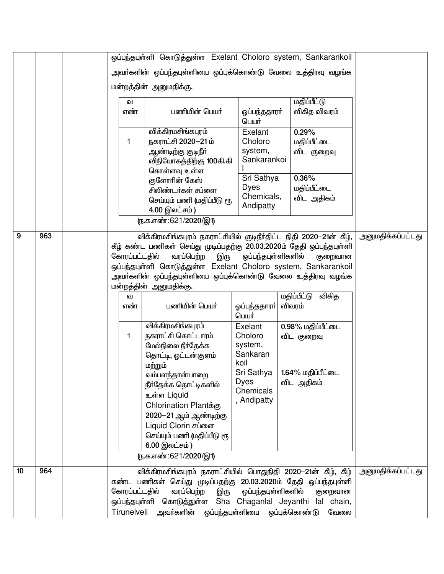|    |     |  |                               | ஒப்பந்தபுள்ளி கொடுத்துள்ள Exelant Choloro system, Sankarankoil       |                               |                      |                   |
|----|-----|--|-------------------------------|----------------------------------------------------------------------|-------------------------------|----------------------|-------------------|
|    |     |  |                               | அவா்களின் ஒப்பந்தபுள்ளியை ஒப்புக்கொண்டு வேலை உத்திரவு வழங்க          |                               |                      |                   |
|    |     |  |                               | மன்றத்தின் அனுமதிக்கு.                                               |                               |                      |                   |
|    |     |  |                               |                                                                      |                               |                      |                   |
|    |     |  | வ                             |                                                                      |                               |                      |                   |
|    |     |  | எண்                           | பணியின் பெயர்                                                        | ஒப்பந்ததாரா்<br>பெயர்         | விகித விவரம்         |                   |
|    |     |  |                               | விக்கிரமசிங்கபுரம்                                                   |                               |                      |                   |
|    |     |  | 1                             | நகராட்சி 2020-21 ம்                                                  | Choloro                       | மதிப்பீட்டை          |                   |
|    |     |  |                               | ஆண்டிற்கு குடிநீா்                                                   | system,                       | விட குறைவு           |                   |
|    |     |  |                               | விநியோகத்திற்கு 100கி.கி                                             | Sankarankoi                   |                      |                   |
|    |     |  |                               | கொள்ளவு உள்ள                                                         | Sri Sathya                    | 0.36%                |                   |
|    |     |  |                               | குளோரின் கேஸ்<br>சிலிண்டர்கள் சப்ளை                                  | <b>Dyes</b>                   | மதிப்பீட்டை          |                   |
|    |     |  |                               | செய்யும் பணி (மதிப்பீடு ரூ                                           | Chemicals,                    | விட அதிகம்           |                   |
|    |     |  |                               | 4.00 இலட்சம்)                                                        | Andipatty                     |                      |                   |
|    |     |  | <u>(ந</u> .க.எண்:621/2020/இ1) |                                                                      |                               |                      |                   |
| 9  | 963 |  |                               | விக்கிரமசிங்கபுரம் நகராட்சியில் குடிநீர்திட்ட நிதி 2020-21ன் கீழ்,   | அனுமதிக்கப்பட்டது             |                      |                   |
|    |     |  |                               | கீழ் கண்ட பணிகள் செய்து முடிப்பதற்கு 20.03.2020ம் தேதி ஒப்பந்தபுள்ளி |                               |                      |                   |
|    |     |  | கோரப்பட்டதில்                 | வரப்பெற்ற<br>இரு                                                     | ஒப்பந்தபுள்ளிகளில்            | குறைவான              |                   |
|    |     |  |                               | ஒப்பந்தபுள்ளி கொடுத்துள்ள Exelant Choloro system, Sankarankoil       |                               |                      |                   |
|    |     |  |                               | அவா்களின் ஒப்பந்தபுள்ளியை ஒப்புக்கொண்டு வேலை உத்திரவு வழங்க          |                               |                      |                   |
|    |     |  |                               | மன்றத்தின் அனுமதிக்கு.                                               |                               |                      |                   |
|    |     |  | வ                             |                                                                      |                               | விகித<br>மதிப்பீட்டு |                   |
|    |     |  | எண்                           | பணியின் பெயர்                                                        | ஓப்பந்ததாரா்<br>பெயர்         | விவரம்               |                   |
|    |     |  |                               | விக்கிரமசிங்கபுரம்                                                   | Exelant                       | 0.98% மதிப்பீட்டை    |                   |
|    |     |  | 1                             | நகராட்சி கொட்டாரம்                                                   | Choloro                       | விட குறைவு           |                   |
|    |     |  |                               | மேல்நிலை நீர்தேக்க                                                   | system,                       |                      |                   |
|    |     |  |                               | தொட்டி, ஓட்டன்குளம்                                                  | Sankaran                      |                      |                   |
|    |     |  |                               | மற்றும்                                                              | koil<br>Sri Sathya            | 1.64% மகிப்பீட்டை    |                   |
|    |     |  |                               | வம்பளந்தான்பாறை                                                      | <b>Dyes</b>                   | விட அதிகம்           |                   |
|    |     |  |                               | நீர்தேக்க தொட்டிகளில்                                                | Chemicals                     |                      |                   |
|    |     |  |                               | உள்ள Liquid                                                          | , Andipatty                   |                      |                   |
|    |     |  |                               | Chlorination Plantக்கு                                               |                               |                      |                   |
|    |     |  |                               | 2020-21 ஆம் ஆண்டிற்கு<br>Liquid Clorin சப்ளை                         |                               |                      |                   |
|    |     |  |                               | செய்யும் பணி (மதிப்பீடு ரூ                                           |                               |                      |                   |
|    |     |  |                               | 6.00 இலட்சம்)                                                        |                               |                      |                   |
|    |     |  | <u>(ந</u> .க.எண்:621/2020/இ1) |                                                                      |                               |                      |                   |
| 10 | 964 |  |                               | விக்கிரமசிங்கபுரம் நகராட்சியில் பொதுநிதி 2020-21ன் கீழ், கீழ்        |                               |                      | அனுமதிக்கப்பட்டது |
|    |     |  |                               | கண்ட பணிகள் செய்து முடிப்பதற்கு 20.03.2020ம் தேதி ஒப்பந்தபுள்ளி      |                               |                      |                   |
|    |     |  | கோரப்பட்டதில்                 | வரப்பெற்ற<br>இரு                                                     | ஒப்பந்தபுள்ளிகளில்<br>குறைவான |                      |                   |
|    |     |  |                               | ஒப்பந்தபுள்ளி கொடுத்துள்ள Sha Chaganlal Jeyanthi lal chain,          |                               |                      |                   |
|    |     |  |                               | Tirunelveli அவர்களின் ஒப்பந்தபுள்ளியை ஒப்புக்கொண்டு                  |                               | வேலை                 |                   |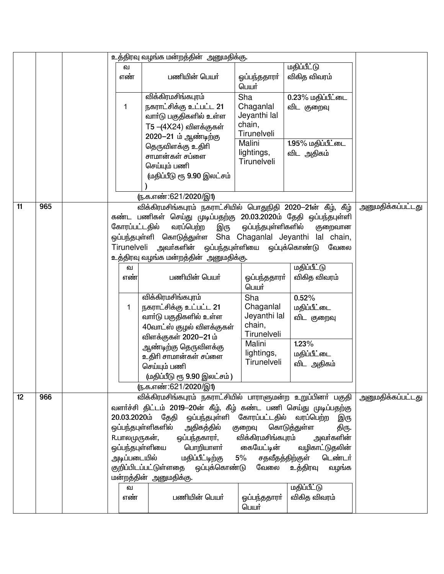|    |     |  |                 | உத்திரவு வழங்க மன்றத்தின் அனுமதிக்கு.                              |                                       |                        |                          |
|----|-----|--|-----------------|--------------------------------------------------------------------|---------------------------------------|------------------------|--------------------------|
|    |     |  | வ               |                                                                    |                                       | <u>மதிப்பீட்டு</u>     |                          |
|    |     |  | எண்             | பணியின் பெயர்                                                      | ஒப்பந்ததாரா்<br>பெயர்                 | விகித விவரம்           |                          |
|    |     |  |                 | விக்கிரமசிங்கபுரம்                                                 | Sha                                   | 0.23% மதிப்பீட்டை      |                          |
|    |     |  | 1               | நகராட்சிக்கு உட்பட்ட 21                                            | Chaganlal                             | விட குறைவு             |                          |
|    |     |  |                 | வாா்டு பகுதிகளில் உள்ள                                             | Jeyanthi lal                          |                        |                          |
|    |     |  |                 | T5 -(4X24) விளக்குகள்                                              | chain,                                |                        |                          |
|    |     |  |                 | 2020-21 ம் ஆண்டிற்கு                                               | Tirunelveli                           |                        |                          |
|    |     |  |                 | தெருவிளக்கு உதிரி                                                  | Malini                                | 1.95% மதிப்பீட்டை      |                          |
|    |     |  |                 | சாமான்கள் சப்ளை                                                    | lightings,                            | விட அதிகம்             |                          |
|    |     |  |                 | செய்யும் பணி                                                       | Tirunelveli                           |                        |                          |
|    |     |  |                 | (மதிப்பீடு ரூ 9.90 இலட்சம்                                         |                                       |                        |                          |
|    |     |  |                 |                                                                    |                                       |                        |                          |
|    |     |  |                 | <u>(ந</u> .க.எண்:621/2020/இ1)                                      |                                       |                        |                          |
| 11 | 965 |  |                 | விக்கிரமசிங்கபுரம் நகராட்சியில் பொதுநிதி 2020-21ன் கீழ், கீழ்      |                                       |                        | <u>அனுமதிக்கப்பட்டது</u> |
|    |     |  | கண்ட            | பணிகள் செய்து முடிப்பதற்கு 20.03.2020ம் தேதி ஒப்பந்தபுள்ளி         |                                       |                        |                          |
|    |     |  | கோரப்பட்டதில்   | வரப்பெற்ற<br>இரு                                                   | ஒப்பந்தபுள்ளிகளில்                    | குறைவான                |                          |
|    |     |  |                 | ஒப்பந்தபுள்ளி கொடுத்துள்ள Sha Chaganlal Jeyanthi lal chain,        |                                       |                        |                          |
|    |     |  |                 | Tirunelveli அவா்களின் ஒப்பந்தபுள்ளியை                              |                                       | ஒப்புக்கொண்டு<br>வேலை  |                          |
|    |     |  |                 | உத்திரவு வழங்க மன்றத்தின் அனுமதிக்கு.                              |                                       |                        |                          |
|    |     |  | வ               |                                                                    |                                       | <b>மதிப்பீட்டு</b>     |                          |
|    |     |  | எண்             | பணியின் பெயர்                                                      | ஓப்பந்ததாரா்<br>பெயர்                 | விகித விவரம்           |                          |
|    |     |  |                 | விக்கிரமசிங்கபுரம்                                                 | Sha                                   | 0.52%                  |                          |
|    |     |  | 1               | நகராட்சிக்கு உட்பட்ட 21                                            | Chaganlal                             | மதிப்பீட்டை            |                          |
|    |     |  |                 | வாா்டு பகுதிகளில் உள்ள                                             | Jeyanthi lal                          | விட குறைவு             |                          |
|    |     |  |                 | 40வாட்ஸ் குழல் விளக்குகள்                                          | chain,                                |                        |                          |
|    |     |  |                 | விளக்குகள் 2020-21 ம்                                              | Tirunelveli                           |                        |                          |
|    |     |  |                 | ஆண்டிற்கு தெருவிளக்கு                                              | Malini                                | 1.23%                  |                          |
|    |     |  |                 | உதிரி சாமான்கள் சப்ளை                                              | lightings,<br>Tirunelveli             | மதிப்பீட்டை            |                          |
|    |     |  |                 | செய்யும் பணி                                                       |                                       | விட அதிகம்             |                          |
|    |     |  |                 | (மதிப்பீடு ரூ 9.90 இலட்சம்)                                        |                                       |                        |                          |
|    |     |  |                 | (ந.க.எண்:621/2020/இ1)                                              |                                       |                        |                          |
| 12 | 966 |  |                 | விக்கிரமசிங்கபுரம் நகராட்சியில் பாராளுமன்ற உறுப்பினா் பகுதி        |                                       |                        | அனுமதிக்கப்பட்டது        |
|    |     |  |                 | வளர்ச்சி திட்டம் 2019–20ன் கீழ், கீழ் கண்ட பணி செய்து முடிப்பதற்கு |                                       |                        |                          |
|    |     |  |                 | 20.03.2020ம் தேதி                                                  | ஒப்பந்தபுள்ளி கோரப்பட்டதில் வரப்பெற்ற | இரு                    |                          |
|    |     |  |                 | ஒப்பந்தபுள்ளிகளில்<br>அதிகத்தில்                                   | குறைவு                                | கொடுத்துள்ள<br>திரு.   |                          |
|    |     |  | R.பாலமுருகன்,   | ஒப்பந்தகாரா்,  விக்கிரமசிங்கபுரம்                                  |                                       | அவா்களின்              |                          |
|    |     |  | ஒப்பந்தபுள்ளியை | பொறியாளா் கையேட்டின்                                               |                                       | வழிகாட்டுதலின்         |                          |
|    |     |  | அடிப்படையில்    | மதிப்பீட்டிற்கு                                                    | 5%<br>சதவீதத்திற்குள்                 | டெண்டர்                |                          |
|    |     |  |                 | குறிப்பிடப்பட்டுள்ளதை ஒப்புக்கொண்டு                                |                                       | வேலை உத்திரவு<br>வழங்க |                          |
|    |     |  |                 | மன்றத்தின் அனுமதிக்கு.                                             |                                       |                        |                          |
|    |     |  | ഖ               |                                                                    |                                       | மதிப்பீட்டு            |                          |
|    |     |  | எண்             | பணியின் பெயர்                                                      | ஒப்பந்ததாரா்<br>பெயர்                 | விகித விவரம்           |                          |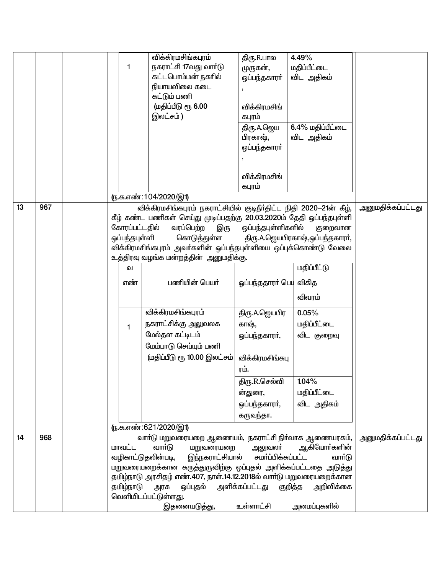|    |     | 1                   | விக்கிரமசிங்கபுரம்<br>நகராட்சி 17வது வார்டு<br>கட்டபொம்மன் நகரில்<br>நியாயவிலை கடை<br>கட்டும் பணி<br>(மதிப்பீடு ரூ 6.00<br>இலட்சம்)                                                                                                                                                                                         | திரு.R.பால<br>முருகன்,<br>ஒப்பந்தகாரா்<br>விக்கிரமசிங்<br>கபுரம்<br>திரு.A.ஜெய<br>பிரகாஷ், | 4.49%<br>மதிப்பீட்டை<br>விட அதிகம்<br>6.4% மதிப்பீட்டை<br>விட அதிகம் |                          |
|----|-----|---------------------|-----------------------------------------------------------------------------------------------------------------------------------------------------------------------------------------------------------------------------------------------------------------------------------------------------------------------------|--------------------------------------------------------------------------------------------|----------------------------------------------------------------------|--------------------------|
|    |     |                     | <u>ரு.க.எண்:104/2020/இ1)</u>                                                                                                                                                                                                                                                                                                | ஒப்பந்தகாரா்<br>விக்கிரமசிங்<br>கபுரம்                                                     |                                                                      |                          |
| 13 | 967 |                     | விக்கிரமசிங்கபுரம் நகராட்சியில் குடிநீர்திட்ட நிதி 2020-21ன் கீழ்,<br>கீழ் கண்ட பணிகள் செய்து முடிப்பதற்கு 20.03.2020ம் தேதி ஒப்பந்தபுள்ளி<br>கோரப்பட்டதில்<br>வரப்பெற்ற<br>இரு<br>ஒப்பந்தபுள்ளி<br>கொடுத்துள்ள<br>விக்கிரமசிங்கபுரம் அவா்களின் ஒப்பந்தபுள்ளியை ஒப்புக்கொண்டு வேலை<br>உத்திரவு வழங்க மன்றத்தின் அனுமதிக்கு. | ஒப்பந்தபுள்ளிகளில்                                                                         | குறைவான<br>திரு.A.ஜெயபிரகாஷ்,ஒப்பந்தகாரர்,                           | <u>அனுமதிக்கப்பட்டது</u> |
|    |     | ഖ<br>எண்            | பணியின் பெயர்                                                                                                                                                                                                                                                                                                               | ஓப்பந்ததாரா் பெய                                                                           | <u>மதிப்பீட்டு</u><br>விகித<br>விவரம்                                |                          |
|    |     | 1                   | விக்கிரமசிங்கபுரம்<br>நகராட்சிக்கு அலுவலக<br>மேல்தள கட்டிடம்<br>மேம்பாடு செய்யும் பணி<br>(மதிப்பீடு ரூ 10.00 இலட்சம்                                                                                                                                                                                                        | திரு.A.ஜெயபிர<br>காஷ்,<br>ஒப்பந்தகாரா்,<br>விக்கிரமசிங்கபு<br>ரம்.                         | 0.05%<br>மதிப்பீட்டை<br>விட குறைவு                                   |                          |
|    |     |                     | (ந.க.எண்:621/2020/இ1)                                                                                                                                                                                                                                                                                                       | திரு.R.செல்வி<br>ன்துரை,<br>ஒப்பந்தகாரா்,<br>கருவந்தா.                                     | 1.04%<br>மதிப்பீட்டை<br>விட அதிகம்                                   |                          |
| 14 | 968 | மாவட்ட<br>தமிழ்நாடு | வார்டு மறுவரையறை ஆணையம், நகராட்சி நிர்வாக ஆணையரகம்,<br>வாா்டு<br>மறுவரையறை<br>இந்நகராட்சியால்<br>வழிகாட்டுதலின்படி,<br>மறுவரையறைக்கான கருத்துருவிற்கு ஒப்புதல் அளிக்கப்பட்டதை அடுத்து<br>தமிழ்நாடு அரசிதழ் எண்.407, நாள்.14.12.2018ல் வார்டு மறுவரையறைக்கான<br>அரசு<br>வெளியிடப்பட்டுள்ளது.<br>இதனையடுத்து,                 | அலுவலா்<br>சமர்ப்பிக்கப்பட்ட<br>ஒப்புதல் அளிக்கப்பட்டது குறித்த<br>உள்ளாட்சி               | ஆகியோா்களின்<br>வார்டு<br>அறிவிக்கை<br>அமைப்புகளில்                  | <u>அனுமதிக்கப்பட்டது</u> |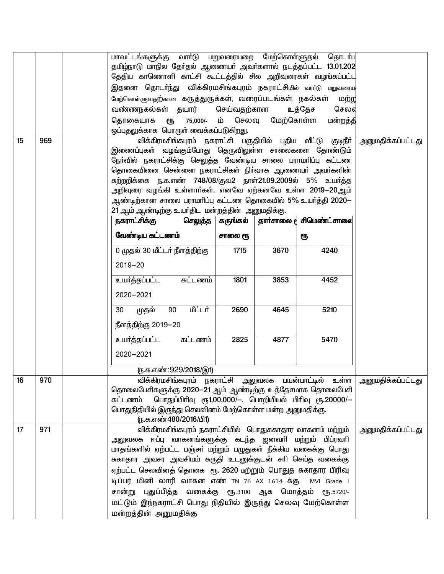| 15 | 969 | மேற்கொள்ளுவதற்கான கருத்துருக்கள், வரைப்படங்கள், நகல்கள்<br>வண்ணநகல்கள் தயார்<br>தொகையாக<br>ஒப்புதலுக்காக பொருள் வைக்கப்படுகிறது. | СЉ                                                         | செய்வதற்கான       | 75,000/- ம் செலவு மேற்கொள்ள | மாவட்டங்களுக்கு வாா்டு மறுவரையறை மேற்கொள்ளுதல் தொடா்பு<br>தமிழ்நாடு மாநில தேர்தல் ஆணையர் அவர்களால் நடத்தப்பட்ட 13.01.202<br>தேதிய காணொளி காட்சி கூட்டத்தில் சில அறிவுரைகள் வழங்கப்பட்ட<br>இதனை தொடா்ந்து விக்கிரமசிங்கபுரம் நகராட்சியில் வாா்டு மறுவரைய<br>மற்ற<br>உத்தேச<br>செலஎ<br>மன்றத்தி<br>விக்கிரமசிங்கபுரம் நகராட்சி பகுதியில் புதிய வீட்டு குடிநீர் | அனுமதிக்கப்பட்டது                                                      |
|----|-----|----------------------------------------------------------------------------------------------------------------------------------|------------------------------------------------------------|-------------------|-----------------------------|--------------------------------------------------------------------------------------------------------------------------------------------------------------------------------------------------------------------------------------------------------------------------------------------------------------------------------------------------------------|------------------------------------------------------------------------|
|    |     |                                                                                                                                  |                                                            |                   |                             | இணைப்புகள் வழங்கும்போது தெருவிலுள்ள சாலைகளை தோண்டும்<br>நோ்வில் நகராட்சிக்கு செலுத்த வேண்டிய சாலை பராமாிப்பு கட்டண                                                                                                                                                                                                                                           |                                                                        |
|    |     |                                                                                                                                  |                                                            |                   |                             | தொகையினை சென்னை நகராட்சிகள் நிர்வாக ஆணையர் அவர்களின்<br>சுற்றறிக்கை ந.க.எண் 748/08/குவ2 நாள்21.09.2009ல் 5% உயர்த்த                                                                                                                                                                                                                                          |                                                                        |
|    |     |                                                                                                                                  |                                                            |                   |                             | அறிவுரை வழங்கி உள்ளார்கள். எனவே ஏற்கனவே உள்ள 20 <mark>19</mark> —20ஆம்                                                                                                                                                                                                                                                                                       |                                                                        |
|    |     | 21 ஆம் ஆண்டிற்கு உயர்திட மன்றத்தின் அனுமதிக்கு.                                                                                  |                                                            |                   |                             | ஆண்டிற்கான சாலை பராமாிப்பு கட்டண தொகையில் 5% உயர்த்தி 2020—                                                                                                                                                                                                                                                                                                  |                                                                        |
|    |     | நகராட்சிக்கு                                                                                                                     | செலுத்த                                                    | கருங்கல்          |                             | தார்சாலை <b>d</b> சிமெண்ட்சாலை                                                                                                                                                                                                                                                                                                                               |                                                                        |
|    |     | வேண்டிய கட்டணம்                                                                                                                  |                                                            | சாலை ரூ           |                             | ரூ                                                                                                                                                                                                                                                                                                                                                           |                                                                        |
|    |     | 0 முதல் 30 மீட்டர் நீளத்திற்கு                                                                                                   |                                                            | 1715              | 3670                        | 4240                                                                                                                                                                                                                                                                                                                                                         |                                                                        |
|    |     | $2019 - 20$                                                                                                                      |                                                            |                   |                             |                                                                                                                                                                                                                                                                                                                                                              |                                                                        |
|    |     | உயர்த்தப்பட்ட                                                                                                                    | கட்டணம்                                                    | 1801              | 3853                        | 4452                                                                                                                                                                                                                                                                                                                                                         |                                                                        |
|    |     | 2020-2021                                                                                                                        |                                                            |                   |                             |                                                                                                                                                                                                                                                                                                                                                              |                                                                        |
|    |     | முதல்<br>30<br>நீளத்திற்கு 2019-20                                                                                               | <u>மீட்டர்</u><br>90                                       | 2690              | 4645                        | 5210                                                                                                                                                                                                                                                                                                                                                         |                                                                        |
|    |     | உயர்த்தப்பட்ட                                                                                                                    | கட்டணம்                                                    | 2825              | 4877                        | 5470                                                                                                                                                                                                                                                                                                                                                         |                                                                        |
|    |     | 2020-2021                                                                                                                        |                                                            |                   |                             |                                                                                                                                                                                                                                                                                                                                                              |                                                                        |
|    |     |                                                                                                                                  | ரு.க.எண்:929/2018/இ1)                                      |                   |                             |                                                                                                                                                                                                                                                                                                                                                              |                                                                        |
| 16 | 970 |                                                                                                                                  |                                                            |                   |                             | தொலைபேசிகளுக்கு 2020–21 ஆம் ஆண்டிற்கு உத்தேசமாக தொலைபேசி                                                                                                                                                                                                                                                                                                     | விக்கிரமசிங்கபுரம் நகராட்சி அலுவலக பயன்பாட்டில் உள்ள அனுமதிக்கப்பட்டது |
|    |     | கட்டணம்                                                                                                                          | பொதுப்பிரிவு ரூ1,00,000/-, பொறியியல் பிரிவு ரூ.20000/-     |                   |                             |                                                                                                                                                                                                                                                                                                                                                              |                                                                        |
|    |     | பொதுநிதியில் இருந்து செலவினம் மேற்கொள்ள மன்ற அனுமதிக்கு.<br>ரு.க.எண்480/2016/பி1)                                                |                                                            |                   |                             |                                                                                                                                                                                                                                                                                                                                                              |                                                                        |
| 17 | 971 |                                                                                                                                  | விக்கிரமசிங்கபுரம் நகராட்சியில் பொதுசுகாதார வாகனம் மற்றும் | அனுமதிக்கப்பட்டது |                             |                                                                                                                                                                                                                                                                                                                                                              |                                                                        |
|    |     | மாதங்களில் ஏற்பட்ட பஞ்சா் மற்றும் பழுதுகள் நீக்கிய வகைக்கு பொது                                                                  | அலுவலக ஈப்பு வாகனங்களுக்கு கடந்த ஜனவரி மற்றும் பிப்ரவரி    |                   |                             |                                                                                                                                                                                                                                                                                                                                                              |                                                                        |
|    |     | சுகாதார அவசர அவசியம் கருதி உடனுக்குடன் சாி செய்த வகைக்கு                                                                         |                                                            |                   |                             |                                                                                                                                                                                                                                                                                                                                                              |                                                                        |
|    |     | ஏற்பட்ட செலவினத் தொகை ரூ. 2620 மற்றும் பொதுத சுகாதார பிரிவு                                                                      |                                                            |                   |                             |                                                                                                                                                                                                                                                                                                                                                              |                                                                        |
|    |     | டிப்பர் மினி லாரி வாகன எண் TN 76 AX 1614 க்கு MVI Grade I                                                                        |                                                            |                   |                             | சான்று புதுப்பித்த வகைக்கு ரூ.3100 ஆக மொத்தம் ரூ.5720/-                                                                                                                                                                                                                                                                                                      |                                                                        |
|    |     |                                                                                                                                  |                                                            |                   |                             | மட்டும் இந்நகராட்சி பொது நிதியில் இருந்து செலவு மேற்கொள்ள                                                                                                                                                                                                                                                                                                    |                                                                        |
|    |     | மன்றத்தின் அனுமதிக்கு                                                                                                            |                                                            |                   |                             |                                                                                                                                                                                                                                                                                                                                                              |                                                                        |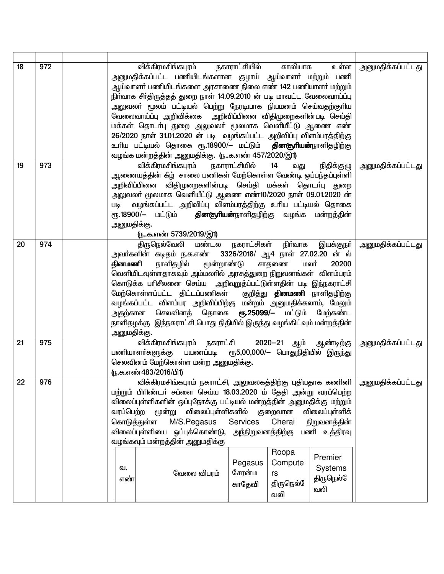| 18 | 972 |                                       | விக்கிரமசிங்கபுரம் நகாராட்சியில்<br>அனுமதிக்கப்பட்ட பணியிடங்களான குழாய் ஆய்வாளா் மற்றும் பணி<br>ஆய்வாளா் பணியிடங்களை அரசாணை நிலை எண் 142 பணியாளா் மற்றும்<br>நிா்வாக சீா்திருத்தத் துறை நாள் 14.09.2010 ன் படி மாவட்ட வேலைவாய்ப்பு<br>அலுவலா் மூலம் பட்டியல் பெற்று நேரடியாக நியமனம் செய்வதற்குாிய<br>வேலைவாய்ப்பு அறிவிக்கை  அறிவிப்பினை விதிமுறைகளின்படி செய்தி<br>மக்கள் தொடா்பு துறை அலுவலா் மூலமாக வெளியீட்டு ஆணை எண்<br>26/2020 நாள் 31.01.2020 ன் படி வழங்கப்பட்ட அறிவிப்பு விளம்பரத்திற்கு<br>உரிய பட்டியல் தொகை ரூ.18900/– மட்டும் <b>தினசூரியன்</b> நாளிதழிற்கு<br>வழங்க மன்றத்தின் அனுமதிக்கு. (நக.எண் 457/2020/இ1) |                                                | காலியாக                                                         | உள்ள                                                                    | <u>அனுமதிக்கப்பட்டது</u> |
|----|-----|---------------------------------------|--------------------------------------------------------------------------------------------------------------------------------------------------------------------------------------------------------------------------------------------------------------------------------------------------------------------------------------------------------------------------------------------------------------------------------------------------------------------------------------------------------------------------------------------------------------------------------------------------------------------------------|------------------------------------------------|-----------------------------------------------------------------|-------------------------------------------------------------------------|--------------------------|
| 19 | 973 | Шą<br>அனுமதிக்கு.                     | விக்கிரமசிங்கபுரம் நகாராட்சியில்<br>ஆணையத்தின் கீழ்  சாலை பணிகள் மேற்கொள்ள வேண்டி ஒப்பந்தப்புள்ளி<br>அறிவிப்பினை விதிமுறைகளின்படி செய்தி மக்கள் தொடா்பு துறை<br>அலுவலா் மூலமாக வெளியீட்டு ஆணை எண்10/2020 நாள் 09.01.2020 ன்<br>வழங்கப்பட்ட அறிவிப்பு விளம்பரத்திற்கு உரிய பட்டியல் தொகை<br>ரூ.18900/— மட்டும் <b>தினகூரியன்</b> நாளிதழிற்கு வழங்க மன்றத்தின்<br><u>ருக.எண் 5739/2019/இ1)</u>                                                                                                                                                                                                                                   |                                                | 14<br>வது                                                       | நிதிக்குழு                                                              | <u>அனுமதிக்கப்பட்டது</u> |
| 20 | 974 | தினமணி<br>அனுமதிக்கு.                 | திருநெல்வேலி மண்டல நகராட்சிகள் நிா்வாக<br>அவா்களின் கடிதம் ந.க.எண்  3326/2018/ ஆ4 நாள் 27.02.20 ன் ல்<br>மூன்றாண்டு<br>நாளிதழில்<br>.<br>வெளியிடவுள்ளதாகவும் அம்மலாில் அரசுத்துறை நிறுவனங்கள் விளம்பரம்<br>கொடுக்க பாிசீலனை செய்ய  அறிவுறுத்ப்பட்டுள்ளதின் படி இந்நகராட்சி<br>மேற்கொள்ளப்பட்ட திட்டப்பணிகள் குறித்து <b>தினமணி</b> நாளிதழிற்கு<br>வழங்கப்பட்ட விளம்பர அறிவிப்பிற்கு மன்றம் அனுமதிக்கலாம், மேலும்<br>அதற்கான செலவினத் தொகை <b>ரூ.25099/–</b> மட்டும் மேற்கண்ட<br>நாளிதழக்கு   இந்நகராட்சி பொது நிதியில் இருந்து வழங்கிட்வும் மன்றத்தின்                                                                         |                                                | மலர்<br>சாதணை                                                   | இயக்குநா்<br>20200                                                      | <u>அனுமதிக்கப்பட்டது</u> |
| 21 | 975 |                                       | <u>விக்கிரமசிங்கபுரம் நகராட்சி</u><br>பணியாளா்களுக்கு பயணப்படி ரூ5,00,000/— பொதுநிதியில் இருந்து<br>செலவினம் மேற்கொள்ள மன்ற அனுமதிக்கு.<br>(ந.க.எண்483/2016/பி1)                                                                                                                                                                                                                                                                                                                                                                                                                                                               |                                                |                                                                 | 2020—21 ஆம் ஆண்டிற்கு                                                   | <u>அனுமதிக்கப்பட்டது</u> |
| 22 | 976 | வரப்பெற்ற<br>கொடுத்துள்ள<br>வ.<br>எண் | விக்கிரமசிங்கபுரம் நகராட்சி, அலுவலகத்திற்கு புதியதாக கணினி<br>மற்றும் பிரிண்டர் சப்ளை செய்ய 18.03.2020 ம் தேதி அன்று வரப்பெற்ற<br>விலைப்புள்ளிகளின் ஒப்புநோக்கு பட்டியல் மன்றத்தின் அனுமதிக்கு மற்றும்<br>விலைப்புள்ளிகளில்<br>மூன்று<br>M/S.Pegasus<br>விலைப்புள்ளியை ஒப்புக்கொண்டு, அந்நிறுவனத்திற்கு பணி உத்திரவு<br>வழங்கவும் மன்றத்தின் அனுமதிக்கு<br>வேலை விபரம்                                                                                                                                                                                                                                                         | <b>Services</b><br>Pegasus<br>சேரன்ம<br>காதேவி | குறைவான<br>Cherai<br>Roopa<br>Compute<br>rs<br>திருநெல்ே<br>வலி | விலைப்புள்ளிக்<br>நிறுவனத்தின்<br>Premier<br>Systems<br>திருநெல்<br>வலி | அனுமதிக்கப்பட்டது        |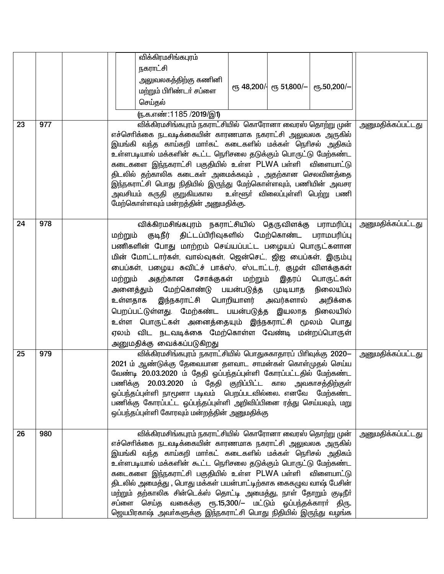|    |     |                    | விக்கிரமசிங்கபுரம்                 |                                                                                                                                                                                                                                                                                                                                                                                                                                                                                                                                                                                               |                                               |                                      |                          |
|----|-----|--------------------|------------------------------------|-----------------------------------------------------------------------------------------------------------------------------------------------------------------------------------------------------------------------------------------------------------------------------------------------------------------------------------------------------------------------------------------------------------------------------------------------------------------------------------------------------------------------------------------------------------------------------------------------|-----------------------------------------------|--------------------------------------|--------------------------|
|    |     |                    | நகராட்சி                           | அலுவலகத்திற்கு கணினி                                                                                                                                                                                                                                                                                                                                                                                                                                                                                                                                                                          | $\epsilon$ гђ 48,200/- $\epsilon$ гђ 51,800/- | еҧ.50,200/-                          |                          |
|    |     |                    | மற்றும் பிரிண்டர் சப்ளை<br>செய்தல் |                                                                                                                                                                                                                                                                                                                                                                                                                                                                                                                                                                                               |                                               |                                      |                          |
|    |     |                    | <u>(ந</u> .க.எண்:1185 /2019/இ1)    |                                                                                                                                                                                                                                                                                                                                                                                                                                                                                                                                                                                               |                                               |                                      |                          |
| 23 | 977 |                    |                                    | விக்கிரமசிங்கபுரம் நகராட்சியில்  கொரோனா வைரஸ் தொற்று முன்                                                                                                                                                                                                                                                                                                                                                                                                                                                                                                                                     |                                               |                                      | <u>அனுமதிக்கப்பட்டது</u> |
|    |     |                    | அவசியம் கருதி குறுகியகால           | எச்சொிக்கை நடவடிக்கையின் காரணமாக நகராட்சி அலுவலக அருகில்<br>இயங்கி வந்த காய்கறி மாா்கட் கடைகளில் மக்கள் நொிசல் அதிகம்<br>உள்ளபடியால் மக்களின் கூட்ட நெரிசலை தடுக்கும் பொருட்டு மேற்கண்ட<br>கடைகளை இந்நகராட்சி பகுதியில் உள்ள PLWA பள்ளி விளையாட்டு<br>திடலில் தற்காலிக கடைகள் அமைக்கவும் , அதற்கான செலவினத்தை<br>இந்நகராட்சி பொது நிதியில் இருந்து மேற்கொள்ளவும், பணியின் அவசர<br>மேற்கொள்ளவும் மன்றத்தின் அனுமதிக்கு.                                                                                                                                                                        |                                               | உள்ளூா் விலைப்புள்ளி பெற்று பணி      |                          |
| 24 | 978 | மற்றும்<br>மற்றும் | அனுமதிக்கு வைக்கப்படுகிறது         | விக்கிரமசிங்கபுரம் நகராட்சியில் தெருவிளக்கு பராமரிப்பு<br>குடிநீர் திட்டப்பிரிவுகளில் மேற்கொண்ட<br>பணிகளின் போது மாற்றம் செய்யப்பட்ட பழையப் பொருட்களான<br>மின் மோட்டார்கள், வால்வுகள், ஜென்செட், ஜிஐ பைப்கள், இரும்பு<br>பைப்கள், பழைய சுவிட்ச் பாக்ஸ், ஸ்டாட்டர், குழள் விளக்குகள்<br>அதற்கான சோக்குகள் மற்றும் இதரப்<br>அனைத்தும் மேற்கொண்டு பயன்படுத்த முடியாத<br>உள்ளதாக இந்நகராட்சி பொறியாளர் அவர்களால் அறிக்கை<br>பெறப்பட்டுள்ளது. மேற்கண்ட பயன்படுத்த இயலாத நிலையில்<br>உள்ள பொருட்கள் அனைத்தையும் இந்நகராட்சி மூலம் பொது<br>ஏலம் விட நடவடிக்கை மேற்கொள்ள வேண்டி மன்றப்பொருள்          |                                               | பராமபரிப்பு<br>பொருட்கள்<br>நிலையில் | <u>அனுமதிக்கப்பட்டது</u> |
| 25 | 979 |                    |                                    | விக்கிரமசிங்கபுரம் நகராட்சியில் பொதுசுகாதாரப் பிரிவுக்கு 2020—<br>2021 ம் ஆண்டுக்கு தேவையான தளவாட சாமன்கள் கொள்முதல் செய்ய<br>வேண்டி 20.03.2020 ம் தேதி ஓப்பந்தப்புள்ளி கோரப்பட்டதில் மேற்கண்ட<br>பணிக்கு 20.03.2020 ம் தேதி குறிப்பிட்ட கால அவகாசத்திற்குள்<br>ஓப்பந்தப்புள்ளி நாமூனா படிவம் பெறப்படவில்லை. எனவே மேற்கண்ட<br>பணிக்கு கோரப்பட்ட ஒப்பந்தப்புள்ளி அறிவிப்பினை ரத்து செய்யவும், மறு<br>ஒப்பந்தப்புள்ளி கோரவும் மன்றத்தின் அனுமதிக்கு                                                                                                                                             |                                               |                                      | <u>அனுமதிக்கப்பட்டது</u> |
| 26 | 980 |                    |                                    | விக்கிரமசிங்கபுரம் நகராட்சியில் கொரோனா வைரஸ் தொற்று முன்<br>எச்சொிக்கை நடவடிக்கையின் காரணமாக நகராட்சி அலுவலக அருகில்<br>இயங்கி வந்த காய்கறி மாா்கட் கடைகளில் மக்கள் நொிசல் அதிகம்<br>.<br>உள்ளபடியால் மக்களின் கூட்ட நெரிசலை தடுக்கும் பொருட்டு மேற்கண்ட<br>கடைகளை இந்நகராட்சி பகுதியில் உள்ள PLWA பள்ளி விளையாட்டு<br>திடலில் அமைத்து , பொது மக்கள் பயன்பாட்டிற்காக கைகழுவ வாஷ் பேசின்<br>மற்றும் தற்காலிக சின்டெக்ஸ் தொட்டி அமைத்து, நாள் தோறும் குடிநீா்<br>சப்ளை செய்த வகைக்கு ரூ.15,300/— மட்டும் ஓப்பந்தக்காரா் திரு.<br>ஜெயபிரகாஷ் அவா்களுக்கு இந்நகராட்சி பொது நிதியில் இருந்து வழங்க |                                               |                                      | <u>அனுமதிக்கப்பட்டது</u> |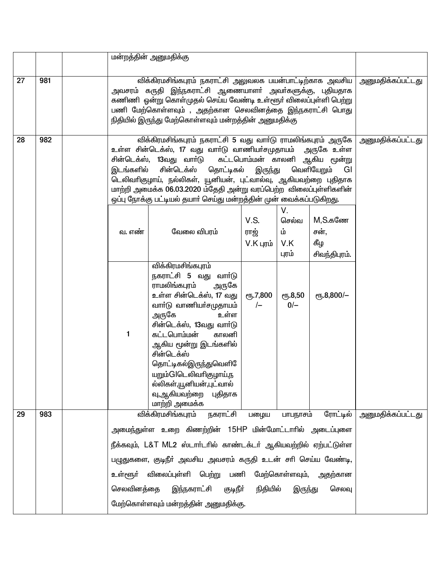|    |     |            | மன்றத்தின் அனுமதிக்கு                                                                                                                                                                                                                                                                                                                                                                                                                                                                |                                    |                                   |                                         |                   |  |  |  |  |  |
|----|-----|------------|--------------------------------------------------------------------------------------------------------------------------------------------------------------------------------------------------------------------------------------------------------------------------------------------------------------------------------------------------------------------------------------------------------------------------------------------------------------------------------------|------------------------------------|-----------------------------------|-----------------------------------------|-------------------|--|--|--|--|--|
| 27 | 981 |            | விக்கிரமசிங்கபுரம் நகராட்சி அலுவலக பயன்பாட்டிற்காக அவசிய  <br>அவசரம் கருதி இந்நகராட்சி ஆணையாளா் அவா்களுக்கு, புதியதாக<br>கணிணி ஓன்று கொள்முதல் செய்ய வேண்டி உள்ளூர் விலைப்புள்ளி பெற்று<br>பணி மேற்கொள்ளவும் , அதற்கான செலவினத்தை இந்நகராட்சி பொது<br>நிதியில் இருந்து மேற்கொள்ளவும் மன்றத்தின் அனுமதிக்கு                                                                                                                                                                           |                                    |                                   |                                         |                   |  |  |  |  |  |
| 28 | 982 | இடங்களில்  | விக்கிரமசிங்கபுரம் நகராட்சி 5 வது வாா்டு ராமலிங்கபுரம் அருகே  <br>அனுமதிக்கப்பட்டது<br>உள்ள சின்டெக்ஸ், 17 வது வாா்டு வாணியா்சமுதாயம்  அருகே உள்ள<br>கட்டபொம்மன் காலனி ஆகிய மூன்று<br>சின்டெக்ஸ், 13வது வாா்டு<br>சின்டெக்ஸ் தொட்டிகல்<br>வெளியேறும்<br>இருந்து<br>GI<br>டெலிவாிகுழாய், நல்லிகள், யூனியன், புட்வால்வு, ஆகியவற்றை புதிதாக<br>மாற்றி அமைக்க 06.03.2020 ம்தேதி அன்று வரப்பெற்ற விலைப்புள்ளிகளின்<br>ஒப்பு நோக்கு பட்டியல் தயாா் செய்து மன்றத்தின் முன் வைக்கப்படுகிறது. |                                    |                                   |                                         |                   |  |  |  |  |  |
|    |     | வ. எண்     | வேலை விபரம்                                                                                                                                                                                                                                                                                                                                                                                                                                                                          | <b>V.S.</b><br>ராஜ்<br>$V.K$ புரம் | V.<br>செல்வ<br>ம்<br>V.K<br>புரம் | M,S.கணே<br>சன்,<br>கீழ<br>சிவந்திபுரம். |                   |  |  |  |  |  |
|    |     | 1          | விக்கிரமசிங்கபுரம்<br>நகராட்சி 5 வது வாா்டு<br>ராமலிங்கபுரம்<br>அருகே<br>உள்ள சின்டெக்ஸ், 17 வது<br>வாா்டு வாணியா்சமுதாயம்<br>அருகே<br>உள்ள<br>சின்டெக்ஸ், 13வது வார்டு<br>கட்டபொம்மன்<br>காலனி<br>ஆகிய மூன்று இடங்களில்<br>சின்டெக்ஸ்<br>தொட்டிகல்இருந்துவெளி<br>யறும்Glடெலிவாிகுழாய் <u>,</u> ந<br>ல்லிகள்,யூனியன்,புட்வால்<br>வு,ஆகியவற்றை<br>புதிதாக<br>மாற்றி அமைக்க                                                                                                            | <b>е</b> ђ.7,800<br>$\sqrt{-}$     | ரு.8,50<br>$0/-$                  | ет5.8,800/-                             |                   |  |  |  |  |  |
| 29 | 983 |            | விக்கிரமசிங்கபுரம்<br>நகராட்சி                                                                                                                                                                                                                                                                                                                                                                                                                                                       | பழைய                               | பாபநாசம்                          | ரோட்டில்                                | அனுமதிக்கப்பட்டது |  |  |  |  |  |
|    |     | செலவினத்தை | அமைந்துள்ள உறை கிணற்றின் 15HP மின்மோட்டாரில் அடைப்புளை<br>நீக்கவும், L&T ML2 ஸ்டாா்டாில் காண்டக்டா் ஆகியவற்றில் ஏற்பட்டுள்ள<br>பழுதுகளை, குடிநீா் அவசிய அவசரம் கருதி உடன் சாி செய்ய வேண்டி,<br>உள்ளூா் விலைப்புள்ளி பெற்று பணி<br>இந்நகராட்சி<br>குடிநீா்<br>மேற்கொள்ளவும் மன்றத்தின் அனுமதிக்கு.                                                                                                                                                                                    | நிதியில்                           | இருந்து                           | மேற்கொள்ளவும், அதற்கான<br>செலவு         |                   |  |  |  |  |  |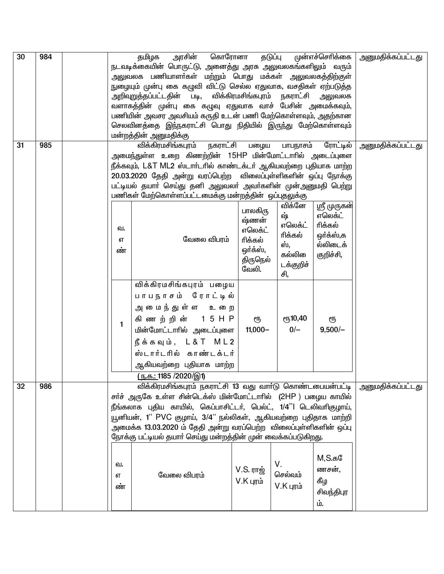| 30 | 984 |    | கொரோனா<br>அரசின்<br>தமிழக                                                              |                    | தடுப்பு         | முன்எச்செரிக்கை         | அனுமதிக்கப்பட்டது |
|----|-----|----|----------------------------------------------------------------------------------------|--------------------|-----------------|-------------------------|-------------------|
|    |     |    | நடவடிக்கையின் பொருட்டு, அனைத்து அரசு அலுவலகங்களிலும் வரும்                             |                    |                 |                         |                   |
|    |     |    | அலுவலக பணியாளா்கள் மற்றும் பொது மக்கள் அலுவலகத்திற்குள்                                |                    |                 |                         |                   |
|    |     |    | நுழையும் முன்பு கை கழுவி விட்டு செல்ல ஏதுவாக, வசதிகள் ஏற்படுத்த                        |                    |                 |                         |                   |
|    |     |    | அறிவுறுத்தப்பட்டதின் படி,<br>வளாகத்தின் முன்பு கை கழுவு ஏதுவாக வாச் பேசின் அமைக்கவும், | விக்கிரமசிங்கபுரம் |                 | நகராட்சி அலுவலக         |                   |
|    |     |    | பணியின் அவசர அவசியம் கருதி உடன் பணி மேற்கொள்ளவும், அதற்கான                             |                    |                 |                         |                   |
|    |     |    | செலவினத்தை இந்நகராட்சி பொது நிதியில் இருந்து மேற்கொள்ளவும்                             |                    |                 |                         |                   |
|    |     |    | மன்றத்தின் அனுமதிக்கு                                                                  |                    |                 |                         |                   |
| 31 | 985 |    | விக்கிரமசிங்கபுரம்<br>நகராட்சி                                                         | பழைய               | பாபநாசம்        | ரோட்டில்                | அனுமதிக்கப்பட்டது |
|    |     |    | அமைந்துள்ள உறை கிணற்றின் 15HP மின்மோட்டாாில் அடைப்புளை                                 |                    |                 |                         |                   |
|    |     |    | நீக்கவும், L&T ML2 ஸ்டாா்டாில் காண்டக்டா் ஆகியவற்றை புதியாக மாற்ற                      |                    |                 |                         |                   |
|    |     |    | 20.03.2020 தேதி அன்று வரப்பெற்ற விலைப்புள்ளிகளின் ஒப்பு நோக்கு                         |                    |                 |                         |                   |
|    |     |    | பட்டியல் தயாா் செய்து தனி அலுவலா் அவா்களின் முன்அனுமதி பெற்று                          |                    |                 |                         |                   |
|    |     |    | பணிகள் மேற்கொள்ளப்பட்டமைக்கு மன்றத்தின் ஒப்புதலுக்கு                                   |                    |                 |                         |                   |
|    |     |    |                                                                                        | பாலகிரு            | விக்னே<br>ஷ்    | ஸ்ரீ முருகள்<br>எலெக்ட் |                   |
|    |     |    |                                                                                        | ஷ்ணன்              | எலெக்ட்         | ரிக்கல்                 |                   |
|    |     | வ. |                                                                                        | எலெக்ட்            | ரிக்கல்         | ஒர்க்ஸ்,க               |                   |
|    |     | எ  | வேலை விபரம்                                                                            | ரிக்கல்            | ஸ்.             | ல்லிடைக்                |                   |
|    |     | ண் |                                                                                        | ஒர்க்ஸ்,           | கல்லி           | குறிச்சி,               |                   |
|    |     |    |                                                                                        | திருநெல்<br>வேலி.  | டக்குறிச்       |                         |                   |
|    |     |    |                                                                                        |                    | சி,             |                         |                   |
|    |     |    | விக்கிரமசிங்கபுரம் பழைய                                                                |                    |                 |                         |                   |
|    |     |    | பாபநாசம் ரோட்டில்                                                                      |                    |                 |                         |                   |
|    |     |    | அமைந்துள்ள உறை                                                                         |                    |                 |                         |                   |
|    |     | 1  | கிணற்றின் 15 HP                                                                        | ரூ                 | <b>е</b> ҧ10,40 | ரூ                      |                   |
|    |     |    | மின்மோட்டாரில் அடைப்புளை                                                               | $11,000 -$         | $0/-$           | $9,500/-$               |                   |
|    |     |    | நீக்கவும், $L < T$ ML2                                                                 |                    |                 |                         |                   |
|    |     |    | ஸ்டார்டரில் காண்டக்டர்                                                                 |                    |                 |                         |                   |
|    |     |    | ஆகியவற்றை புதியாக மாற்ற                                                                |                    |                 |                         |                   |
|    |     |    | <u>(ந.க.: 1185 /2020/இ1)</u>                                                           |                    |                 |                         |                   |
| 32 | 986 |    | விக்கிரமசிங்கபுரம் நகராட்சி 13 வது வாா்டு கொண்டபையன்பட்டி                              |                    |                 |                         | அனுமதிக்கப்பட்டது |
|    |     |    | சர்ச் அருகே உள்ள சின்டெக்ஸ் மின்மோட்டாரில் (2HP ) பழைய காயில்                          |                    |                 |                         |                   |
|    |     |    | நீங்கலாக புதிய காயில், கெப்பாசிட்டர், பெல்ட், 1/4''l டெலிவரிகுழாய்,                    |                    |                 |                         |                   |
|    |     |    | யூனியன், 1'' PVC குழாய், 3/4'' நல்லிகள், ஆகியவற்றை புதிதாக மாற்றி                      |                    |                 |                         |                   |
|    |     |    | அமைக்க 13.03.2020 ம் தேதி அன்று வரப்பெற்ற  விலைப்புள்ளிகளின் ஒப்பு                     |                    |                 |                         |                   |
|    |     |    | நோக்கு பட்டியல் தயாா் செய்து மன்றத்தின் முன் வைக்கப்படுகிறது.                          |                    |                 |                         |                   |
|    |     |    |                                                                                        |                    |                 | $M, S.$ க $@$           |                   |
|    |     | வ. |                                                                                        |                    | V.              | ணசன்,                   |                   |
|    |     | எ  | வேலை விபரம்                                                                            | V.S. ராஜ்          | செல்வம்         |                         |                   |
|    |     | ண் |                                                                                        | V.К цпи            | $V.K$ புரம்     | கீழ                     |                   |
|    |     |    |                                                                                        |                    |                 | சிவந்திபுர              |                   |
|    |     |    |                                                                                        |                    |                 | ம்.                     |                   |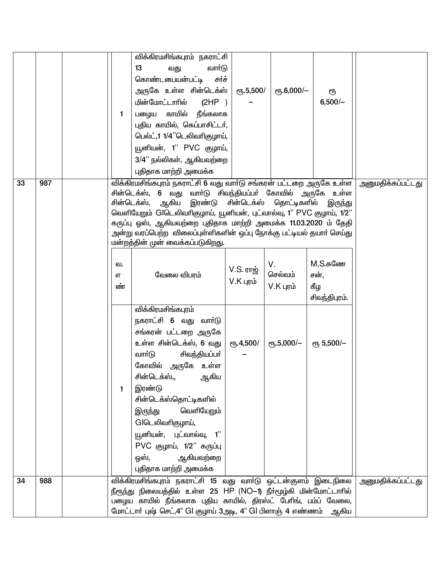|    |     |         | விக்கிரமசிங்கபுரம் நகராட்சி                                                                                                                        |                      |                       |                    |                   |
|----|-----|---------|----------------------------------------------------------------------------------------------------------------------------------------------------|----------------------|-----------------------|--------------------|-------------------|
|    |     |         | 13<br>வார்டு<br>வது                                                                                                                                |                      |                       |                    |                   |
|    |     |         | கொண்டபையன்பட்டி<br>சர்ச்                                                                                                                           |                      |                       |                    |                   |
|    |     |         | அருகே உள்ள சின்டெக்ஸ்                                                                                                                              | $\epsilon$ гђ.5,500/ | $\epsilon$ гђ.6,000/- | ரூ                 |                   |
|    |     |         | மின்மோட்டாரில்<br>(2HP)                                                                                                                            |                      |                       | $6,500/-$          |                   |
|    |     | 1.      | பழைய காயில் நீங்கலாக                                                                                                                               |                      |                       |                    |                   |
|    |     |         | புதிய காயில், கெப்பாசிட்டர்,                                                                                                                       |                      |                       |                    |                   |
|    |     |         | பெல்ட்,1 1/4"டெலிவரிகுழாய்,                                                                                                                        |                      |                       |                    |                   |
|    |     |         | யூனியன், 1" PVC குழாய்,                                                                                                                            |                      |                       |                    |                   |
|    |     |         | 3/4" நல்லிகள், ஆகியவற்றை                                                                                                                           |                      |                       |                    |                   |
|    |     |         | புதிதாக மாற்றி அமைக்க                                                                                                                              |                      |                       |                    |                   |
| 33 | 987 |         | விக்கிரமசிங்கபுரம் நகராட்சி 6 வது வார்டு சங்கரன் பட்டறை அருகே உள்ள   அனுமதிக்கப்பட்டது<br>சின்டெக்ஸ், 6 வது வாா்டு சிவந்தியப்பா் கோவில் அருகே உள்ள |                      |                       |                    |                   |
|    |     |         | சின்டெக்ஸ், ஆகிய இரண்டு சின்டெக்ஸ் தொட்டிகளில் இருந்து                                                                                             |                      |                       |                    |                   |
|    |     |         | வெளியேறும் GIடெலிவரிகுழாய், யூனியன், புட்வால்வு, 1" PVC குழாய், 1/2"                                                                               |                      |                       |                    |                   |
|    |     |         | கருப்பு ஒஸ், ஆகியவற்றை புதிதாக மாற்றி அமைக்க 11.03.2020 ம் தேதி                                                                                    |                      |                       |                    |                   |
|    |     |         | அன்று வரப்பெற்ற  விலைப்புள்ளிகளின் ஒப்பு நோக்கு பட்டியல் தயாா் செய்து                                                                              |                      |                       |                    |                   |
|    |     |         | மன்றத்தின் முன் வைக்கப்படுகிறது.                                                                                                                   |                      |                       |                    |                   |
|    |     |         |                                                                                                                                                    |                      | V.                    | $M, S.$ கணே        |                   |
|    |     | வ.<br>எ | வேலை விபரம்                                                                                                                                        | V.S. ராஜ்            | செல்வம்               | சன்.               |                   |
|    |     | ண்      |                                                                                                                                                    | $V.K$ புரம்          | $V.K$ புரம்           | கீழ                |                   |
|    |     |         |                                                                                                                                                    |                      |                       | சிவந்திபுரம்.      |                   |
|    |     |         | விக்கிரமசிங்கபுரம்                                                                                                                                 |                      |                       |                    |                   |
|    |     |         | நகராட்சி 6 வது வாா்டு                                                                                                                              |                      |                       |                    |                   |
|    |     |         | சங்கரன் பட்டறை அருகே                                                                                                                               |                      |                       |                    |                   |
|    |     |         | உள்ள சின்டெக்ஸ், 6 வது                                                                                                                             | $e$ ҧ.4,500/         | $e$ гђ.5,000/-        | <b>е</b> ҧ 5,500/- |                   |
|    |     |         | வாா்டு<br>சிவந்தியப்பா்                                                                                                                            |                      |                       |                    |                   |
|    |     |         | கோவில் அருகே உள்ள                                                                                                                                  |                      |                       |                    |                   |
|    |     |         | சின்டெக்ஸ்,, ஆகிய                                                                                                                                  |                      |                       |                    |                   |
|    |     | 1       | இரண்டு                                                                                                                                             |                      |                       |                    |                   |
|    |     |         | சின்டெக்ஸ்தொட்டிகளில்                                                                                                                              |                      |                       |                    |                   |
|    |     |         | வெளியேறும்<br>இருந்து                                                                                                                              |                      |                       |                    |                   |
|    |     |         | GIடெலிவரிகுழாய்,                                                                                                                                   |                      |                       |                    |                   |
|    |     |         | யூனியன், புட்வால்வு, 1''                                                                                                                           |                      |                       |                    |                   |
|    |     |         | PVC குழாய், 1/2" கருப்பு                                                                                                                           |                      |                       |                    |                   |
|    |     |         | ஆகியவற்றை<br>ஒஸ்,                                                                                                                                  |                      |                       |                    |                   |
|    |     |         | புதிதாக மாற்றி அமைக்க                                                                                                                              |                      |                       |                    |                   |
| 34 | 988 |         | விக்கிரமசிங்கபுரம் நகராட்சி 15 வது வார்டு ஒட்டன்குளம் இடைநிலை                                                                                      |                      |                       |                    | அனுமதிக்கப்பட்டது |
|    |     |         | நீரூந்து நிலையத்தில் உள்ள 25 HP (NO−1) நீா்மூழ்கி மின்மோட்டாாில்                                                                                   |                      |                       |                    |                   |
|    |     |         | பழைய காயில் நீங்கலாக புதிய காயில், திரஸ்ட் பேரிங், பம்ப் வேலை,                                                                                     |                      |                       |                    |                   |
|    |     |         | மோட்டாா் புஷ் செட்,4" Gl குழாய் 3அடி, 4" Gl பிளாஞ் 4 எண்ணம்   ஆகிய                                                                                 |                      |                       |                    |                   |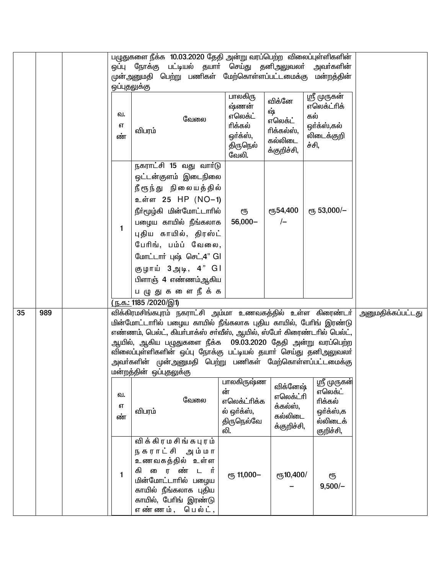|    |     | ஒப்புதலுக்கு  | பழுதுகளை நீக்க 10.03.2020 தேதி அன்று வரப்பெற்ற விலைப்புள்ளிகளின்<br>ஒப்பு நோக்கு பட்டியல் தயாா் செய்து தனிஅலுவலா்<br>முன்அனுமதி பெற்று பணிகள் மேற்கொள்ளப்பட்டமைக்கு மன்றத்தின்                                                                                                                                                                                                                                                    |                                                                         |                                                                 | அவா்களின்                                                                |                          |
|----|-----|---------------|-----------------------------------------------------------------------------------------------------------------------------------------------------------------------------------------------------------------------------------------------------------------------------------------------------------------------------------------------------------------------------------------------------------------------------------|-------------------------------------------------------------------------|-----------------------------------------------------------------|--------------------------------------------------------------------------|--------------------------|
|    |     | வ.<br>எ<br>ண் | வேலை<br>விபரம்                                                                                                                                                                                                                                                                                                                                                                                                                    | பாலகிரு<br>ஷ்ணன்<br>எலெக்ட்<br>ரிக்கல்<br>ஒர்க்ஸ்,<br>திருநெல்<br>வேலி. | விக்னே<br>ஷ்<br>எலெக்ட்<br>ரிக்கல்ஸ்,<br>கல்லிடை<br>க்குறிச்சி, | ஸ்ரீ முருகன்<br>எலெக்ட்ரிக்<br>கல்<br>ஒர்க்ஸ்,கல்<br>லிடைக்குறி<br>ச்சி, |                          |
|    |     | $\mathbf{1}$  | நகராட்சி 15 வது வார்டு<br>ஒட்டன்குளம் இடைநிலை<br>நீரூந்து நிலையத்தில்<br>உள்ள 25 HP (NO-1)<br>நீா்மூழ்கி மின்மோட்டாாில்<br>பழைய காயில் நீங்கலாக<br>புதிய காயில், திரஸ்ட்<br>பேரிங், பம்ப் வேலை,<br>மோட்டார் புஷ் செட்,4" GI<br>குழாய் 3அடி, 4" GI<br>பிளாஞ் 4 எண்ணம்ஆகிய<br>பழுதுகளை நீக்க                                                                                                                                        | ரூ<br>$56,000 -$                                                        | ღ54,400<br>$\left\vert -\right\vert$                            | ет <sub>53</sub> ,000/-                                                  |                          |
|    |     |               | <u>(ந.க.: 1185 /2020/இ1)</u>                                                                                                                                                                                                                                                                                                                                                                                                      |                                                                         |                                                                 |                                                                          |                          |
| 35 | 989 |               | விக்கிரமசிங்கபுரம் நகராட்சி அம்மா உணவகத்தில் உள்ள கிரைண்டா் <br>மின்மோட்டாரில் பழைய காயில் நீங்கலாக புதிய காயில், பேரிங் இரண்டு<br>எண்ணம், பெல்ட், கியா்பாக்ஸ் சா்வீஸ், ஆயில், ஸ்போ் கிரைண்டாில் பெல்ட்,<br>ஆயில், ஆகிய பழுதுகளை நீக்க  09.03.2020 தேதி அன்று வரப்பெற்ற<br>விலைப்புள்ளிகளின் ஒப்பு நோக்கு பட்டியல் தயாா் செய்து தனிஅலுவலா்<br>அவா்களின் முன்அனுமதி பெற்று பணிகள் மேற்கொள்ளப்பட்டமைக்கு<br>மன்றத்தின் ஒப்புதலுக்கு | பாலகிருஷ்ண                                                              |                                                                 | ஸ்ரீ முருகன்                                                             | <u>அனுமதிக்கப்பட்டது</u> |
|    |     | வ.<br>எ<br>ண் | வேலை<br>விபரம்                                                                                                                                                                                                                                                                                                                                                                                                                    | ன்<br>எலெக்ட்ரிக்க<br>ல் ஒர்க்ஸ்,<br>திருநெல்வே<br>லி.                  | விக்னேஷ்<br>எலெக்ட்ரி<br>க்கல்ஸ்,<br>கல்லிடை<br>க்குறிச்சி,     | எலெக்ட்<br>ரிக்கல்<br>ஒர்க்ஸ்,க<br>ல்லிடைக்<br>குறிச்சி,                 |                          |
|    |     | $\mathbf{1}$  | விக்கிரமசிங்கபுரம்<br>நகராட்சி அம்மா<br>உணவகத்தில் உள்ள<br>கி ைரண்<br>டர்<br>மின்மோட்டாரில் பழைய<br>காயில் நீங்கலாக புதிய<br>காயில், பேரிங் இரண்டு<br>எண்ணம், பெல்ட்,                                                                                                                                                                                                                                                             | ет <sub>5</sub> 11,000-                                                 | er <sub>5</sub> 10,400/                                         | ரூ<br>$9,500/-$                                                          |                          |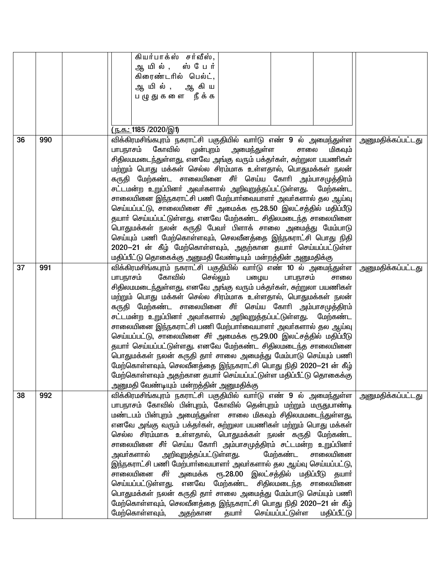|    |     | கியர்பாக்ஸ் சர்வீஸ்,                                                  |                          |
|----|-----|-----------------------------------------------------------------------|--------------------------|
|    |     | ஆ யில், ஸ்பேர்                                                        |                          |
|    |     | கிரைண்டரில் பெல்ட்,                                                   |                          |
|    |     | ஆ யில், ஆ கிய                                                         |                          |
|    |     | பழுதுகளை நீக்க                                                        |                          |
|    |     |                                                                       |                          |
|    |     |                                                                       |                          |
|    |     | <u>(ந.க.: 1185 /2020/இ1)</u>                                          |                          |
| 36 | 990 | விக்கிரமசிங்கபுரம் நகராட்சி பகுதியில் வாா்டு எண் 9 ல் அமைந்துள்ள      | <u>அனுமதிக்கப்பட்டது</u> |
|    |     | பாபநாசம் கோவில்<br>முன்புறம் அமைந்துள்ள<br>சாலை<br>மிகவும்            |                          |
|    |     | சிதிலமமடைந்துள்ளது, எனவே அங்கு வரும் பக்தா்கள், சுற்றுலா பயணிகள்      |                          |
|    |     | மற்றும் பொது மக்கள் செல்ல சிரம்மாக உள்ளதால், பொதுமக்கள் நலன்          |                          |
|    |     | கருதி மேற்கண்ட சாலையினை சீா் செய்ய கோாி அம்பாசமுத்திரம்               |                          |
|    |     | சட்டமன்ற உறுப்பினா் அவா்களால் அறிவுறுத்தப்பட்டுள்ளது. மேற்கண்ட        |                          |
|    |     | சாலையினை இந்நகராட்சி பணி மேற்பார்வையாளர் அவர்களால் தல ஆய்வு           |                          |
|    |     | செய்யப்பட்டு, சாலையினை சீா் அமைக்க ரூ.28.50 இலட்சத்தில் மதிப்பீடு     |                          |
|    |     | தயாா் செய்யப்பட்டுள்ளது. எனவே மேற்கண்ட சிதிலமடைந்த சாலையினை           |                          |
|    |     | பொதுமக்கள் நலன் கருதி பேவா் பிளாக் சாலை அமைத்து மேம்பாடு              |                          |
|    |     | செய்யும் பணி மேற்கொள்ளவும், செலவீனத்தை இந்நகராட்சி பொது நிதி          |                          |
|    |     | 2020–21 ன் கீழ் மேற்கொள்ளவும், அதற்கான தயாா் செய்யப்பட்டுள்ள          |                          |
|    |     | மதிப்பீட்டு தொகைக்கு அனுமதி வேண்டியும் மன்றத்தின் அனுமதிக்கு          |                          |
| 37 | 991 | விக்கிரமசிங்கபுரம் நகராட்சி பகுதியில் வாா்டு எண் 10 ல் அமைந்துள்ள     | <u>அனுமதிக்கப்பட்டது</u> |
|    |     | பாபநாசம்<br>கோவில்<br>செல்லும்<br>பழைய<br>பாபநாசம்<br>சாலை            |                          |
|    |     | சிதிலமமடைந்துள்ளது, எனவே அங்கு வரும் பக்தா்கள், சுற்றுலா பயணிகள்      |                          |
|    |     | மற்றும் பொது மக்கள் செல்ல சிரம்மாக உள்ளதால், பொதுமக்கள் நலன்          |                          |
|    |     | கருதி மேற்கண்ட சாலையினை சீா் செய்ய கோாி அம்பாசமுத்திரம்               |                          |
|    |     | சட்டமன்ற உறுப்பினா் அவா்களால் அறிவுறுத்தப்பட்டுள்ளது. மேற்கண்ட        |                          |
|    |     | சாலையினை இந்நகராட்சி பணி மேற்பார்வையாளர் அவர்களால் தல ஆய்வு           |                          |
|    |     | செய்யப்பட்டு, சாலையினை சீா் அமைக்க ரூ.29.00 இலட்சத்தில் மதிப்பீடு     |                          |
|    |     | தயாா் செய்யப்பட்டுள்ளது. எனவே மேற்கண்ட சிதிலமடைந்த சாலையினை           |                          |
|    |     | பொதுமக்கள் நலன் கருதி தாா் சாலை அமைத்து மேம்பாடு செய்யும் பணி         |                          |
|    |     | மேற்கொள்ளவும், செலவீனத்தை இந்நகராட்சி பொது நிதி 2020—21 ன் கீழ்       |                          |
|    |     | மேற்கொள்ளவும் அதற்கான தயார் செய்யப்பட்டுள்ள மதிப்பீட்டு தொகைக்கு      |                          |
|    |     | அனுமதி வேண்டியும் மன்றத்தின் அனுமதிக்கு                               |                          |
| 38 | 992 | விக்கிரமசிங்கபுரம் நகராட்சி பகுதியில் வாா்டு எண் 9 ல் அமைந்துள்ள      | அனுமதிக்கப்பட்டது        |
|    |     | பாபநாசம் கோவில் பின்புறம், கோவில் தென்புறம் மற்றும் மருதுபாண்டி       |                          |
|    |     | மண்டபம் பின்புறம் அமைந்துள்ள சாலை மிகவும் சிதிலமமடைந்துள்ளது,         |                          |
|    |     | எனவே அங்கு வரும் பக்தா்கள், சுற்றுலா பயணிகள் மற்றும் பொது மக்கள்      |                          |
|    |     | செல்ல சிரம்மாக உள்ளதால், பொதுமக்கள் நலன் கருதி மேற்கண்ட               |                          |
|    |     | சாலையினை சீா் செய்ய கோாி அம்பாசமுத்திரம் சட்டமன்ற உறுப்பினா்          |                          |
|    |     | அவா்களால்<br>அறிவுறுத்தப்பட்டுள்ள <u>த</u> ு.<br>மேற்கண்ட<br>சாலையினை |                          |
|    |     | இந்நகராட்சி பணி மேற்பார்வையாளர் அவர்களால் தல ஆய்வு செய்யப்பட்டு,      |                          |
|    |     | சாலையினை சீா் அமைக்க ரூ.28.00 இலட்சத்தில் மதிப்பீடு தயாா்             |                          |
|    |     | செய்யப்பட்டுள்ளது. எனவே மேற்கண்ட சிதிலமடைந்த சாலையினை                 |                          |
|    |     | பொதுமக்கள் நலன் கருதி தாா் சாலை அமைத்து மேம்பாடு செய்யும் பணி         |                          |
|    |     | மேற்கொள்ளவும், செலவீனத்தை இந்நகராட்சி பொது நிதி 2020—21 ன் கீழ்       |                          |
|    |     | மேற்கொள்ளவும்,<br>அதற்கான தயாா்<br>செய்யப்பட்டுள்ள<br>மதிப்பீட்டு     |                          |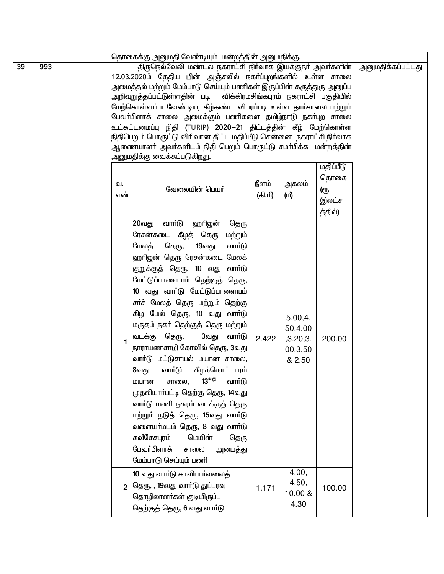|    |     |     | தொகைக்கு அனுமதி வேண்டியும் மன்றத்தின் அனுமதிக்கு.                                                                                                                                                                                                                                                                                                                                                                                                                                                                                                                                                                                                                                                                                                                            |         |                                                              |                                                            |                          |
|----|-----|-----|------------------------------------------------------------------------------------------------------------------------------------------------------------------------------------------------------------------------------------------------------------------------------------------------------------------------------------------------------------------------------------------------------------------------------------------------------------------------------------------------------------------------------------------------------------------------------------------------------------------------------------------------------------------------------------------------------------------------------------------------------------------------------|---------|--------------------------------------------------------------|------------------------------------------------------------|--------------------------|
| 39 | 993 | வ.  | திருநெல்வேலி மண்டல நகராட்சி நிர்வாக இயக்குநா் அவா்களின்<br>12.03.2020ம் தேதிய மின் அஞ்சலில் நகா்ப்புறங்களில் உள்ள சாலை<br>அமைத்தல் மற்றும் மேம்பாடு செய்யும் பணிகள் இருப்பின் கருத்துரு அனுப்ப<br>அறிவுறுத்தப்பட்டுள்ளதின் படி<br>மேற்கொள்ளப்படவேண்டிய, கீழ்கண்ட விபரப்படி உள்ள தார்சாலை மற்றும்<br>பேவா்பிளாக் சாலை அமைக்கும் பணிகளை தமிழ்நாடு நகா்புற சாலை<br>உட்கட்டமைப்பு நிதி (TURIP) 2020–21 திட்டத்தின் கீழ் மேற்கொள்ள<br>நிதிபெறும் பொருட்டு விரிவான திட்ட மதிப்பீடு சென்னை நகராட்சி நிர்வாக<br>ஆணையாளா் அவா்களிடம் நிதி பெறும் பொருட்டு சமா்பிக்க மன்றத்தின்<br>அனுமதிக்கு வைக்கப்படுகிறது.                                                                                                                                                                         | நீளம்   | அகலம்                                                        | விக்கிரமசிங்கபுரம் நகராட்சி பகுதியில்<br>மதிப்பீடு<br>தொகை | <u>அனுமதிக்கப்பட்டது</u> |
|    |     | எண் | வேலையின் பெயர்                                                                                                                                                                                                                                                                                                                                                                                                                                                                                                                                                                                                                                                                                                                                                               | (கி.மீ) | (மி                                                          | ளு<br>இலட்ச<br>த்தில்)                                     |                          |
|    |     | 1   | வாா்டு<br>ஹாிஜன்<br>20வது<br>தெரு<br>ரேசன்கடை கீழத் தெரு<br>மற்றும்<br>மேலத்<br>தெரு,<br>19வது<br>வார்டு<br>ஹாிஜன் தெரு ரேசன்கடை மேலக்<br>குறுக்குத் தெரு, 10 வது வாா்டு<br>மேட்டுப்பாளையம் தெற்குத் தெரு,<br>10 வது வாா்டு மேட்டுப்பாளையம்<br>சா்ச் மேலத் தெரு மற்றும் தெற்கு<br>கிழ மேல் தெரு, 10 வது வாா்டு<br>மருதம் நகா் தெற்குத் தெரு மற்றும்<br>வடக்கு தெரு,<br>3வது<br>வாா்டு<br>நாராயணசாமி கோவில் தெரு, 3வது<br>வார்டு மட்டுசாயல் மயான சாலை,<br>வாா்டு கீழக்கொட்டாரம்<br>8வது<br>$13^{\text{m}}$<br>வார்டு<br>மயான<br>சாலை,<br>முதலியாா்பட்டி தெற்கு தெரு, 14வது<br>வாா்டு மணி நகரம் வடக்குத் தெரு<br>மற்றும் நடுத் தெரு, 15வது வாா்டு<br>வளையா்மடம் தெரு, 8 வது வாா்டு<br>௬வீசேசபுரம்<br>மெயின்<br>தெரு<br>பேவா்பிளாக்<br>அமைத்து<br>சாலை<br>மேம்பாடு செய்யும் பணி | 2.422   | 5.00,4.<br>50,4.00<br>,3.20,3.<br>00,3.50<br>& 2.50<br>4.00, | 200.00                                                     |                          |
|    |     | 2   | 10 வது வார்டு காலிபார்வலைத்<br>தெரு, , 19வது வாா்டு துப்புரவு<br>தொழிலாளர்கள் குடியிருப்பு<br>தெற்குத் தெரு, 6 வது வாா்டு                                                                                                                                                                                                                                                                                                                                                                                                                                                                                                                                                                                                                                                    | 1.171   | 4.50,<br>10.00 &<br>4.30                                     | 100.00                                                     |                          |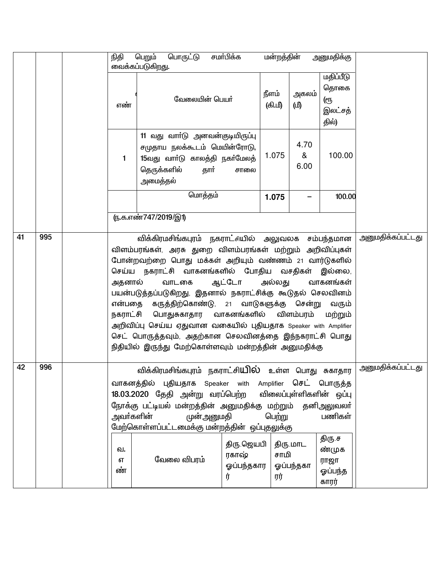|    |     | நிதி    | பெறும்<br>பொருட்டு                                                                                                 | சமா்பிக்க  | மன்றத்தின் | அனுமதிக்கு      |                   |
|----|-----|---------|--------------------------------------------------------------------------------------------------------------------|------------|------------|-----------------|-------------------|
|    |     |         | வைக்கப்படுகிறது.                                                                                                   |            |            |                 |                   |
|    |     |         |                                                                                                                    |            |            | மதிப்பீடு       |                   |
|    |     |         |                                                                                                                    | நீளம்      | அகலம்      | தொகை            |                   |
|    |     | எண்     | வேலையின் பெயர்                                                                                                     | (கி.மீ)    | (மீ)       | ளு              |                   |
|    |     |         |                                                                                                                    |            |            | இலட்சத்         |                   |
|    |     |         |                                                                                                                    |            |            | தில்)           |                   |
|    |     |         | 11 வது வாா்டு அனவன்குடியிருப்பு                                                                                    |            |            |                 |                   |
|    |     |         | சமுதாய நலக்கூடம் மெயின்ரோடு,                                                                                       |            | 4.70       |                 |                   |
|    |     | 1       | 15வது வாா்டு காலத்தி நகா்மேலத்                                                                                     | 1.075      | &          | 100.00          |                   |
|    |     |         | தார்<br>தெருக்களில்                                                                                                | சாலை       | 6.00       |                 |                   |
|    |     |         | அமைத்தல்                                                                                                           |            |            |                 |                   |
|    |     |         | மொத்தம்                                                                                                            | 1.075      |            | 100.00          |                   |
|    |     |         |                                                                                                                    |            |            |                 |                   |
|    |     |         | ரு.க.எண்747/2019/இ1)                                                                                               |            |            |                 |                   |
| 41 | 995 |         | விக்கிரமசிங்கபுரம் நகராட்சியில் அலுவலக சம்பந்தமான                                                                  |            |            |                 | அனுமதிக்கப்பட்டது |
|    |     |         | விளம்பரங்கள், அரசு துறை விளம்பரங்கள் மற்றும் அறிவிப்புகள்                                                          |            |            |                 |                   |
|    |     |         | போன்றவற்றை பொது மக்கள் அறியும் வண்ணம் 21 வார்டுகளில்                                                               |            |            |                 |                   |
|    |     |         | செய்ய நகராட்சி வாகனங்களில் போதிய வசதிகள் இல்லை,                                                                    |            |            |                 |                   |
|    |     | அதனால்  | வாடகை                                                                                                              | ஆட்டோ      | அல்லது     | வாகனங்கள்       |                   |
|    |     |         | பயன்படுத்தப்படுகிறது, இதனால் நகராட்சிக்கு கூடுதல் செலவினம்                                                         |            |            |                 |                   |
|    |     |         | என்பதை கருத்திற்கொண்டு, 21 வாடுகளுக்கு சென்று                                                                      |            |            | வரும்           |                   |
|    |     |         | நகராட்சி பொதுசுகாதார வாகனங்களில்                                                                                   |            | விளம்பரம்  | மற்றும்         |                   |
|    |     |         | அறிவிப்பு செய்ய ஏதுவான வகையில் புதியதாக Speaker with Amplifier                                                     |            |            |                 |                   |
|    |     |         | செட் பொருத்தவும், அதற்கான செலவினத்தை இந்நகராட்சி பொது                                                              |            |            |                 |                   |
|    |     |         | நிதியில் இருந்து மேற்கொள்ளவும் மன்றத்தின் அனுமதிக்கு                                                               |            |            |                 |                   |
| 42 | 996 |         |                                                                                                                    |            |            |                 | அனுமதிக்கப்பட்டது |
|    |     |         | விக்கிரமசிங்கபுரம் நகராட்சி <b>யில்</b> உள்ள பொது சுகாதார                                                          |            |            |                 |                   |
|    |     |         | வாகனத்தில் புதியதாக Speaker with Amplifier செட் பொருத்த<br>18.03.2020 தேதி அன்று வரப்பெற்ற விலைப்புள்ளிகளின் ஒப்பு |            |            |                 |                   |
|    |     |         | நோக்கு பட்டியல் மன்றத்தின் அனுமதிக்கு மற்றும்                                                                      |            |            | தனிஅலுவலா்      |                   |
|    |     |         | அவா்களின்<br>முன்அனுமதி                                                                                            |            | பெற்று     | பணிகள்          |                   |
|    |     |         | மேற்கொள்ளப்பட்டமைக்கு மன்றத்தின் ஒப்புதலுக்கு                                                                      |            |            |                 |                   |
|    |     |         |                                                                                                                    | திரு.ஜெயபி | திரு.மாட   | திரு.ச          |                   |
|    |     |         |                                                                                                                    |            |            |                 |                   |
|    |     | வ.      |                                                                                                                    | ரகாஷ்      | சாமி       | ண்முக           |                   |
|    |     | எ<br>ண் | வேலை விபரம்                                                                                                        | ஓப்பந்தகார | ஓப்பந்தகா  | ராஜா<br>ஓப்பந்த |                   |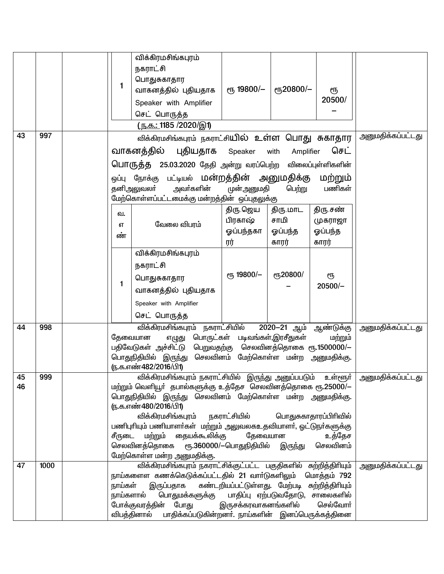|          |      | 1                    | விக்கிரமசிங்கபுரம்<br>நகராட்சி<br>பொதுசுகாதார<br>வாகனத்தில் புதியதாக<br>Speaker with Amplifier<br>செட் பொருத்த<br><u>(ந.க.: 1185 /2020/இ1)</u>                                                                                                                                                                                                                                                            | ரு 19800/-                                                                                                   | <b>e</b> ҧ20800/-                | ரூ<br>20500/       |                          |
|----------|------|----------------------|-----------------------------------------------------------------------------------------------------------------------------------------------------------------------------------------------------------------------------------------------------------------------------------------------------------------------------------------------------------------------------------------------------------|--------------------------------------------------------------------------------------------------------------|----------------------------------|--------------------|--------------------------|
| 43       | 997  |                      | விக்கிரமசிங்கபுரம் நகராட்சியில் உள்ள பொது சுகாதார                                                                                                                                                                                                                                                                                                                                                         |                                                                                                              |                                  |                    | <u>அனுமதிக்கப்பட்டது</u> |
|          |      |                      | வாகனத்தில்<br>புதியதாக                                                                                                                                                                                                                                                                                                                                                                                    | Speaker                                                                                                      | with<br>Amplifier                | செட்               |                          |
|          |      |                      | பொருத்த 25.03.2020 தேதி அன்று வரப்பெற்ற விலைப்புள்ளிகளின்                                                                                                                                                                                                                                                                                                                                                 |                                                                                                              |                                  |                    |                          |
|          |      |                      | ஒப்பு நோக்கு பட்டியல் <b>மன்றத்தின் அனுமதிக்கு</b><br>அவா்களின்<br>தனிஅலுவலா்<br>.<br>மேற்கொள்ளப்பட்டமைக்கு மன்றத்தின்  ஒப்புதலுக்கு                                                                                                                                                                                                                                                                      | முன்அனுமதி                                                                                                   | பெற்று                           | மற்றும்<br>பணிகள்  |                          |
|          |      | வ.                   |                                                                                                                                                                                                                                                                                                                                                                                                           | திரு ஜெய                                                                                                     | திரு.மாட                         | திரு சண்           |                          |
|          |      | எ                    | வேலை விபரம்                                                                                                                                                                                                                                                                                                                                                                                               | பிரகாஷ்<br>ஓப்பந்தகா                                                                                         | சாமி<br>ஓப்பந்த                  | முகராஜா<br>ஓப்பந்த |                          |
|          |      | ண்                   |                                                                                                                                                                                                                                                                                                                                                                                                           | ரர்                                                                                                          | காரர்                            | காரர்              |                          |
|          |      | $\mathbf{1}$         | விக்கிரமசிங்கபுரம்<br>நகராட்சி<br>பொதுசுகாதார<br>வாகனத்தில் புதியதாக<br>Speaker with Amplifier<br>செட் பொருத்த                                                                                                                                                                                                                                                                                            | ет, 19800/-                                                                                                  | ரு20800/                         | ரூ<br>$20500/-$    |                          |
| 44       | 998  |                      | விக்கிரமசிங்கபுரம் நகராட்சியில்<br>தேவையான<br>எழுது<br>பதிவேடுகள் அச்சிட்டு<br>பொதுநிதியில் இருந்து<br>ரு.க.எண்482/2016/பி1)                                                                                                                                                                                                                                                                              | பொருட்கள் படிவங்கள்,இரசீதுகள்<br>பெறுவதற்கு செலவினத்தொகை ரூ.1500000/-<br>செலவினம் மேற்கொள்ள மன்ற அனுமதிக்கு. | 2020-21 ஆம் ஆண்டுக்கு            | மற்றும்            | அனுமதிக்கப்பட்டது        |
| 45<br>46 | 999  | சீருடை               | <u>விக்கிரமசிங்கபுரம் நகராட்சியில்  இருந்து அனுப்பபடும்   உள்ளூா்</u><br>மற்றும் வெளியூா் தபால்களுக்கு உத்தேச செலவினத்தொகை ரூ.25000/—<br>பொதுநிதியில் இருந்து செலவினம் மேற்கொள்ள மன்ற அனுமதிக்கு.<br>(ந.க.எண்480/2016/பி1)<br>விக்கிரமசிங்கபுரம் நகராட்சியில்<br>பணிபுரியும் பணியாளா்கள்  மற்றும் அலுவலகஉதவியாளா், ஓட்டுநா்களுக்கு<br>மற்றும் தையக்கூலிக்கு<br>செலவினத்தொகை<br>மேற்கொள்ள மன்ற அனுமதிக்கு. | தேவையான<br>ரூ.360000/—பொதுநிதியில்                                                                           | பொதுசுகாதாரப்பிரிவில்<br>இருந்து | உத்தேச<br>செலவினம் | அனுமதிக்கப்பட்டது        |
| 47       | 1000 | நாய்கள்<br>நாய்களால் | விக்கிரமசிங்கபுரம் நகராட்சிக்குட்பட்ட பகுதிகளில் சுற்றித்திரியும்<br>நாய்களைள கணக்கெடுக்கப்பட்டதில் 21 வாா்டுகளிலும் மொத்தம் 792<br>இருப்பதாக<br>பொதுமக்களுக்கு<br>போக்குவரத்தின் போது<br>விபத்தினால் பாதிக்கப்படுகின்றனா். நாய்களின் இனப்பெருக்கத்தினை                                                                                                                                                   | கண்டறியப்பட்டுள்ளது. மேற்படி சுற்றித்திாியும்<br>இருசக்கரவாகனங்களில்                                         | பாதிப்பு ஏற்படுவதோடு, சாலைகளில்  | செல்வோர்           | அனுமதிக்கப்பட்டது        |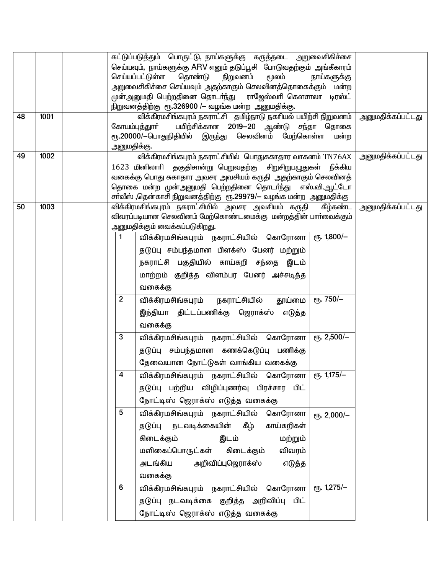|    |      |                                         | கட்டுப்படுத்தும் பொருட்டு, நாய்களுக்கு கருத்தடை அறுவைசிகிச்சை<br>செய்யவும், நாய்களுக்கு ARV எனும் தடுப்பூசி போடுவதற்கும் அங்கீகாரம்<br>செய்யப்பட்டுள்ள<br>தொண்டு<br>நிறுவனம்<br>மூலம்<br>அறுவைசிகிச்சை செய்யவும் அதற்காகும் செலவினத்தொகைக்கும் மன்ற<br>முன்அனுமதி பெற்றதினை தொடா்ந்து ராஜேஸ்வாி கௌசாலா டிரஸ்ட்<br>நிறுவனத்திற்கு ரூ.326900 /– வழங்க மன்ற அனுமதிக்கு.                                                                                                                                                                                                                                                                                                                                                                                                                                                                                                                                                                                                                                                                                                     | நாய்களுக்கு                                                                    |                          |
|----|------|-----------------------------------------|--------------------------------------------------------------------------------------------------------------------------------------------------------------------------------------------------------------------------------------------------------------------------------------------------------------------------------------------------------------------------------------------------------------------------------------------------------------------------------------------------------------------------------------------------------------------------------------------------------------------------------------------------------------------------------------------------------------------------------------------------------------------------------------------------------------------------------------------------------------------------------------------------------------------------------------------------------------------------------------------------------------------------------------------------------------------------|--------------------------------------------------------------------------------|--------------------------|
| 48 | 1001 | கோயம்புத்துாா்<br>அனுமதிக்கு.           | விக்கிரமசிங்கபுரம் நகராட்சி தமிழ்நாடு நகரியல் பயிற்சி நிறுவனம்<br>பயிற்சிக்கான 2019-20 ஆண்டு சந்தா தொகை<br>ரூ.20000/-பொதுநிதியில் இருந்து செலவினம் மேற்கொள்ள                                                                                                                                                                                                                                                                                                                                                                                                                                                                                                                                                                                                                                                                                                                                                                                                                                                                                                             | மன்ற                                                                           | <u>அனுமதிக்கப்பட்டது</u> |
| 49 | 1002 |                                         | விக்கிரமசிங்கபுரம் நகராட்சியில் பொதுசுகாதார வாகனம் TN76AX<br>1623 மினிலாரி தகுதிசான்று பெறுவதற்கு சிறுசிறுபழுதுகள் நீக்கிய<br>வகைக்கு பொது சுகாதார அவசர அவசியம் கருதி அதற்காகும் செலவினத்<br>தொகை மன்ற முன்அனுமதி பெற்றதினை தொடா்ந்து<br>சா்வீஸ் ,தென்காசி நிறுவனத்திற்கு ரூ.29979/— வழங்க மன்ற அனுமதிக்கு                                                                                                                                                                                                                                                                                                                                                                                                                                                                                                                                                                                                                                                                                                                                                               | எஸ்.வி.ஆட்டோ                                                                   | அனுமதிக்கப்பட்டது        |
| 50 | 1003 | 1<br>$\overline{2}$<br>3<br>4<br>5<br>6 | விக்கிரமசிங்கபுரம் நகராட்சியில் அவசர அவசியம் கருதி கீழ்கண்ட<br>விவரப்படியான செலவினம் மேற்கொண்டமைக்கு மன்றத்தின் பாா்வைக்கும்<br>அனுமதிக்கும் வைக்கப்படுகிறது.<br>விக்கிரமசிங்கபுரம் நகராட்சியில் கொரோனா<br>தடுப்பு சம்பந்தமான பிளக்ஸ் பேனர் மற்றும்<br>நகராட்சி பகுதியில் காய்கறி சந்தை இடம்<br>மாற்றம் குறித்த விளம்பர பேனர் அச்சடித்த<br>வகைக்கு<br>நகராட்சியில் தூய்மை<br>விக்கிரமசிங்கபுரம்<br>இந்தியா திட்டப்பணிக்கு ஜெராக்ஸ்<br>எடுத்த<br>வகைக்கு<br>விக்கிரமசிங்கபுரம் நகராட்சியில் கொரோனா<br>தடுப்பு சம்பந்தமான கணக்கெடுப்பு பணிக்கு<br>தேவையான நோட்டுகள் வாங்கிய வகைக்கு<br>விக்கிரமசிங்கபுரம் நகராட்சியில் கொரோனா கூ. 1,175/—<br>தடுப்பு பற்றிய விழிப்புணர்வு பிரச்சார பிட்<br>நோட்டிஸ் ஜெராக்ஸ் எடுத்த வகைக்கு<br>விக்கிரமசிங்கபுரம் நகராட்சியில் கொரோனா<br>தடுப்பு நடவடிக்கையின் கீழ்<br>காய்கறிகள்<br>கிடைக்கும்<br>மற்றும்<br>இடம்<br>மளிகைப்பொருட்கள் கிடைக்கும்<br>விவரம்<br>அறிவிப்புஜெராக்ஸ்<br>எடுத்த<br>அடங்கிய<br>வகைக்கு<br>விக்கிரமசிங்கபுரம் நகராட்சியில் கொரோனா<br>தடுப்பு நடவடிக்கை குறித்த அறிவிப்பு பிட்<br>நோட்டிஸ் ஜெராக்ஸ் எடுத்த வகைக்கு | $P$ ГБ. 1,800/-<br>еҧ. 750/-<br>$P$ Гђ. 2,500/-<br>ет. 2,000/-<br>еть. 1,275/- | <u>அனுமதிக்கப்பட்டது</u> |